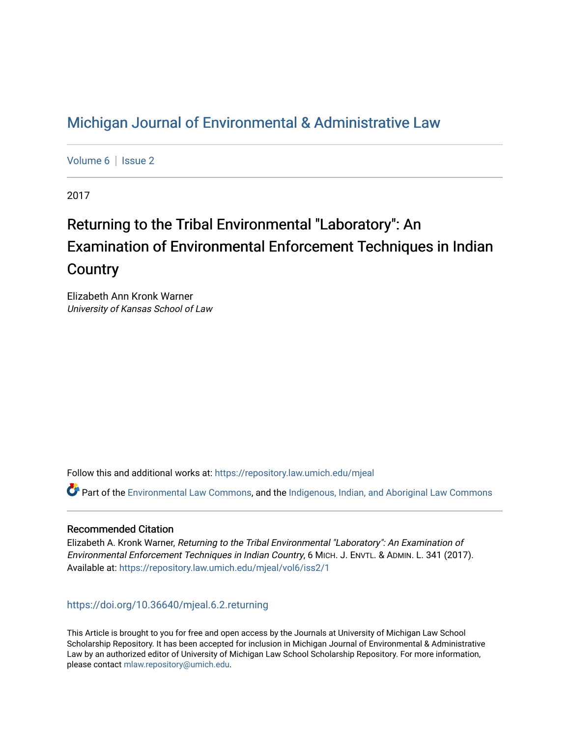## [Michigan Journal of Environmental & Administrative Law](https://repository.law.umich.edu/mjeal)

[Volume 6](https://repository.law.umich.edu/mjeal/vol6) | Issue 2

2017

# Returning to the Tribal Environmental "Laboratory": An Examination of Environmental Enforcement Techniques in Indian **Country**

Elizabeth Ann Kronk Warner University of Kansas School of Law

Follow this and additional works at: [https://repository.law.umich.edu/mjeal](https://repository.law.umich.edu/mjeal?utm_source=repository.law.umich.edu%2Fmjeal%2Fvol6%2Fiss2%2F1&utm_medium=PDF&utm_campaign=PDFCoverPages)

Part of the [Environmental Law Commons](http://network.bepress.com/hgg/discipline/599?utm_source=repository.law.umich.edu%2Fmjeal%2Fvol6%2Fiss2%2F1&utm_medium=PDF&utm_campaign=PDFCoverPages), and the [Indigenous, Indian, and Aboriginal Law Commons](http://network.bepress.com/hgg/discipline/894?utm_source=repository.law.umich.edu%2Fmjeal%2Fvol6%2Fiss2%2F1&utm_medium=PDF&utm_campaign=PDFCoverPages)

## Recommended Citation

Elizabeth A. Kronk Warner, Returning to the Tribal Environmental "Laboratory": An Examination of Environmental Enforcement Techniques in Indian Country, 6 MICH. J. ENVTL. & ADMIN. L. 341 (2017). Available at: [https://repository.law.umich.edu/mjeal/vol6/iss2/1](https://repository.law.umich.edu/mjeal/vol6/iss2/1?utm_source=repository.law.umich.edu%2Fmjeal%2Fvol6%2Fiss2%2F1&utm_medium=PDF&utm_campaign=PDFCoverPages)

## <https://doi.org/10.36640/mjeal.6.2.returning>

This Article is brought to you for free and open access by the Journals at University of Michigan Law School Scholarship Repository. It has been accepted for inclusion in Michigan Journal of Environmental & Administrative Law by an authorized editor of University of Michigan Law School Scholarship Repository. For more information, please contact [mlaw.repository@umich.edu.](mailto:mlaw.repository@umich.edu)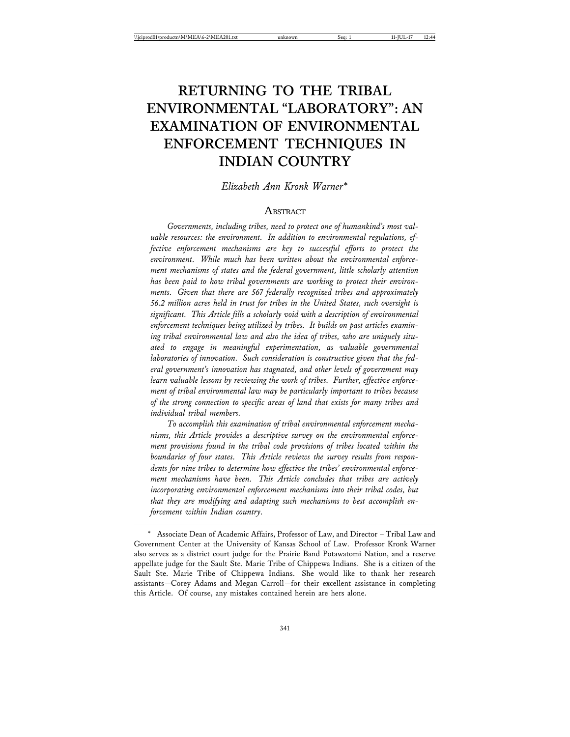## **RETURNING TO THE TRIBAL ENVIRONMENTAL "LABORATORY": AN EXAMINATION OF ENVIRONMENTAL ENFORCEMENT TECHNIQUES IN INDIAN COUNTRY**

#### *Elizabeth Ann Kronk Warner\**

## **ABSTRACT**

*Governments, including tribes, need to protect one of humankind's most valuable resources: the environment. In addition to environmental regulations, effective enforcement mechanisms are key to successful efforts to protect the environment. While much has been written about the environmental enforcement mechanisms of states and the federal government, little scholarly attention has been paid to how tribal governments are working to protect their environments. Given that there are 567 federally recognized tribes and approximately 56.2 million acres held in trust for tribes in the United States, such oversight is significant. This Article fills a scholarly void with a description of environmental enforcement techniques being utilized by tribes. It builds on past articles examining tribal environmental law and also the idea of tribes, who are uniquely situated to engage in meaningful experimentation, as valuable governmental laboratories of innovation. Such consideration is constructive given that the federal government's innovation has stagnated, and other levels of government may learn valuable lessons by reviewing the work of tribes. Further, effective enforcement of tribal environmental law may be particularly important to tribes because of the strong connection to specific areas of land that exists for many tribes and individual tribal members.*

*To accomplish this examination of tribal environmental enforcement mechanisms, this Article provides a descriptive survey on the environmental enforcement provisions found in the tribal code provisions of tribes located within the boundaries of four states. This Article reviews the survey results from respondents for nine tribes to determine how effective the tribes' environmental enforcement mechanisms have been. This Article concludes that tribes are actively incorporating environmental enforcement mechanisms into their tribal codes, but that they are modifying and adapting such mechanisms to best accomplish enforcement within Indian country.*

<sup>\*</sup> Associate Dean of Academic Affairs, Professor of Law, and Director – Tribal Law and Government Center at the University of Kansas School of Law. Professor Kronk Warner also serves as a district court judge for the Prairie Band Potawatomi Nation, and a reserve appellate judge for the Sault Ste. Marie Tribe of Chippewa Indians. She is a citizen of the Sault Ste. Marie Tribe of Chippewa Indians. She would like to thank her research assistants—Corey Adams and Megan Carroll—for their excellent assistance in completing this Article. Of course, any mistakes contained herein are hers alone.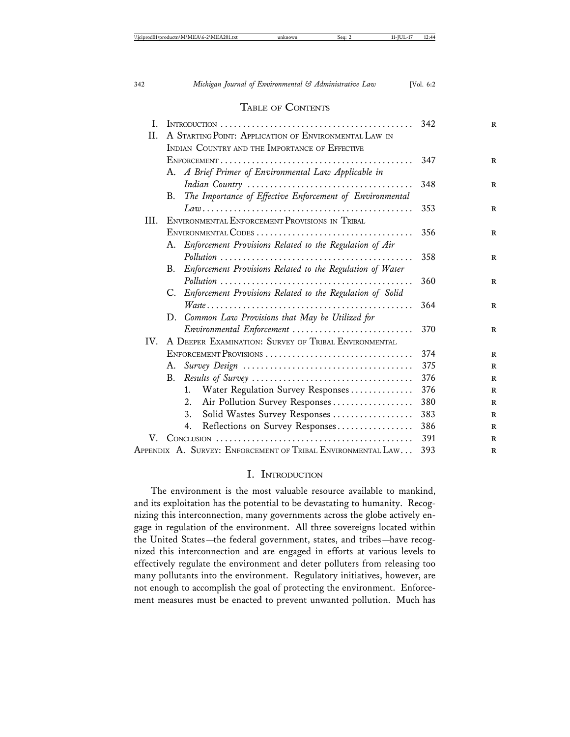#### TABLE OF CONTENTS

| T.   | 342                                                  |                                                                                                 |     |
|------|------------------------------------------------------|-------------------------------------------------------------------------------------------------|-----|
| II.  |                                                      | A STARTING POINT: APPLICATION OF ENVIRONMENTAL LAW IN                                           |     |
|      |                                                      | INDIAN COUNTRY AND THE IMPORTANCE OF EFFECTIVE                                                  |     |
|      |                                                      |                                                                                                 | 347 |
|      | A. A Brief Primer of Environmental Law Applicable in |                                                                                                 |     |
|      |                                                      |                                                                                                 | 348 |
|      | В.                                                   | The Importance of Effective Enforcement of Environmental                                        |     |
|      |                                                      | $Law \dots  \dots  \dots  \dots  \dots  \dots  \dots  \dots  \dots  \dots  \dots  \dots  \dots$ | 353 |
| III. |                                                      | ENVIRONMENTAL ENFORCEMENT PROVISIONS IN TRIBAL                                                  |     |
|      |                                                      |                                                                                                 | 356 |
|      |                                                      | A. Enforcement Provisions Related to the Regulation of Air                                      |     |
|      |                                                      |                                                                                                 | 358 |
|      | В.                                                   | Enforcement Provisions Related to the Regulation of Water                                       |     |
|      |                                                      |                                                                                                 | 360 |
|      |                                                      | C. Enforcement Provisions Related to the Regulation of Solid                                    |     |
|      |                                                      |                                                                                                 | 364 |
|      |                                                      | D. Common Law Provisions that May be Utilized for                                               |     |
|      |                                                      | Environmental Enforcement                                                                       | 370 |
| IV.  |                                                      | A DEEPER EXAMINATION: SURVEY OF TRIBAL ENVIRONMENTAL                                            |     |
|      | ENFORCEMENT PROVISIONS                               |                                                                                                 | 374 |
|      | А.                                                   |                                                                                                 | 375 |
|      | В.                                                   | $Results of Survey \dots \dots \dots \dots \dots \dots \dots \dots \dots \dots \dots \dots$     | 376 |
|      |                                                      | Water Regulation Survey Responses<br>1.                                                         | 376 |
|      |                                                      | Air Pollution Survey Responses<br>2.                                                            | 380 |
|      |                                                      | Solid Wastes Survey Responses<br>3.                                                             | 383 |
|      |                                                      | Reflections on Survey Responses<br>4.                                                           | 386 |
| V.   |                                                      |                                                                                                 | 391 |
|      |                                                      | APPENDIX A. SURVEY: ENFORCEMENT OF TRIBAL ENVIRONMENTAL LAW                                     | 393 |

#### I. INTRODUCTION

The environment is the most valuable resource available to mankind, and its exploitation has the potential to be devastating to humanity. Recognizing this interconnection, many governments across the globe actively engage in regulation of the environment. All three sovereigns located within the United States—the federal government, states, and tribes—have recognized this interconnection and are engaged in efforts at various levels to effectively regulate the environment and deter polluters from releasing too many pollutants into the environment. Regulatory initiatives, however, are not enough to accomplish the goal of protecting the environment. Enforcement measures must be enacted to prevent unwanted pollution. Much has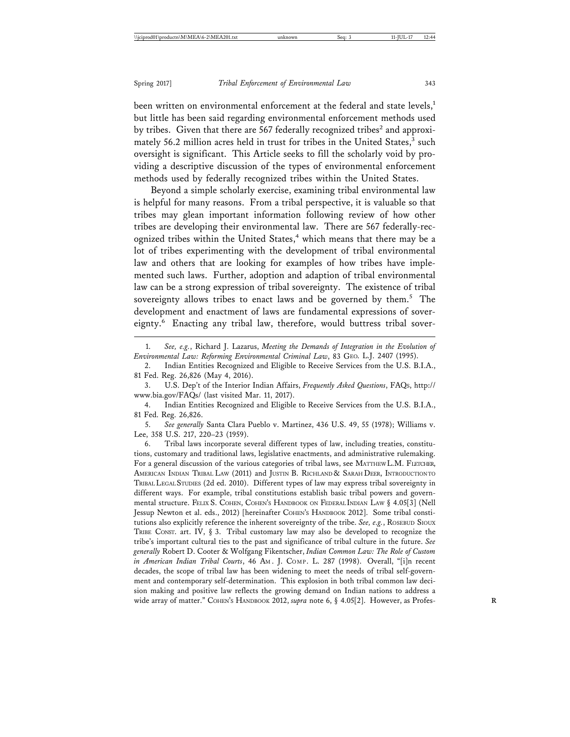been written on environmental enforcement at the federal and state levels, $<sup>1</sup>$ </sup> but little has been said regarding environmental enforcement methods used by tribes. Given that there are 567 federally recognized tribes<sup>2</sup> and approximately 56.2 million acres held in trust for tribes in the United States,<sup>3</sup> such oversight is significant. This Article seeks to fill the scholarly void by providing a descriptive discussion of the types of environmental enforcement methods used by federally recognized tribes within the United States.

Beyond a simple scholarly exercise, examining tribal environmental law is helpful for many reasons. From a tribal perspective, it is valuable so that tribes may glean important information following review of how other tribes are developing their environmental law. There are 567 federally-recognized tribes within the United States,<sup>4</sup> which means that there may be a lot of tribes experimenting with the development of tribal environmental law and others that are looking for examples of how tribes have implemented such laws. Further, adoption and adaption of tribal environmental law can be a strong expression of tribal sovereignty. The existence of tribal sovereignty allows tribes to enact laws and be governed by them.<sup>5</sup> The development and enactment of laws are fundamental expressions of sovereignty.<sup>6</sup> Enacting any tribal law, therefore, would buttress tribal sover-

1. *See, e.g.*, Richard J. Lazarus, *Meeting the Demands of Integration in the Evolution of Environmental Law: Reforming Environmental Criminal Law*, 83 GEO. L.J. 2407 (1995).

2. Indian Entities Recognized and Eligible to Receive Services from the U.S. B.I.A., 81 Fed. Reg. 26,826 (May 4, 2016).

3. U.S. Dep't of the Interior Indian Affairs, *Frequently Asked Questions*, FAQS, http:// www.bia.gov/FAQs/ (last visited Mar. 11, 2017).

4. Indian Entities Recognized and Eligible to Receive Services from the U.S. B.I.A., 81 Fed. Reg. 26,826.

5. *See generally* Santa Clara Pueblo v. Martinez, 436 U.S. 49, 55 (1978); Williams v. Lee, 358 U.S. 217, 220–23 (1959).

6. Tribal laws incorporate several different types of law, including treaties, constitutions, customary and traditional laws, legislative enactments, and administrative rulemaking. For a general discussion of the various categories of tribal laws, see MATTHEW L.M. FLETCHER, AMERICAN INDIAN TRIBAL LAW (2011) and JUSTIN B. RICHLAND & SARAH DEER, INTRODUCTION TO TRIBAL LEGAL STUDIES (2d ed. 2010). Different types of law may express tribal sovereignty in different ways. For example, tribal constitutions establish basic tribal powers and governmental structure. FELIX S. COHEN, COHEN'S HANDBOOK ON FEDERAL INDIAN LAW § 4.05[3] (Nell Jessup Newton et al. eds., 2012) [hereinafter COHEN'S HANDBOOK 2012]. Some tribal constitutions also explicitly reference the inherent sovereignty of the tribe. *See, e.g.*, ROSEBUD SIOUX TRIBE CONST. art. IV, § 3. Tribal customary law may also be developed to recognize the tribe's important cultural ties to the past and significance of tribal culture in the future. *See generally* Robert D. Cooter & Wolfgang Fikentscher, *Indian Common Law: The Role of Custom in American Indian Tribal Courts*, 46 AM . J. COMP. L. 287 (1998). Overall, "[i]n recent decades, the scope of tribal law has been widening to meet the needs of tribal self-government and contemporary self-determination. This explosion in both tribal common law decision making and positive law reflects the growing demand on Indian nations to address a wide array of matter." COHEN'S HANDBOOK 2012, *supra* note 6, § 4.05[2]. However, as Profes-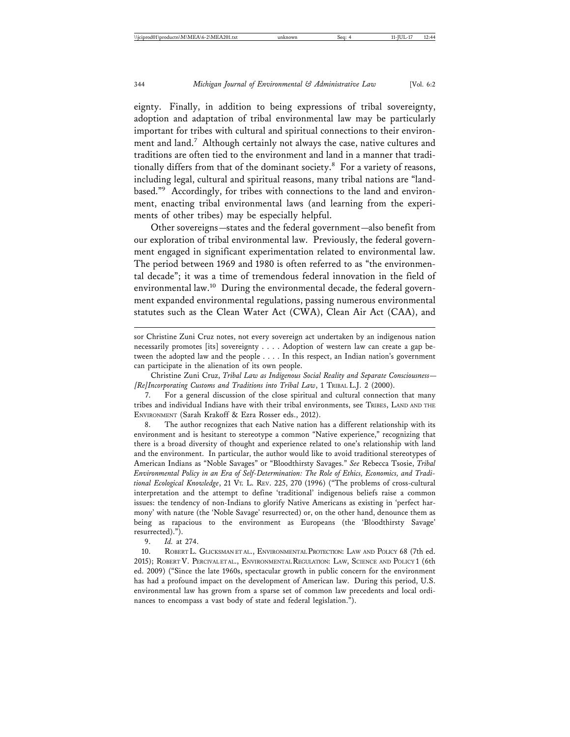eignty. Finally, in addition to being expressions of tribal sovereignty, adoption and adaptation of tribal environmental law may be particularly important for tribes with cultural and spiritual connections to their environment and land.<sup>7</sup> Although certainly not always the case, native cultures and traditions are often tied to the environment and land in a manner that traditionally differs from that of the dominant society. $8$  For a variety of reasons, including legal, cultural and spiritual reasons, many tribal nations are "landbased."9 Accordingly, for tribes with connections to the land and environment, enacting tribal environmental laws (and learning from the experiments of other tribes) may be especially helpful.

Other sovereigns—states and the federal government—also benefit from our exploration of tribal environmental law. Previously, the federal government engaged in significant experimentation related to environmental law. The period between 1969 and 1980 is often referred to as "the environmental decade"; it was a time of tremendous federal innovation in the field of environmental law.<sup>10</sup> During the environmental decade, the federal government expanded environmental regulations, passing numerous environmental statutes such as the Clean Water Act (CWA), Clean Air Act (CAA), and

sor Christine Zuni Cruz notes, not every sovereign act undertaken by an indigenous nation necessarily promotes [its] sovereignty . . . . Adoption of western law can create a gap between the adopted law and the people . . . . In this respect, an Indian nation's government can participate in the alienation of its own people.

Christine Zuni Cruz, *Tribal Law as Indigenous Social Reality and Separate Consciousness— [Re]Incorporating Customs and Traditions into Tribal Law*, 1 TRIBAL L.J. 2 (2000).

7. For a general discussion of the close spiritual and cultural connection that many tribes and individual Indians have with their tribal environments, see TRIBES, LAND AND THE ENVIRONMENT (Sarah Krakoff & Ezra Rosser eds., 2012).

8. The author recognizes that each Native nation has a different relationship with its environment and is hesitant to stereotype a common "Native experience," recognizing that there is a broad diversity of thought and experience related to one's relationship with land and the environment. In particular, the author would like to avoid traditional stereotypes of American Indians as "Noble Savages" or "Bloodthirsty Savages." *See* Rebecca Tsosie, *Tribal Environmental Policy in an Era of Self-Determination: The Role of Ethics, Economics, and Traditional Ecological Knowledge*, 21 VT. L. REV. 225, 270 (1996) ("The problems of cross-cultural interpretation and the attempt to define 'traditional' indigenous beliefs raise a common issues: the tendency of non-Indians to glorify Native Americans as existing in 'perfect harmony' with nature (the 'Noble Savage' resurrected) or, on the other hand, denounce them as being as rapacious to the environment as Europeans (the 'Bloodthirsty Savage' resurrected).").

9. *Id.* at 274.

10. ROBERT L. GLICKSMAN ET AL., ENVIRONMENTAL PROTECTION: LAW AND POLICY 68 (7th ed. 2015); ROBERT V. PERCIVAL ET AL., ENVIRONMENTAL REGULATION: LAW, SCIENCE AND POLICY 1 (6th ed. 2009) ("Since the late 1960s, spectacular growth in public concern for the environment has had a profound impact on the development of American law. During this period, U.S. environmental law has grown from a sparse set of common law precedents and local ordinances to encompass a vast body of state and federal legislation.").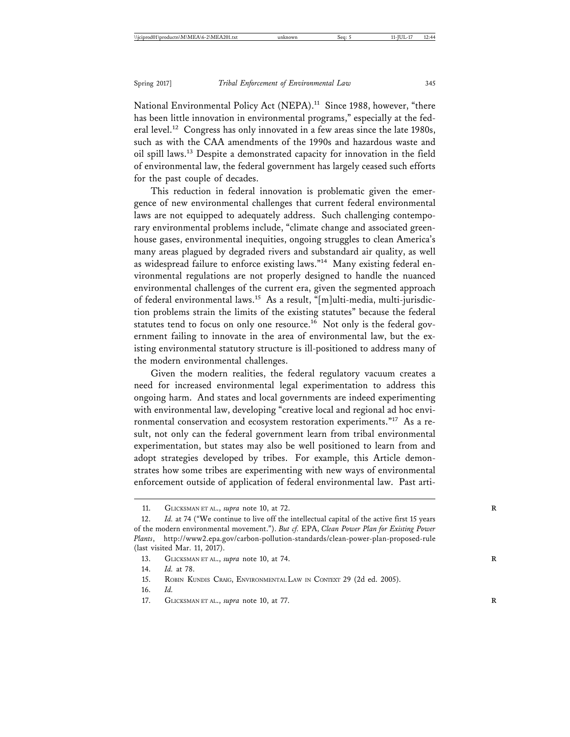National Environmental Policy Act (NEPA).<sup>11</sup> Since 1988, however, "there has been little innovation in environmental programs," especially at the federal level.12 Congress has only innovated in a few areas since the late 1980s, such as with the CAA amendments of the 1990s and hazardous waste and oil spill laws.13 Despite a demonstrated capacity for innovation in the field of environmental law, the federal government has largely ceased such efforts for the past couple of decades.

This reduction in federal innovation is problematic given the emergence of new environmental challenges that current federal environmental laws are not equipped to adequately address. Such challenging contemporary environmental problems include, "climate change and associated greenhouse gases, environmental inequities, ongoing struggles to clean America's many areas plagued by degraded rivers and substandard air quality, as well as widespread failure to enforce existing laws."14 Many existing federal environmental regulations are not properly designed to handle the nuanced environmental challenges of the current era, given the segmented approach of federal environmental laws.15 As a result, "[m]ulti-media, multi-jurisdiction problems strain the limits of the existing statutes" because the federal statutes tend to focus on only one resource.<sup>16</sup> Not only is the federal government failing to innovate in the area of environmental law, but the existing environmental statutory structure is ill-positioned to address many of the modern environmental challenges.

Given the modern realities, the federal regulatory vacuum creates a need for increased environmental legal experimentation to address this ongoing harm. And states and local governments are indeed experimenting with environmental law, developing "creative local and regional ad hoc environmental conservation and ecosystem restoration experiments."17 As a result, not only can the federal government learn from tribal environmental experimentation, but states may also be well positioned to learn from and adopt strategies developed by tribes. For example, this Article demonstrates how some tribes are experimenting with new ways of environmental enforcement outside of application of federal environmental law. Past arti-

<sup>11.</sup> GLICKSMAN ET AL., *supra* note 10, at 72. **R**

<sup>12.</sup> *Id.* at 74 ("We continue to live off the intellectual capital of the active first 15 years of the modern environmental movement."). *But cf.* EPA, *Clean Power Plan for Existing Power Plants*, http://www2.epa.gov/carbon-pollution-standards/clean-power-plan-proposed-rule (last visited Mar. 11, 2017).

<sup>13.</sup> GLICKSMAN ET AL., *supra* note 10, at 74. **R**

<sup>14.</sup> *Id.* at 78.

<sup>15.</sup> ROBIN KUNDIS CRAIG, ENVIRONMENTAL LAW IN CONTEXT 29 (2d ed. 2005).

<sup>16.</sup> *Id.*

<sup>17.</sup> GLICKSMAN ET AL., *supra* note 10, at 77. **R**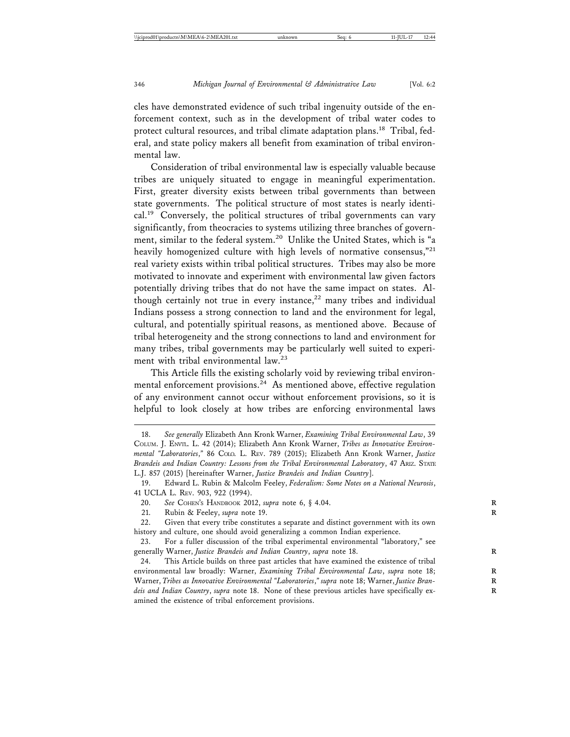cles have demonstrated evidence of such tribal ingenuity outside of the enforcement context, such as in the development of tribal water codes to protect cultural resources, and tribal climate adaptation plans.<sup>18</sup> Tribal, federal, and state policy makers all benefit from examination of tribal environmental law.

Consideration of tribal environmental law is especially valuable because tribes are uniquely situated to engage in meaningful experimentation. First, greater diversity exists between tribal governments than between state governments. The political structure of most states is nearly identical.19 Conversely, the political structures of tribal governments can vary significantly, from theocracies to systems utilizing three branches of government, similar to the federal system.<sup>20</sup> Unlike the United States, which is "a heavily homogenized culture with high levels of normative consensus,"<sup>21</sup> real variety exists within tribal political structures. Tribes may also be more motivated to innovate and experiment with environmental law given factors potentially driving tribes that do not have the same impact on states. Although certainly not true in every instance,<sup>22</sup> many tribes and individual Indians possess a strong connection to land and the environment for legal, cultural, and potentially spiritual reasons, as mentioned above. Because of tribal heterogeneity and the strong connections to land and environment for many tribes, tribal governments may be particularly well suited to experiment with tribal environmental law.<sup>23</sup>

This Article fills the existing scholarly void by reviewing tribal environmental enforcement provisions.<sup>24</sup> As mentioned above, effective regulation of any environment cannot occur without enforcement provisions, so it is helpful to look closely at how tribes are enforcing environmental laws

<sup>18.</sup> *See generally* Elizabeth Ann Kronk Warner, *Examining Tribal Environmental Law*, 39 COLUM. J. ENVTL. L. 42 (2014); Elizabeth Ann Kronk Warner, *Tribes as Innovative Environmental "Laboratories*,*"* 86 COLO. L. REV. 789 (2015); Elizabeth Ann Kronk Warner, *Justice Brandeis and Indian Country: Lessons from the Tribal Environmental Laboratory*, 47 ARIZ. STATE L.J. 857 (2015) [hereinafter Warner, *Justice Brandeis and Indian Country*].

<sup>19.</sup> Edward L. Rubin & Malcolm Feeley, *Federalism: Some Notes on a National Neurosis*, 41 UCLA L. REV. 903, 922 (1994).

<sup>20.</sup> *See* COHEN'S HANDBOOK 2012, *supra* note 6, § 4.04. **R**

<sup>21.</sup> Rubin & Feeley, *supra* note 19.

<sup>22.</sup> Given that every tribe constitutes a separate and distinct government with its own history and culture, one should avoid generalizing a common Indian experience.

<sup>23.</sup> For a fuller discussion of the tribal experimental environmental "laboratory," see generally Warner, *Justice Brandeis and Indian Country*, *supra* note 18.

<sup>24.</sup> This Article builds on three past articles that have examined the existence of tribal environmental law broadly: Warner, *Examining Tribal Environmental Law*, *supra* note 18; Warner, *Tribes as Innovative Environmental "Laboratories*," supra note 18; Warner, Justice Bran*deis and Indian Country*, *supra* note 18. None of these previous articles have specifically ex- **R** amined the existence of tribal enforcement provisions.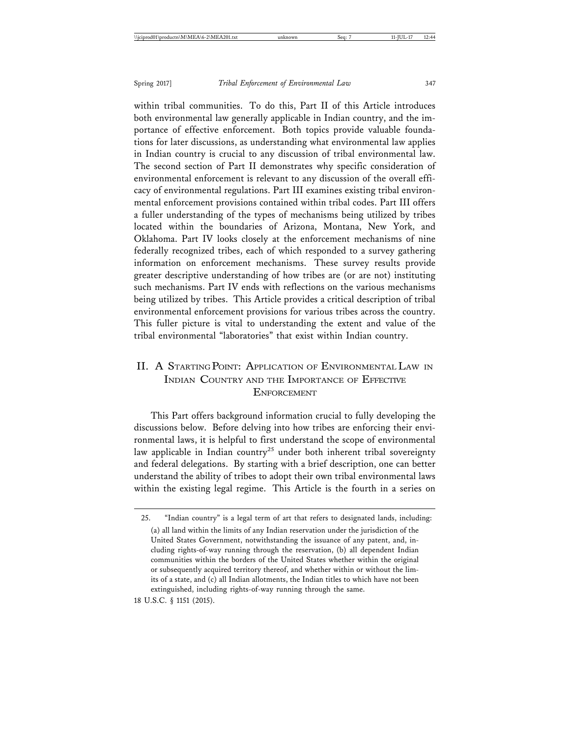within tribal communities. To do this, Part II of this Article introduces both environmental law generally applicable in Indian country, and the importance of effective enforcement. Both topics provide valuable foundations for later discussions, as understanding what environmental law applies in Indian country is crucial to any discussion of tribal environmental law. The second section of Part II demonstrates why specific consideration of environmental enforcement is relevant to any discussion of the overall efficacy of environmental regulations. Part III examines existing tribal environmental enforcement provisions contained within tribal codes. Part III offers a fuller understanding of the types of mechanisms being utilized by tribes located within the boundaries of Arizona, Montana, New York, and Oklahoma. Part IV looks closely at the enforcement mechanisms of nine federally recognized tribes, each of which responded to a survey gathering information on enforcement mechanisms. These survey results provide greater descriptive understanding of how tribes are (or are not) instituting such mechanisms. Part IV ends with reflections on the various mechanisms being utilized by tribes. This Article provides a critical description of tribal environmental enforcement provisions for various tribes across the country. This fuller picture is vital to understanding the extent and value of the tribal environmental "laboratories" that exist within Indian country.

## II. A STARTING POINT: APPLICATION OF ENVIRONMENTAL LAW IN INDIAN COUNTRY AND THE IMPORTANCE OF EFFECTIVE **ENFORCEMENT**

This Part offers background information crucial to fully developing the discussions below. Before delving into how tribes are enforcing their environmental laws, it is helpful to first understand the scope of environmental law applicable in Indian country<sup>25</sup> under both inherent tribal sovereignty and federal delegations. By starting with a brief description, one can better understand the ability of tribes to adopt their own tribal environmental laws within the existing legal regime. This Article is the fourth in a series on

<sup>25. &</sup>quot;Indian country" is a legal term of art that refers to designated lands, including: (a) all land within the limits of any Indian reservation under the jurisdiction of the United States Government, notwithstanding the issuance of any patent, and, including rights-of-way running through the reservation, (b) all dependent Indian communities within the borders of the United States whether within the original or subsequently acquired territory thereof, and whether within or without the limits of a state, and (c) all Indian allotments, the Indian titles to which have not been extinguished, including rights-of-way running through the same.

<sup>18</sup> U.S.C. § 1151 (2015).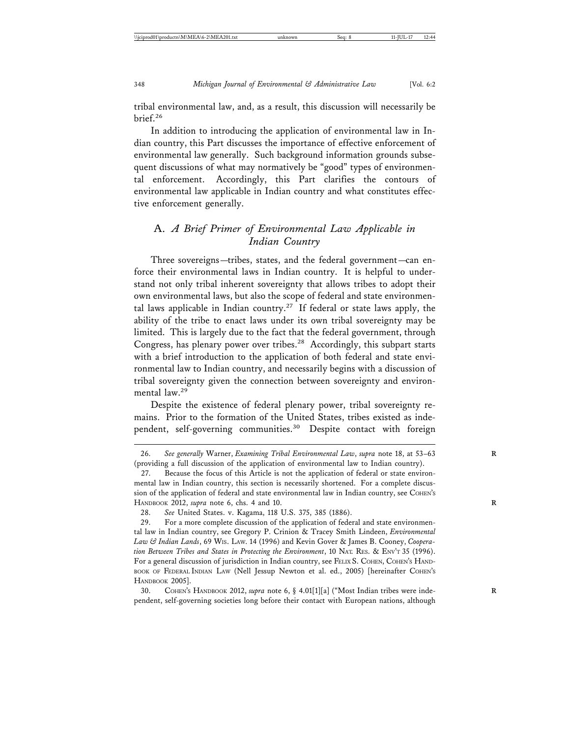tribal environmental law, and, as a result, this discussion will necessarily be brief.<sup>26</sup>

In addition to introducing the application of environmental law in Indian country, this Part discusses the importance of effective enforcement of environmental law generally. Such background information grounds subsequent discussions of what may normatively be "good" types of environmental enforcement. Accordingly, this Part clarifies the contours of environmental law applicable in Indian country and what constitutes effective enforcement generally.

## A. *A Brief Primer of Environmental Law Applicable in Indian Country*

Three sovereigns—tribes, states, and the federal government—can enforce their environmental laws in Indian country. It is helpful to understand not only tribal inherent sovereignty that allows tribes to adopt their own environmental laws, but also the scope of federal and state environmental laws applicable in Indian country.<sup>27</sup> If federal or state laws apply, the ability of the tribe to enact laws under its own tribal sovereignty may be limited. This is largely due to the fact that the federal government, through Congress, has plenary power over tribes.<sup>28</sup> Accordingly, this subpart starts with a brief introduction to the application of both federal and state environmental law to Indian country, and necessarily begins with a discussion of tribal sovereignty given the connection between sovereignty and environmental law.<sup>29</sup>

Despite the existence of federal plenary power, tribal sovereignty remains. Prior to the formation of the United States, tribes existed as independent, self-governing communities.<sup>30</sup> Despite contact with foreign

<sup>26.</sup> *See generally* Warner, *Examining Tribal Environmental Law*, *supra* note 18, at 53–63 **R** (providing a full discussion of the application of environmental law to Indian country).

<sup>27.</sup> Because the focus of this Article is not the application of federal or state environmental law in Indian country, this section is necessarily shortened. For a complete discussion of the application of federal and state environmental law in Indian country, see COHEN's HANDBOOK 2012, *supra* note 6, chs. 4 and 10. **R**

<sup>28.</sup> *See* United States. v. Kagama, 118 U.S. 375, 385 (1886).

<sup>29.</sup> For a more complete discussion of the application of federal and state environmental law in Indian country, see Gregory P. Crinion & Tracey Smith Lindeen, *Environmental Law & Indian Lands*, 69 WIS. LAW. 14 (1996) and Kevin Gover & James B. Cooney, *Cooperation Between Tribes and States in Protecting the Environment*, 10 NAT. RES. & ENV'T 35 (1996). For a general discussion of jurisdiction in Indian country, see FELIX S. COHEN, COHEN'S HAND-BOOK OF FEDERAL INDIAN LAW (Nell Jessup Newton et al. ed., 2005) [hereinafter COHEN'S HANDBOOK 2005].

<sup>30.</sup> COHEN's HANDBOOK 2012, *supra* note 6, § 4.01[1][a] ("Most Indian tribes were independent, self-governing societies long before their contact with European nations, although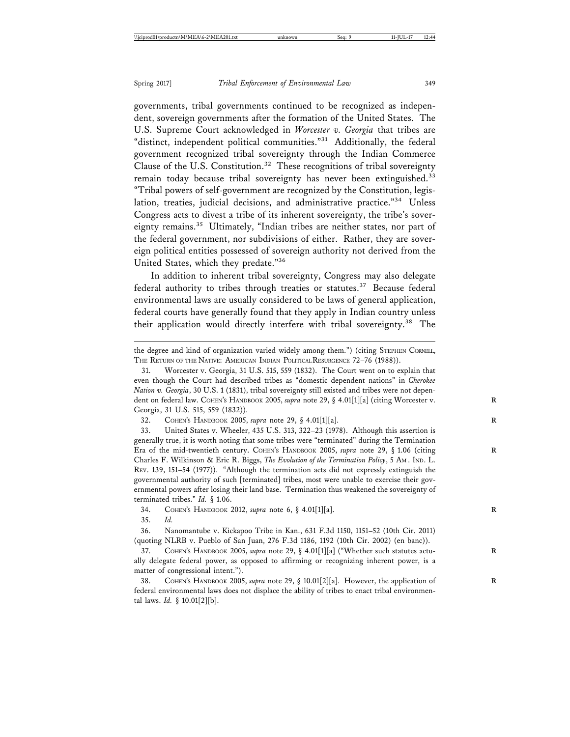governments, tribal governments continued to be recognized as independent, sovereign governments after the formation of the United States. The U.S. Supreme Court acknowledged in *Worcester v. Georgia* that tribes are "distinct, independent political communities."<sup>31</sup> Additionally, the federal government recognized tribal sovereignty through the Indian Commerce Clause of the U.S. Constitution.<sup>32</sup> These recognitions of tribal sovereignty remain today because tribal sovereignty has never been extinguished.<sup>33</sup> "Tribal powers of self-government are recognized by the Constitution, legislation, treaties, judicial decisions, and administrative practice."34 Unless Congress acts to divest a tribe of its inherent sovereignty, the tribe's sovereignty remains.<sup>35</sup> Ultimately, "Indian tribes are neither states, nor part of the federal government, nor subdivisions of either. Rather, they are sovereign political entities possessed of sovereign authority not derived from the United States, which they predate."<sup>36</sup>

In addition to inherent tribal sovereignty, Congress may also delegate federal authority to tribes through treaties or statutes.<sup>37</sup> Because federal environmental laws are usually considered to be laws of general application, federal courts have generally found that they apply in Indian country unless their application would directly interfere with tribal sovereignty.<sup>38</sup> The

33. United States v. Wheeler, 435 U.S. 313, 322–23 (1978). Although this assertion is generally true, it is worth noting that some tribes were "terminated" during the Termination Era of the mid-twentieth century. COHEN's HANDBOOK 2005, *supra* note 29, § 1.06 (citing Charles F. Wilkinson & Eric R. Biggs, *The Evolution of the Termination Policy*, 5 AM . IND. L. REV. 139, 151–54 (1977)). "Although the termination acts did not expressly extinguish the governmental authority of such [terminated] tribes, most were unable to exercise their governmental powers after losing their land base. Termination thus weakened the sovereignty of terminated tribes." *Id.* § 1.06.

34. COHEN'S HANDBOOK 2012, *supra* note 6, § 4.01[1][a]. **R**

35. *Id.*

36. Nanomantube v. Kickapoo Tribe in Kan., 631 F.3d 1150, 1151–52 (10th Cir. 2011) (quoting NLRB v. Pueblo of San Juan, 276 F.3d 1186, 1192 (10th Cir. 2002) (en banc)).

37. COHEN's HANDBOOK 2005, *supra* note 29, § 4.01[1][a] ("Whether such statutes actually delegate federal power, as opposed to affirming or recognizing inherent power, is a matter of congressional intent.").

38. COHEN's HANDBOOK 2005, *supra* note 29, § 10.01[2][a]. However, the application of federal environmental laws does not displace the ability of tribes to enact tribal environmental laws. *Id.* § 10.01[2][b].

the degree and kind of organization varied widely among them.") (citing STEPHEN CORNELL, THE RETURN OF THE NATIVE: AMERICAN INDIAN POLITICAL RESURGENCE 72–76 (1988)).

<sup>31.</sup> Worcester v. Georgia, 31 U.S. 515, 559 (1832). The Court went on to explain that even though the Court had described tribes as "domestic dependent nations" in *Cherokee Nation v. Georgia*, 30 U.S. 1 (1831), tribal sovereignty still existed and tribes were not dependent on federal law. COHEN'S HANDBOOK 2005, *supra* note 29, § 4.01[1][a] (citing Worcester v. Georgia, 31 U.S. 515, 559 (1832)).

<sup>32.</sup> COHEN'S HANDBOOK 2005, *supra* note 29, § 4.01[1][a]. **R**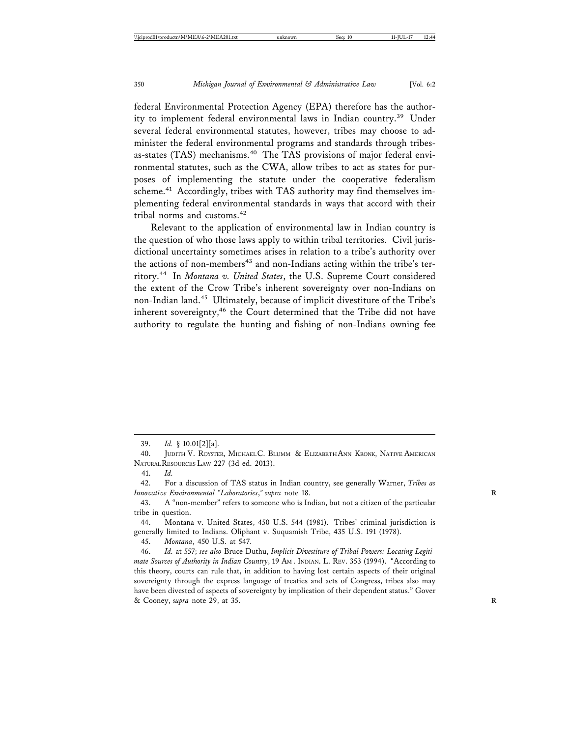federal Environmental Protection Agency (EPA) therefore has the authority to implement federal environmental laws in Indian country.39 Under several federal environmental statutes, however, tribes may choose to administer the federal environmental programs and standards through tribesas-states (TAS) mechanisms.<sup>40</sup> The TAS provisions of major federal environmental statutes, such as the CWA, allow tribes to act as states for purposes of implementing the statute under the cooperative federalism scheme.<sup>41</sup> Accordingly, tribes with TAS authority may find themselves implementing federal environmental standards in ways that accord with their tribal norms and customs.<sup>42</sup>

Relevant to the application of environmental law in Indian country is the question of who those laws apply to within tribal territories. Civil jurisdictional uncertainty sometimes arises in relation to a tribe's authority over the actions of non-members<sup>43</sup> and non-Indians acting within the tribe's territory.44 In *Montana v. United States*, the U.S. Supreme Court considered the extent of the Crow Tribe's inherent sovereignty over non-Indians on non-Indian land.45 Ultimately, because of implicit divestiture of the Tribe's inherent sovereignty, $46$  the Court determined that the Tribe did not have authority to regulate the hunting and fishing of non-Indians owning fee

45. *Montana*, 450 U.S. at 547.

<sup>39.</sup> *Id.* § 10.01[2][a].

<sup>40.</sup> JUDITH V. ROYSTER, MICHAEL C. BLUMM & ELIZABETH ANN KRONK, NATIVE AMERICAN NATURAL RESOURCES LAW 227 (3d ed. 2013).

<sup>41.</sup> *Id.*

<sup>42.</sup> For a discussion of TAS status in Indian country, see generally Warner, *Tribes as Innovative Environmental "Laboratories," supra* note 18.

<sup>43.</sup> A "non-member" refers to someone who is Indian, but not a citizen of the particular tribe in question.

<sup>44.</sup> Montana v. United States, 450 U.S. 544 (1981). Tribes' criminal jurisdiction is generally limited to Indians. Oliphant v. Suquamish Tribe, 435 U.S. 191 (1978).

<sup>46.</sup> *Id.* at 557; *see also* Bruce Duthu, *Implicit Divestiture of Tribal Powers: Locating Legitimate Sources of Authority in Indian Country*, 19 AM . INDIAN. L. REV. 353 (1994). "According to this theory, courts can rule that, in addition to having lost certain aspects of their original sovereignty through the express language of treaties and acts of Congress, tribes also may have been divested of aspects of sovereignty by implication of their dependent status." Gover & Cooney, *supra* note 29, at 35. **R**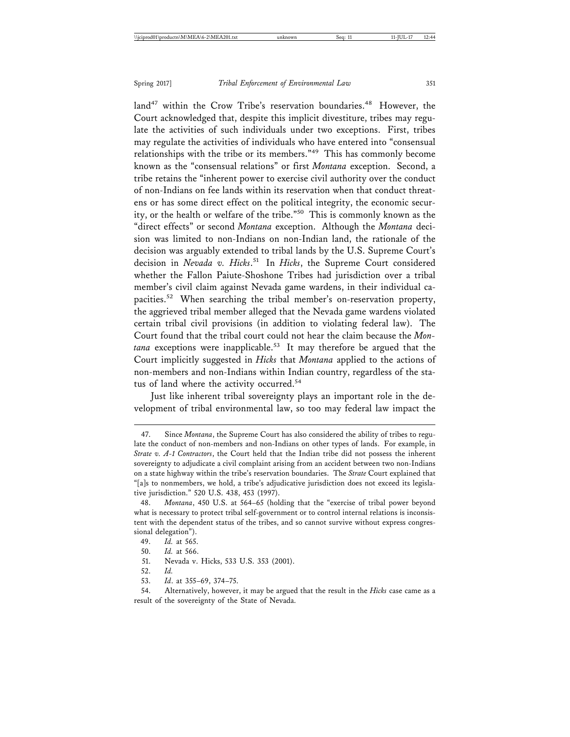land<sup>47</sup> within the Crow Tribe's reservation boundaries.<sup>48</sup> However, the Court acknowledged that, despite this implicit divestiture, tribes may regulate the activities of such individuals under two exceptions. First, tribes may regulate the activities of individuals who have entered into "consensual relationships with the tribe or its members."49 This has commonly become known as the "consensual relations" or first *Montana* exception. Second, a tribe retains the "inherent power to exercise civil authority over the conduct of non-Indians on fee lands within its reservation when that conduct threatens or has some direct effect on the political integrity, the economic security, or the health or welfare of the tribe."50 This is commonly known as the "direct effects" or second *Montana* exception. Although the *Montana* decision was limited to non-Indians on non-Indian land, the rationale of the decision was arguably extended to tribal lands by the U.S. Supreme Court's decision in *Nevada v. Hicks*. 51 In *Hicks*, the Supreme Court considered whether the Fallon Paiute-Shoshone Tribes had jurisdiction over a tribal member's civil claim against Nevada game wardens, in their individual capacities.52 When searching the tribal member's on-reservation property, the aggrieved tribal member alleged that the Nevada game wardens violated certain tribal civil provisions (in addition to violating federal law). The Court found that the tribal court could not hear the claim because the *Mon*tana exceptions were inapplicable.<sup>53</sup> It may therefore be argued that the Court implicitly suggested in *Hicks* that *Montana* applied to the actions of non-members and non-Indians within Indian country, regardless of the status of land where the activity occurred.<sup>54</sup>

Just like inherent tribal sovereignty plays an important role in the development of tribal environmental law, so too may federal law impact the

54. Alternatively, however, it may be argued that the result in the *Hicks* case came as a result of the sovereignty of the State of Nevada.

<sup>47.</sup> Since *Montana*, the Supreme Court has also considered the ability of tribes to regulate the conduct of non-members and non-Indians on other types of lands. For example, in *Strate v. A-1 Contractors*, the Court held that the Indian tribe did not possess the inherent sovereignty to adjudicate a civil complaint arising from an accident between two non-Indians on a state highway within the tribe's reservation boundaries. The *Strate* Court explained that "[a]s to nonmembers, we hold, a tribe's adjudicative jurisdiction does not exceed its legislative jurisdiction." 520 U.S. 438, 453 (1997).

<sup>48.</sup> *Montana*, 450 U.S. at 564–65 (holding that the "exercise of tribal power beyond what is necessary to protect tribal self-government or to control internal relations is inconsistent with the dependent status of the tribes, and so cannot survive without express congressional delegation").

<sup>49.</sup> *Id.* at 565.

<sup>50.</sup> *Id.* at 566.

<sup>51.</sup> Nevada v. Hicks, 533 U.S. 353 (2001).

<sup>52.</sup> *Id.*

<sup>53.</sup> *Id*. at 355–69, 374–75.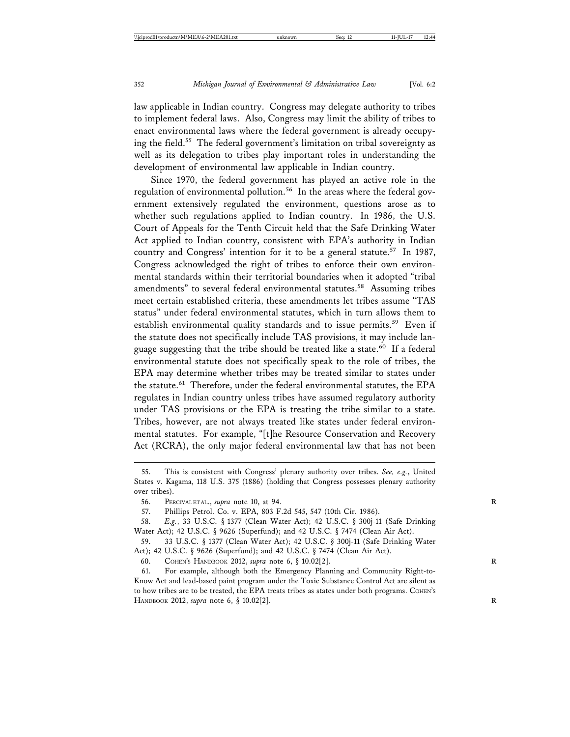law applicable in Indian country. Congress may delegate authority to tribes to implement federal laws. Also, Congress may limit the ability of tribes to enact environmental laws where the federal government is already occupying the field.<sup>55</sup> The federal government's limitation on tribal sovereignty as well as its delegation to tribes play important roles in understanding the development of environmental law applicable in Indian country.

Since 1970, the federal government has played an active role in the regulation of environmental pollution.<sup>56</sup> In the areas where the federal government extensively regulated the environment, questions arose as to whether such regulations applied to Indian country. In 1986, the U.S. Court of Appeals for the Tenth Circuit held that the Safe Drinking Water Act applied to Indian country, consistent with EPA's authority in Indian country and Congress' intention for it to be a general statute.<sup>57</sup> In 1987, Congress acknowledged the right of tribes to enforce their own environmental standards within their territorial boundaries when it adopted "tribal amendments" to several federal environmental statutes.<sup>58</sup> Assuming tribes meet certain established criteria, these amendments let tribes assume "TAS status" under federal environmental statutes, which in turn allows them to establish environmental quality standards and to issue permits.<sup>59</sup> Even if the statute does not specifically include TAS provisions, it may include language suggesting that the tribe should be treated like a state.<sup>60</sup> If a federal environmental statute does not specifically speak to the role of tribes, the EPA may determine whether tribes may be treated similar to states under the statute.<sup>61</sup> Therefore, under the federal environmental statutes, the EPA regulates in Indian country unless tribes have assumed regulatory authority under TAS provisions or the EPA is treating the tribe similar to a state. Tribes, however, are not always treated like states under federal environmental statutes. For example, "[t]he Resource Conservation and Recovery Act (RCRA), the only major federal environmental law that has not been

60. СОНЕМ'S НАМОВООК 2012, *supra* note 6, § 10.02[2].

61. For example, although both the Emergency Planning and Community Right-to-Know Act and lead-based paint program under the Toxic Substance Control Act are silent as to how tribes are to be treated, the EPA treats tribes as states under both programs. COHEN'S HANDBOOK 2012, *supra* note 6, § 10.02[2]. **R**

<sup>55.</sup> This is consistent with Congress' plenary authority over tribes. *See, e.g.*, United States v. Kagama, 118 U.S. 375 (1886) (holding that Congress possesses plenary authority over tribes).

<sup>56.</sup> PERCIVAL ET AL., *supra* note 10, at 94. **R**

<sup>57.</sup> Phillips Petrol. Co. v. EPA, 803 F.2d 545, 547 (10th Cir. 1986).

<sup>58.</sup> *E.g.*, 33 U.S.C. § 1377 (Clean Water Act); 42 U.S.C. § 300j-11 (Safe Drinking Water Act); 42 U.S.C. § 9626 (Superfund); and 42 U.S.C. § 7474 (Clean Air Act).

<sup>59. 33</sup> U.S.C. § 1377 (Clean Water Act); 42 U.S.C. § 300j-11 (Safe Drinking Water Act); 42 U.S.C. § 9626 (Superfund); and 42 U.S.C. § 7474 (Clean Air Act).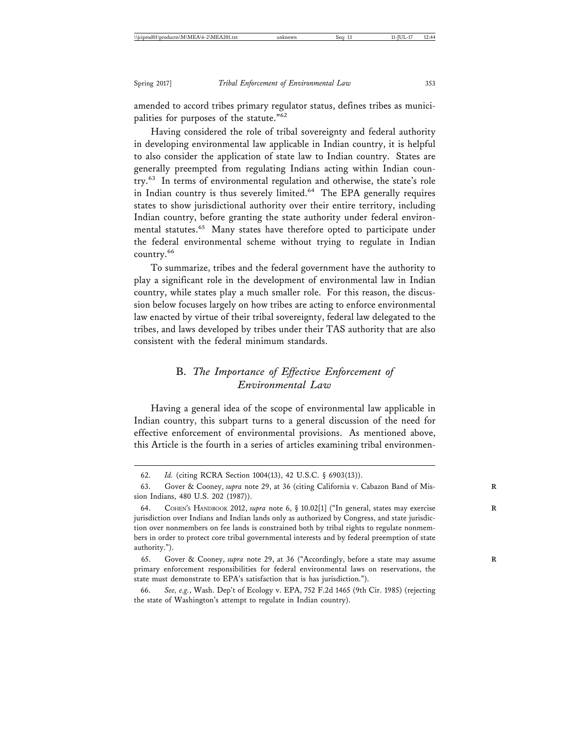amended to accord tribes primary regulator status, defines tribes as municipalities for purposes of the statute."<sup>62</sup>

Having considered the role of tribal sovereignty and federal authority in developing environmental law applicable in Indian country, it is helpful to also consider the application of state law to Indian country. States are generally preempted from regulating Indians acting within Indian country.63 In terms of environmental regulation and otherwise, the state's role in Indian country is thus severely limited.<sup>64</sup> The EPA generally requires states to show jurisdictional authority over their entire territory, including Indian country, before granting the state authority under federal environmental statutes.<sup>65</sup> Many states have therefore opted to participate under the federal environmental scheme without trying to regulate in Indian country.<sup>66</sup>

To summarize, tribes and the federal government have the authority to play a significant role in the development of environmental law in Indian country, while states play a much smaller role. For this reason, the discussion below focuses largely on how tribes are acting to enforce environmental law enacted by virtue of their tribal sovereignty, federal law delegated to the tribes, and laws developed by tribes under their TAS authority that are also consistent with the federal minimum standards.

## B. *The Importance of Effective Enforcement of Environmental Law*

Having a general idea of the scope of environmental law applicable in Indian country, this subpart turns to a general discussion of the need for effective enforcement of environmental provisions. As mentioned above, this Article is the fourth in a series of articles examining tribal environmen-

<sup>62.</sup> *Id.* (citing RCRA Section 1004(13), 42 U.S.C. § 6903(13)).

<sup>63.</sup> Gover & Cooney, *supra* note 29, at 36 (citing California v. Cabazon Band of Mission Indians, 480 U.S. 202 (1987)).

<sup>64.</sup> COHEN's HANDBOOK 2012, *supra* note 6, § 10.02[1] ("In general, states may exercise jurisdiction over Indians and Indian lands only as authorized by Congress, and state jurisdiction over nonmembers on fee lands is constrained both by tribal rights to regulate nonmembers in order to protect core tribal governmental interests and by federal preemption of state authority.").

<sup>65.</sup> Gover & Cooney, *supra* note 29, at 36 ("Accordingly, before a state may assume **R** primary enforcement responsibilities for federal environmental laws on reservations, the state must demonstrate to EPA's satisfaction that is has jurisdiction.").

<sup>66.</sup> *See, e.g.*, Wash. Dep't of Ecology v. EPA, 752 F.2d 1465 (9th Cir. 1985) (rejecting the state of Washington's attempt to regulate in Indian country).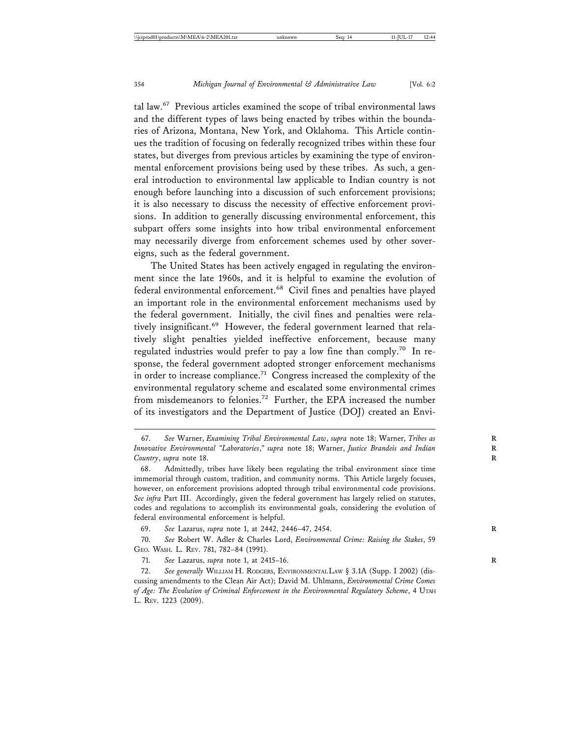tal law.<sup>67</sup> Previous articles examined the scope of tribal environmental laws and the different types of laws being enacted by tribes within the boundaries of Arizona, Montana, New York, and Oklahoma. This Article continues the tradition of focusing on federally recognized tribes within these four states, but diverges from previous articles by examining the type of environmental enforcement provisions being used by these tribes. As such, a general introduction to environmental law applicable to Indian country is not enough before launching into a discussion of such enforcement provisions; it is also necessary to discuss the necessity of effective enforcement provisions. In addition to generally discussing environmental enforcement, this subpart offers some insights into how tribal environmental enforcement may necessarily diverge from enforcement schemes used by other sovereigns, such as the federal government.

The United States has been actively engaged in regulating the environment since the late 1960s, and it is helpful to examine the evolution of federal environmental enforcement.<sup>68</sup> Civil fines and penalties have played an important role in the environmental enforcement mechanisms used by the federal government. Initially, the civil fines and penalties were relatively insignificant.<sup>69</sup> However, the federal government learned that relatively slight penalties yielded ineffective enforcement, because many regulated industries would prefer to pay a low fine than comply.<sup>70</sup> In response, the federal government adopted stronger enforcement mechanisms in order to increase compliance.<sup>71</sup> Congress increased the complexity of the environmental regulatory scheme and escalated some environmental crimes from misdemeanors to felonies.<sup>72</sup> Further, the EPA increased the number of its investigators and the Department of Justice (DOJ) created an Envi-

<sup>67.</sup> *See* Warner, *Examining Tribal Environmental Law*, *supra* note 18; Warner, *Tribes as* **R** *Innovative Environmental "Laboratories*,*" supra* note 18; Warner, *Justice Brandeis and Indian* **R** *Country*, *supra* note 18.

<sup>68.</sup> Admittedly, tribes have likely been regulating the tribal environment since time immemorial through custom, tradition, and community norms. This Article largely focuses, however, on enforcement provisions adopted through tribal environmental code provisions. *See infra* Part III. Accordingly, given the federal government has largely relied on statutes, codes and regulations to accomplish its environmental goals, considering the evolution of federal environmental enforcement is helpful.

<sup>69.</sup> *See* Lazarus, *supra* note 1, at 2442, 2446–47, 2454. **R**

<sup>70.</sup> *See* Robert W. Adler & Charles Lord, *Environmental Crime: Raising the Stakes*, 59 GEO. WASH. L. REV. 781, 782–84 (1991).

<sup>71.</sup> *See* Lazarus, *supra* note 1, at 2415–16. **R**

<sup>72.</sup> *See generally* WILLIAM H. RODGERS, ENVIRONMENTAL LAW § 3.1A (Supp. I 2002) (discussing amendments to the Clean Air Act); David M. Uhlmann, *Environmental Crime Comes of Age: The Evolution of Criminal Enforcement in the Environmental Regulatory Scheme*, 4 UTAH L. REV. 1223 (2009).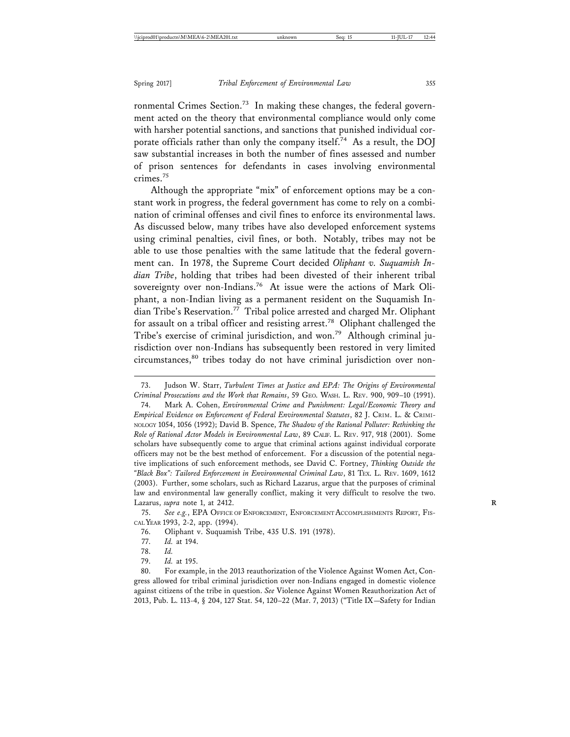ronmental Crimes Section.<sup>73</sup> In making these changes, the federal government acted on the theory that environmental compliance would only come with harsher potential sanctions, and sanctions that punished individual corporate officials rather than only the company itself.<sup>74</sup> As a result, the DOJ saw substantial increases in both the number of fines assessed and number of prison sentences for defendants in cases involving environmental crimes.<sup>75</sup>

Although the appropriate "mix" of enforcement options may be a constant work in progress, the federal government has come to rely on a combination of criminal offenses and civil fines to enforce its environmental laws. As discussed below, many tribes have also developed enforcement systems using criminal penalties, civil fines, or both. Notably, tribes may not be able to use those penalties with the same latitude that the federal government can. In 1978, the Supreme Court decided *Oliphant v. Suquamish Indian Tribe*, holding that tribes had been divested of their inherent tribal sovereignty over non-Indians.<sup>76</sup> At issue were the actions of Mark Oliphant, a non-Indian living as a permanent resident on the Suquamish Indian Tribe's Reservation.<sup>77</sup> Tribal police arrested and charged Mr. Oliphant for assault on a tribal officer and resisting arrest.78 Oliphant challenged the Tribe's exercise of criminal jurisdiction, and won.<sup>79</sup> Although criminal jurisdiction over non-Indians has subsequently been restored in very limited circumstances,<sup>80</sup> tribes today do not have criminal jurisdiction over non-

75. *See e.g.*, EPA OFFICE OF ENFORCEMENT, ENFORCEMENT ACCOMPLISHMENTS REPORT, FIS-CAL YEAR 1993, 2-2, app. (1994).

77. *Id.* at 194.

<sup>73.</sup> Judson W. Starr, *Turbulent Times at Justice and EPA: The Origins of Environmental Criminal Prosecutions and the Work that Remains*, 59 GEO. WASH. L. REV. 900, 909–10 (1991).

<sup>74.</sup> Mark A. Cohen, *Environmental Crime and Punishment: Legal/Economic Theory and Empirical Evidence on Enforcement of Federal Environmental Statutes*, 82 J. CRIM. L. & CRIMI-NOLOGY 1054, 1056 (1992); David B. Spence, *The Shadow of the Rational Polluter: Rethinking the Role of Rational Actor Models in Environmental Law*, 89 CALIF. L. REV. 917, 918 (2001). Some scholars have subsequently come to argue that criminal actions against individual corporate officers may not be the best method of enforcement. For a discussion of the potential negative implications of such enforcement methods, see David C. Fortney, *Thinking Outside the "Black Box": Tailored Enforcement in Environmental Criminal Law*, 81 TEX. L. REV. 1609, 1612 (2003). Further, some scholars, such as Richard Lazarus, argue that the purposes of criminal law and environmental law generally conflict, making it very difficult to resolve the two. Lazarus, *supra* note 1, at 2412. **R**

<sup>76.</sup> Oliphant v. Suquamish Tribe, 435 U.S. 191 (1978).

<sup>78.</sup> *Id.*

<sup>79.</sup> *Id.* at 195.

<sup>80.</sup> For example, in the 2013 reauthorization of the Violence Against Women Act, Congress allowed for tribal criminal jurisdiction over non-Indians engaged in domestic violence against citizens of the tribe in question. *See* Violence Against Women Reauthorization Act of 2013, Pub. L. 113-4, § 204, 127 Stat. 54, 120–22 (Mar. 7, 2013) ("Title IX—Safety for Indian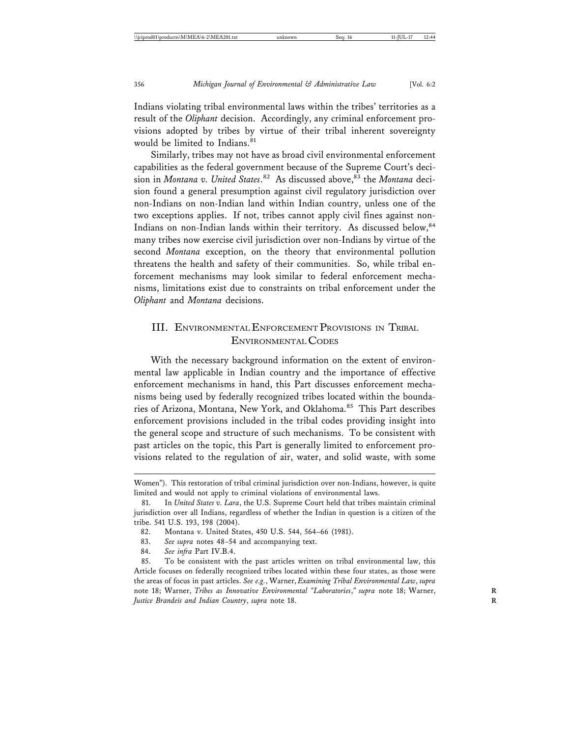Indians violating tribal environmental laws within the tribes' territories as a result of the *Oliphant* decision. Accordingly, any criminal enforcement provisions adopted by tribes by virtue of their tribal inherent sovereignty would be limited to Indians.<sup>81</sup>

Similarly, tribes may not have as broad civil environmental enforcement capabilities as the federal government because of the Supreme Court's decision in *Montana v. United States*. 82 As discussed above,83 the *Montana* decision found a general presumption against civil regulatory jurisdiction over non-Indians on non-Indian land within Indian country, unless one of the two exceptions applies. If not, tribes cannot apply civil fines against non-Indians on non-Indian lands within their territory. As discussed below, 84 many tribes now exercise civil jurisdiction over non-Indians by virtue of the second *Montana* exception, on the theory that environmental pollution threatens the health and safety of their communities. So, while tribal enforcement mechanisms may look similar to federal enforcement mechanisms, limitations exist due to constraints on tribal enforcement under the *Oliphant* and *Montana* decisions.

## III. ENVIRONMENTAL ENFORCEMENT PROVISIONS IN TRIBAL ENVIRONMENTAL CODES

With the necessary background information on the extent of environmental law applicable in Indian country and the importance of effective enforcement mechanisms in hand, this Part discusses enforcement mechanisms being used by federally recognized tribes located within the boundaries of Arizona, Montana, New York, and Oklahoma.<sup>85</sup> This Part describes enforcement provisions included in the tribal codes providing insight into the general scope and structure of such mechanisms. To be consistent with past articles on the topic, this Part is generally limited to enforcement provisions related to the regulation of air, water, and solid waste, with some

Women"). This restoration of tribal criminal jurisdiction over non-Indians, however, is quite limited and would not apply to criminal violations of environmental laws.

<sup>81.</sup> In *United States v. Lara*, the U.S. Supreme Court held that tribes maintain criminal jurisdiction over all Indians, regardless of whether the Indian in question is a citizen of the tribe. 541 U.S. 193, 198 (2004).

<sup>82.</sup> Montana v. United States, 450 U.S. 544, 564–66 (1981).

<sup>83.</sup> *See supra* notes 48–54 and accompanying text.

<sup>84.</sup> *See infra* Part IV.B.4.

<sup>85.</sup> To be consistent with the past articles written on tribal environmental law, this Article focuses on federally recognized tribes located within these four states, as those were the areas of focus in past articles. *See e.g.*, Warner, *Examining Tribal Environmental Law*, *supra* note 18; Warner, *Tribes as Innovative Environmental "Laboratories*,*" supra* note 18; Warner, **R** *Justice Brandeis and Indian Country*, *supra* note 18.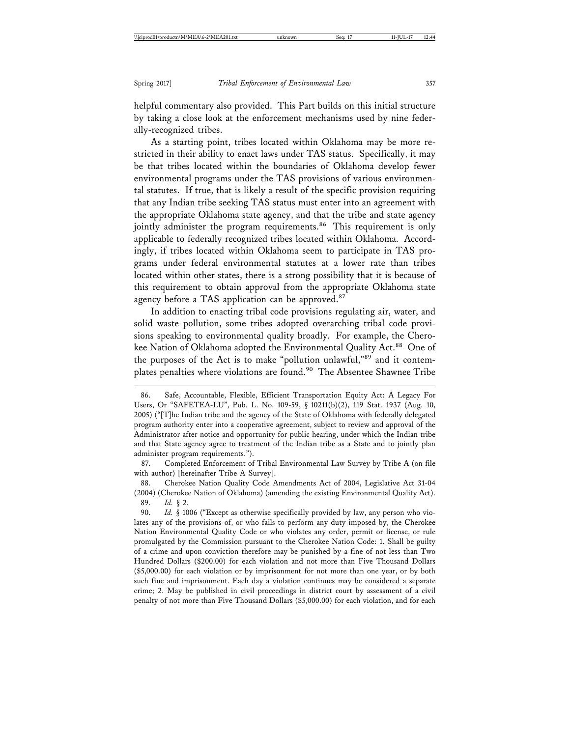helpful commentary also provided. This Part builds on this initial structure by taking a close look at the enforcement mechanisms used by nine federally-recognized tribes.

As a starting point, tribes located within Oklahoma may be more restricted in their ability to enact laws under TAS status. Specifically, it may be that tribes located within the boundaries of Oklahoma develop fewer environmental programs under the TAS provisions of various environmental statutes. If true, that is likely a result of the specific provision requiring that any Indian tribe seeking TAS status must enter into an agreement with the appropriate Oklahoma state agency, and that the tribe and state agency jointly administer the program requirements.<sup>86</sup> This requirement is only applicable to federally recognized tribes located within Oklahoma. Accordingly, if tribes located within Oklahoma seem to participate in TAS programs under federal environmental statutes at a lower rate than tribes located within other states, there is a strong possibility that it is because of this requirement to obtain approval from the appropriate Oklahoma state agency before a TAS application can be approved.<sup>87</sup>

In addition to enacting tribal code provisions regulating air, water, and solid waste pollution, some tribes adopted overarching tribal code provisions speaking to environmental quality broadly. For example, the Cherokee Nation of Oklahoma adopted the Environmental Quality Act.<sup>88</sup> One of the purposes of the Act is to make "pollution unlawful,"89 and it contemplates penalties where violations are found.<sup>90</sup> The Absentee Shawnee Tribe

87. Completed Enforcement of Tribal Environmental Law Survey by Tribe A (on file with author) [hereinafter Tribe A Survey].

88. Cherokee Nation Quality Code Amendments Act of 2004, Legislative Act 31-04 (2004) (Cherokee Nation of Oklahoma) (amending the existing Environmental Quality Act). 89. *Id.* § 2.

90. *Id.* § 1006 ("Except as otherwise specifically provided by law, any person who violates any of the provisions of, or who fails to perform any duty imposed by, the Cherokee Nation Environmental Quality Code or who violates any order, permit or license, or rule promulgated by the Commission pursuant to the Cherokee Nation Code: 1. Shall be guilty of a crime and upon conviction therefore may be punished by a fine of not less than Two Hundred Dollars (\$200.00) for each violation and not more than Five Thousand Dollars (\$5,000.00) for each violation or by imprisonment for not more than one year, or by both such fine and imprisonment. Each day a violation continues may be considered a separate crime; 2. May be published in civil proceedings in district court by assessment of a civil penalty of not more than Five Thousand Dollars (\$5,000.00) for each violation, and for each

<sup>86.</sup> Safe, Accountable, Flexible, Efficient Transportation Equity Act: A Legacy For Users, Or "SAFETEA-LU", Pub. L. No. 109-59, § 10211(b)(2), 119 Stat. 1937 (Aug. 10, 2005) ("[T]he Indian tribe and the agency of the State of Oklahoma with federally delegated program authority enter into a cooperative agreement, subject to review and approval of the Administrator after notice and opportunity for public hearing, under which the Indian tribe and that State agency agree to treatment of the Indian tribe as a State and to jointly plan administer program requirements.").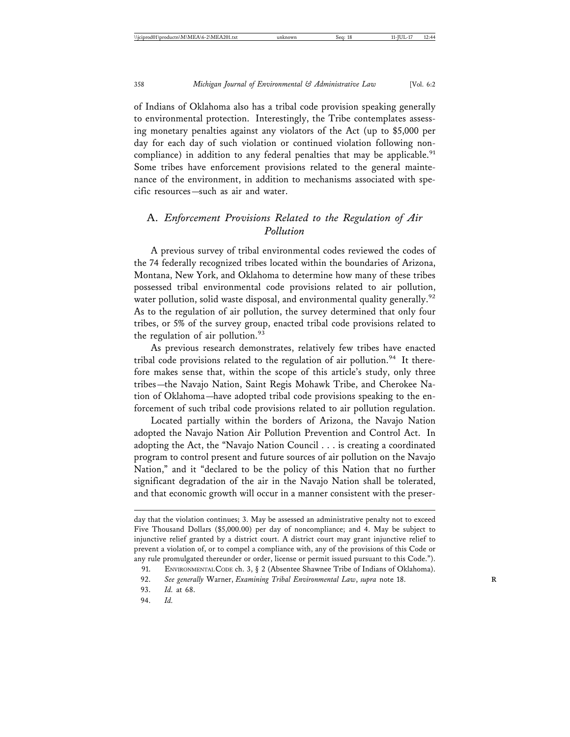of Indians of Oklahoma also has a tribal code provision speaking generally to environmental protection. Interestingly, the Tribe contemplates assessing monetary penalties against any violators of the Act (up to \$5,000 per day for each day of such violation or continued violation following noncompliance) in addition to any federal penalties that may be applicable.<sup>91</sup> Some tribes have enforcement provisions related to the general maintenance of the environment, in addition to mechanisms associated with specific resources—such as air and water.

## A. *Enforcement Provisions Related to the Regulation of Air Pollution*

A previous survey of tribal environmental codes reviewed the codes of the 74 federally recognized tribes located within the boundaries of Arizona, Montana, New York, and Oklahoma to determine how many of these tribes possessed tribal environmental code provisions related to air pollution, water pollution, solid waste disposal, and environmental quality generally.<sup>92</sup> As to the regulation of air pollution, the survey determined that only four tribes, or 5% of the survey group, enacted tribal code provisions related to the regulation of air pollution. $93$ 

As previous research demonstrates, relatively few tribes have enacted tribal code provisions related to the regulation of air pollution.<sup>94</sup> It therefore makes sense that, within the scope of this article's study, only three tribes—the Navajo Nation, Saint Regis Mohawk Tribe, and Cherokee Nation of Oklahoma—have adopted tribal code provisions speaking to the enforcement of such tribal code provisions related to air pollution regulation.

Located partially within the borders of Arizona, the Navajo Nation adopted the Navajo Nation Air Pollution Prevention and Control Act. In adopting the Act, the "Navajo Nation Council . . . is creating a coordinated program to control present and future sources of air pollution on the Navajo Nation," and it "declared to be the policy of this Nation that no further significant degradation of the air in the Navajo Nation shall be tolerated, and that economic growth will occur in a manner consistent with the preser-

day that the violation continues; 3. May be assessed an administrative penalty not to exceed Five Thousand Dollars (\$5,000.00) per day of noncompliance; and 4. May be subject to injunctive relief granted by a district court. A district court may grant injunctive relief to prevent a violation of, or to compel a compliance with, any of the provisions of this Code or any rule promulgated thereunder or order, license or permit issued pursuant to this Code.").

<sup>91.</sup> ENVIRONMENTAL CODE ch. 3, § 2 (Absentee Shawnee Tribe of Indians of Oklahoma).

<sup>92.</sup> See generally Warner, *Examining Tribal Environmental Law*, *supra* note 18.

<sup>93.</sup> *Id.* at 68.

<sup>94.</sup> *Id.*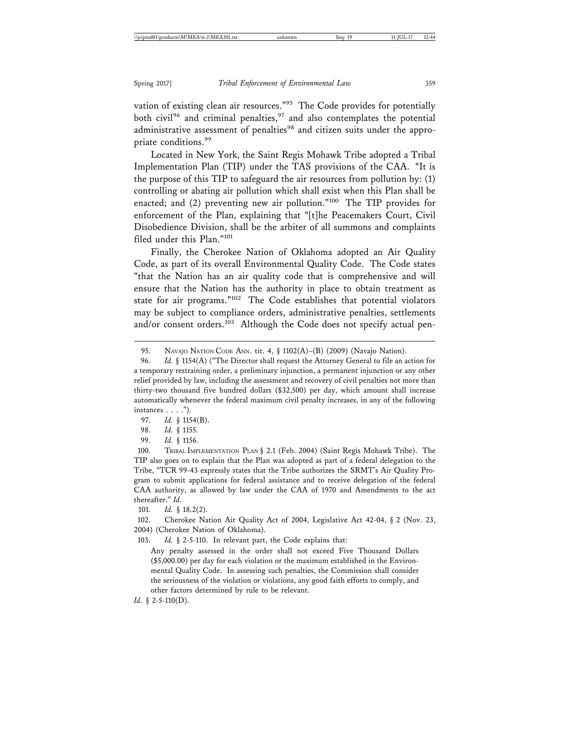vation of existing clean air resources."<sup>95</sup> The Code provides for potentially both civil<sup>96</sup> and criminal penalties,<sup>97</sup> and also contemplates the potential administrative assessment of penalties<sup>98</sup> and citizen suits under the appropriate conditions.<sup>99</sup>

Located in New York, the Saint Regis Mohawk Tribe adopted a Tribal Implementation Plan (TIP) under the TAS provisions of the CAA. "It is the purpose of this TIP to safeguard the air resources from pollution by: (1) controlling or abating air pollution which shall exist when this Plan shall be enacted; and (2) preventing new air pollution."100 The TIP provides for enforcement of the Plan, explaining that "[t]he Peacemakers Court, Civil Disobedience Division, shall be the arbiter of all summons and complaints filed under this Plan."<sup>101</sup>

Finally, the Cherokee Nation of Oklahoma adopted an Air Quality Code, as part of its overall Environmental Quality Code. The Code states "that the Nation has an air quality code that is comprehensive and will ensure that the Nation has the authority in place to obtain treatment as state for air programs."102 The Code establishes that potential violators may be subject to compliance orders, administrative penalties, settlements and/or consent orders.<sup>103</sup> Although the Code does not specify actual pen-

99. *Id.* § 1156.

100. TRIBAL IMPLEMENTATION PLAN § 2.1 (Feb. 2004) (Saint Regis Mohawk Tribe). The TIP also goes on to explain that the Plan was adopted as part of a federal delegation to the Tribe, "TCR 99-43 expressly states that the Tribe authorizes the SRMT's Air Quality Program to submit applications for federal assistance and to receive delegation of the federal CAA authority, as allowed by law under the CAA of 1970 and Amendments to the act thereafter." *Id.*

101. *Id.* § 18.2(2).

102. Cherokee Nation Air Quality Act of 2004, Legislative Act 42-04, § 2 (Nov. 23, 2004) (Cherokee Nation of Oklahoma).

103. *Id.* § 2-5-110. In relevant part, the Code explains that:

Any penalty assessed in the order shall not exceed Five Thousand Dollars (\$5,000.00) per day for each violation or the maximum established in the Environmental Quality Code. In assessing such penalties, the Commission shall consider the seriousness of the violation or violations, any good faith efforts to comply, and other factors determined by rule to be relevant.

*Id.* § 2-5-110(D).

<sup>95.</sup> NAVAJO NATION CODE ANN. tit. 4, § 1102(A)–(B) (2009) (Navajo Nation).

<sup>96.</sup> *Id.* § 1154(A) ("The Director shall request the Attorney General to file an action for a temporary restraining order, a preliminary injunction, a permanent injunction or any other relief provided by law, including the assessment and recovery of civil penalties not more than thirty-two thousand five hundred dollars (\$32,500) per day, which amount shall increase automatically whenever the federal maximum civil penalty increases, in any of the following instances  $\ldots$ .").

<sup>97.</sup> *Id.* § 1154(B).

<sup>98.</sup> *Id.* § 1155.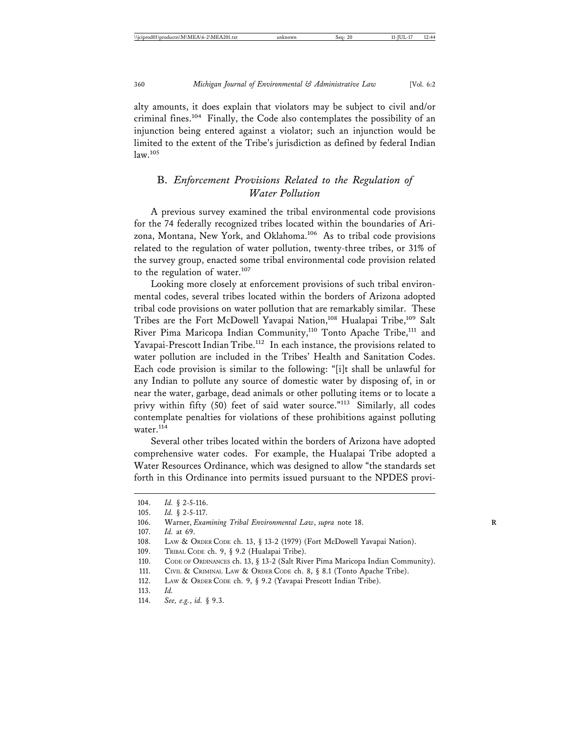alty amounts, it does explain that violators may be subject to civil and/or criminal fines.104 Finally, the Code also contemplates the possibility of an injunction being entered against a violator; such an injunction would be limited to the extent of the Tribe's jurisdiction as defined by federal Indian law.105

## B. *Enforcement Provisions Related to the Regulation of Water Pollution*

A previous survey examined the tribal environmental code provisions for the 74 federally recognized tribes located within the boundaries of Arizona, Montana, New York, and Oklahoma.<sup>106</sup> As to tribal code provisions related to the regulation of water pollution, twenty-three tribes, or 31% of the survey group, enacted some tribal environmental code provision related to the regulation of water. $107$ 

Looking more closely at enforcement provisions of such tribal environmental codes, several tribes located within the borders of Arizona adopted tribal code provisions on water pollution that are remarkably similar. These Tribes are the Fort McDowell Yavapai Nation,<sup>108</sup> Hualapai Tribe,<sup>109</sup> Salt River Pima Maricopa Indian Community,<sup>110</sup> Tonto Apache Tribe,<sup>111</sup> and Yavapai-Prescott Indian Tribe.<sup>112</sup> In each instance, the provisions related to water pollution are included in the Tribes' Health and Sanitation Codes. Each code provision is similar to the following: "[i]t shall be unlawful for any Indian to pollute any source of domestic water by disposing of, in or near the water, garbage, dead animals or other polluting items or to locate a privy within fifty (50) feet of said water source."<sup>113</sup> Similarly, all codes contemplate penalties for violations of these prohibitions against polluting water.<sup>114</sup>

Several other tribes located within the borders of Arizona have adopted comprehensive water codes. For example, the Hualapai Tribe adopted a Water Resources Ordinance, which was designed to allow "the standards set forth in this Ordinance into permits issued pursuant to the NPDES provi-

<sup>104.</sup> *Id.* § 2-5-116.

<sup>105.</sup> *Id.* § 2-5-117.

<sup>106.</sup> Warner, *Examining Tribal Environmental Law*, *supra* note 18.

<sup>107.</sup> *Id.* at 69.

<sup>108.</sup> LAW & ORDER CODE ch. 13, § 13-2 (1979) (Fort McDowell Yavapai Nation).

<sup>109.</sup> TRIBAL CODE ch. 9, § 9.2 (Hualapai Tribe).

<sup>110.</sup> CODE OF ORDINANCES ch. 13, § 13-2 (Salt River Pima Maricopa Indian Community).

<sup>111.</sup> CIVIL & CRIMINAL LAW & ORDER CODE ch. 8, § 8.1 (Tonto Apache Tribe).

<sup>112.</sup> LAW & ORDER CODE ch. 9, § 9.2 (Yavapai Prescott Indian Tribe).

<sup>113.</sup> *Id.*

<sup>114.</sup> *See, e.g.*, *id.* § 9.3.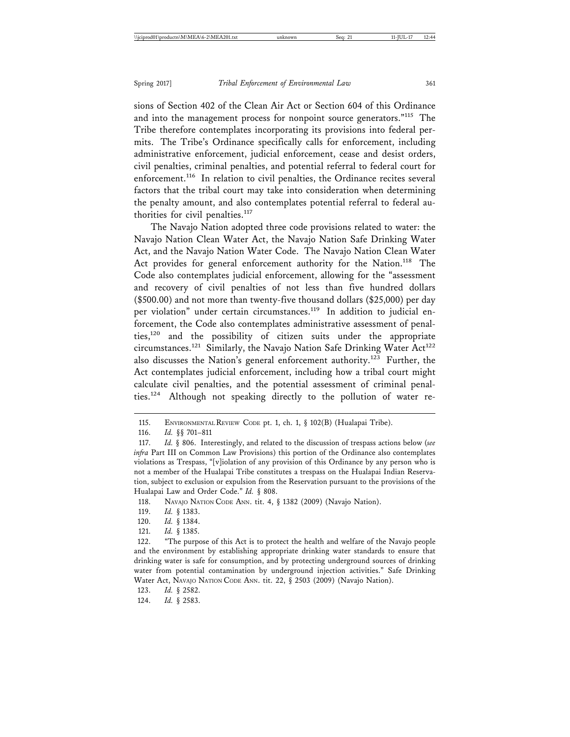sions of Section 402 of the Clean Air Act or Section 604 of this Ordinance and into the management process for nonpoint source generators."<sup>115</sup> The Tribe therefore contemplates incorporating its provisions into federal permits. The Tribe's Ordinance specifically calls for enforcement, including administrative enforcement, judicial enforcement, cease and desist orders, civil penalties, criminal penalties, and potential referral to federal court for enforcement.<sup>116</sup> In relation to civil penalties, the Ordinance recites several factors that the tribal court may take into consideration when determining the penalty amount, and also contemplates potential referral to federal authorities for civil penalties.<sup>117</sup>

The Navajo Nation adopted three code provisions related to water: the Navajo Nation Clean Water Act, the Navajo Nation Safe Drinking Water Act, and the Navajo Nation Water Code. The Navajo Nation Clean Water Act provides for general enforcement authority for the Nation.<sup>118</sup> The Code also contemplates judicial enforcement, allowing for the "assessment and recovery of civil penalties of not less than five hundred dollars (\$500.00) and not more than twenty-five thousand dollars (\$25,000) per day per violation" under certain circumstances.<sup>119</sup> In addition to judicial enforcement, the Code also contemplates administrative assessment of penalties,120 and the possibility of citizen suits under the appropriate circumstances.<sup>121</sup> Similarly, the Navajo Nation Safe Drinking Water Act<sup>122</sup> also discusses the Nation's general enforcement authority.<sup>123</sup> Further, the Act contemplates judicial enforcement, including how a tribal court might calculate civil penalties, and the potential assessment of criminal penalties.124 Although not speaking directly to the pollution of water re-

118. NAVAJO NATION CODE ANN. tit. 4, § 1382 (2009) (Navajo Nation).

- 119. *Id.* § 1383.
- 120. *Id.* § 1384.
- 121. *Id.* § 1385.

124. *Id.* § 2583.

<sup>115.</sup> ENVIRONMENTAL REVIEW CODE pt. 1, ch. 1, § 102(B) (Hualapai Tribe).

<sup>116.</sup> *Id.* §§ 701–811

<sup>117.</sup> *Id.* § 806. Interestingly, and related to the discussion of trespass actions below (*see infra* Part III on Common Law Provisions) this portion of the Ordinance also contemplates violations as Trespass, "[v]iolation of any provision of this Ordinance by any person who is not a member of the Hualapai Tribe constitutes a trespass on the Hualapai Indian Reservation, subject to exclusion or expulsion from the Reservation pursuant to the provisions of the Hualapai Law and Order Code." *Id.* § 808.

<sup>122. &</sup>quot;The purpose of this Act is to protect the health and welfare of the Navajo people and the environment by establishing appropriate drinking water standards to ensure that drinking water is safe for consumption, and by protecting underground sources of drinking water from potential contamination by underground injection activities." Safe Drinking Water Act, NAVAJO NATION CODE ANN. tit. 22, § 2503 (2009) (Navajo Nation).

<sup>123.</sup> *Id.* § 2582.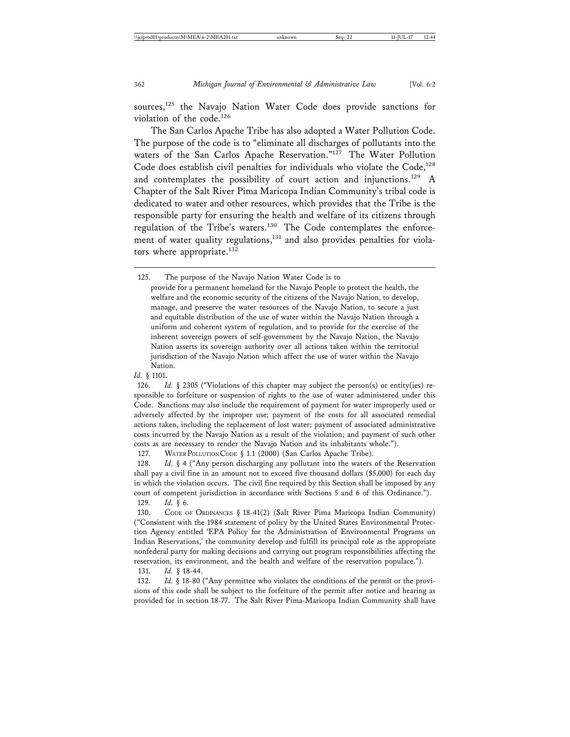sources,<sup>125</sup> the Navajo Nation Water Code does provide sanctions for violation of the code.126

The San Carlos Apache Tribe has also adopted a Water Pollution Code. The purpose of the code is to "eliminate all discharges of pollutants into the waters of the San Carlos Apache Reservation."<sup>127</sup> The Water Pollution Code does establish civil penalties for individuals who violate the  $Code<sub>128</sub>$ and contemplates the possibility of court action and injunctions.<sup>129</sup> A Chapter of the Salt River Pima Maricopa Indian Community's tribal code is dedicated to water and other resources, which provides that the Tribe is the responsible party for ensuring the health and welfare of its citizens through regulation of the Tribe's waters.130 The Code contemplates the enforcement of water quality regulations,<sup>131</sup> and also provides penalties for violators where appropriate. $132$ 

provide for a permanent homeland for the Navajo People to protect the health, the welfare and the economic security of the citizens of the Navajo Nation, to develop, manage, and preserve the water resources of the Navajo Nation, to secure a just and equitable distribution of the use of water within the Navajo Nation through a uniform and coherent system of regulation, and to provide for the exercise of the inherent sovereign powers of self-government by the Navajo Nation, the Navajo Nation asserts its sovereign authority over all actions taken within the territorial jurisdiction of the Navajo Nation which affect the use of water within the Navajo Nation.

126. *Id.* § 2305 ("Violations of this chapter may subject the person(s) or entity(ies) responsible to forfeiture or suspension of rights to the use of water administered under this Code. Sanctions may also include the requirement of payment for water improperly used or adversely affected by the improper use; payment of the costs for all associated remedial actions taken, including the replacement of lost water; payment of associated administrative costs incurred by the Navajo Nation as a result of the violation; and payment of such other costs as are necessary to render the Navajo Nation and its inhabitants whole.").

127. WATER POLLUTION CODE § 1.1 (2000) (San Carlos Apache Tribe).

128. *Id.* § 4 ("Any person discharging any pollutant into the waters of the Reservation shall pay a civil fine in an amount not to exceed five thousand dollars (\$5,000) for each day in which the violation occurs. The civil fine required by this Section shall be imposed by any court of competent jurisdiction in accordance with Sections 5 and 6 of this Ordinance.").

129. *Id.* § 6.

131. *Id.* § 18-44.

132. *Id.* § 18-80 ("Any permittee who violates the conditions of the permit or the provisions of this code shall be subject to the forfeiture of the permit after notice and hearing as provided for in section 18-77. The Salt River Pima-Maricopa Indian Community shall have

<sup>125.</sup> The purpose of the Navajo Nation Water Code is to

*Id.* § 1101.

<sup>130.</sup> CODE OF ORDINANCES § 18-41(2) (Salt River Pima Maricopa Indian Community) ("Consistent with the 1984 statement of policy by the United States Environmental Protection Agency entitled 'EPA Policy for the Administration of Environmental Programs on Indian Reservations,' the community develop and fulfill its principal role as the appropriate nonfederal party for making decisions and carrying out program responsibilities affecting the reservation, its environment, and the health and welfare of the reservation populace.").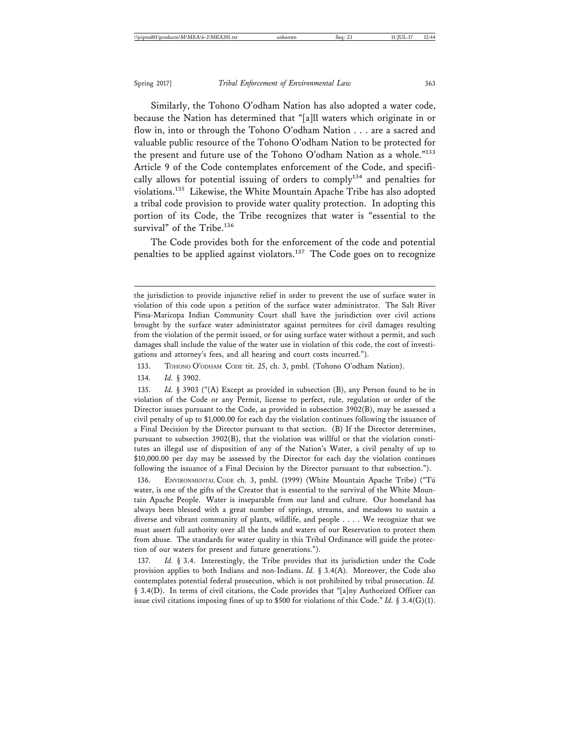Similarly, the Tohono O'odham Nation has also adopted a water code, because the Nation has determined that "[a]ll waters which originate in or flow in, into or through the Tohono O'odham Nation . . . are a sacred and valuable public resource of the Tohono O'odham Nation to be protected for the present and future use of the Tohono O'odham Nation as a whole."133 Article 9 of the Code contemplates enforcement of the Code, and specifically allows for potential issuing of orders to comply<sup>134</sup> and penalties for violations.135 Likewise, the White Mountain Apache Tribe has also adopted a tribal code provision to provide water quality protection. In adopting this portion of its Code, the Tribe recognizes that water is "essential to the survival" of the Tribe.<sup>136</sup>

The Code provides both for the enforcement of the code and potential penalties to be applied against violators.<sup>137</sup> The Code goes on to recognize

133. TOHONO O'ODHAM CODE tit. 25, ch. 3, pmbl. (Tohono O'odham Nation).

134. *Id.* § 3902.

135. *Id.* § 3903 ("(A) Except as provided in subsection (B), any Person found to be in violation of the Code or any Permit, license to perfect, rule, regulation or order of the Director issues pursuant to the Code, as provided in subsection 3902(B), may be assessed a civil penalty of up to \$1,000.00 for each day the violation continues following the issuance of a Final Decision by the Director pursuant to that section. (B) If the Director determines, pursuant to subsection 3902(B), that the violation was willful or that the violation constitutes an illegal use of disposition of any of the Nation's Water, a civil penalty of up to \$10,000.00 per day may be assessed by the Director for each day the violation continues following the issuance of a Final Decision by the Director pursuant to that subsection.").

136. ENVIRONMENTAL CODE ch. 3, pmbl. (1999) (White Mountain Apache Tribe) ("Tú water, is one of the gifts of the Creator that is essential to the survival of the White Mountain Apache People. Water is inseparable from our land and culture. Our homeland has always been blessed with a great number of springs, streams, and meadows to sustain a diverse and vibrant community of plants, wildlife, and people . . . . We recognize that we must assert full authority over all the lands and waters of our Reservation to protect them from abuse. The standards for water quality in this Tribal Ordinance will guide the protection of our waters for present and future generations.").

137. *Id.* § 3.4. Interestingly, the Tribe provides that its jurisdiction under the Code provision applies to both Indians and non-Indians. *Id.* § 3.4(A). Moreover, the Code also contemplates potential federal prosecution, which is not prohibited by tribal prosecution. *Id.* § 3.4(D). In terms of civil citations, the Code provides that "[a]ny Authorized Officer can issue civil citations imposing fines of up to \$500 for violations of this Code." *Id.* § 3.4(G)(1).

the jurisdiction to provide injunctive relief in order to prevent the use of surface water in violation of this code upon a petition of the surface water administrator. The Salt River Pima-Maricopa Indian Community Court shall have the jurisdiction over civil actions brought by the surface water administrator against permitees for civil damages resulting from the violation of the permit issued, or for using surface water without a permit, and such damages shall include the value of the water use in violation of this code, the cost of investigations and attorney's fees, and all hearing and court costs incurred.").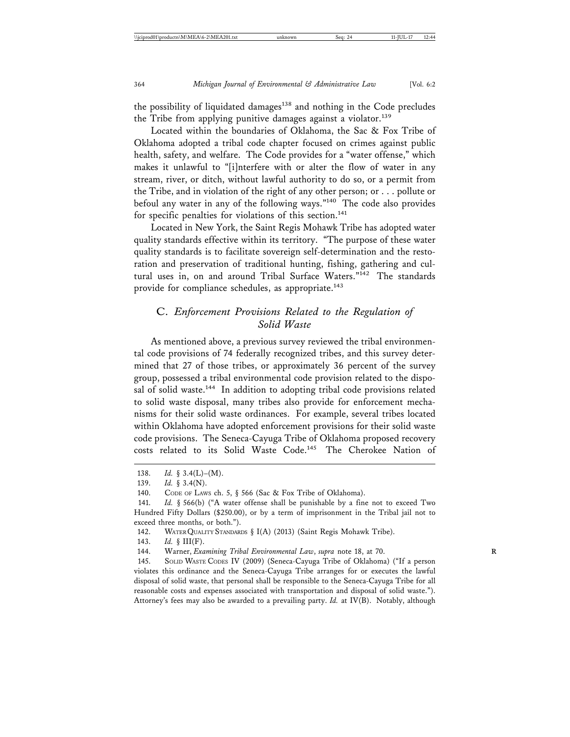the possibility of liquidated damages<sup>138</sup> and nothing in the Code precludes the Tribe from applying punitive damages against a violator.<sup>139</sup>

Located within the boundaries of Oklahoma, the Sac & Fox Tribe of Oklahoma adopted a tribal code chapter focused on crimes against public health, safety, and welfare. The Code provides for a "water offense," which makes it unlawful to "[i]nterfere with or alter the flow of water in any stream, river, or ditch, without lawful authority to do so, or a permit from the Tribe, and in violation of the right of any other person; or . . . pollute or befoul any water in any of the following ways."140 The code also provides for specific penalties for violations of this section.<sup>141</sup>

Located in New York, the Saint Regis Mohawk Tribe has adopted water quality standards effective within its territory. "The purpose of these water quality standards is to facilitate sovereign self-determination and the restoration and preservation of traditional hunting, fishing, gathering and cultural uses in, on and around Tribal Surface Waters."<sup>142</sup> The standards provide for compliance schedules, as appropriate.<sup>143</sup>

## C. *Enforcement Provisions Related to the Regulation of Solid Waste*

As mentioned above, a previous survey reviewed the tribal environmental code provisions of 74 federally recognized tribes, and this survey determined that 27 of those tribes, or approximately 36 percent of the survey group, possessed a tribal environmental code provision related to the disposal of solid waste.<sup>144</sup> In addition to adopting tribal code provisions related to solid waste disposal, many tribes also provide for enforcement mechanisms for their solid waste ordinances. For example, several tribes located within Oklahoma have adopted enforcement provisions for their solid waste code provisions. The Seneca-Cayuga Tribe of Oklahoma proposed recovery costs related to its Solid Waste Code.<sup>145</sup> The Cherokee Nation of

<sup>138.</sup> *Id.* § 3.4(L)–(M).

<sup>139.</sup> *Id.* § 3.4(N).

<sup>140.</sup> CODE OF LAWS ch. 5, § 566 (Sac & Fox Tribe of Oklahoma).

<sup>141.</sup> *Id.* § 566(b) ("A water offense shall be punishable by a fine not to exceed Two Hundred Fifty Dollars (\$250.00), or by a term of imprisonment in the Tribal jail not to exceed three months, or both.").

<sup>142.</sup> WATER QUALITY STANDARDS § I(A) (2013) (Saint Regis Mohawk Tribe).

<sup>143.</sup> *Id.* § III(F).

<sup>144.</sup> Warner, *Examining Tribal Environmental Law*, *supra* note 18, at 70. **R**

<sup>145.</sup> SOLID WASTE CODES IV (2009) (Seneca-Cayuga Tribe of Oklahoma) ("If a person violates this ordinance and the Seneca-Cayuga Tribe arranges for or executes the lawful disposal of solid waste, that personal shall be responsible to the Seneca-Cayuga Tribe for all reasonable costs and expenses associated with transportation and disposal of solid waste."). Attorney's fees may also be awarded to a prevailing party. *Id.* at IV(B). Notably, although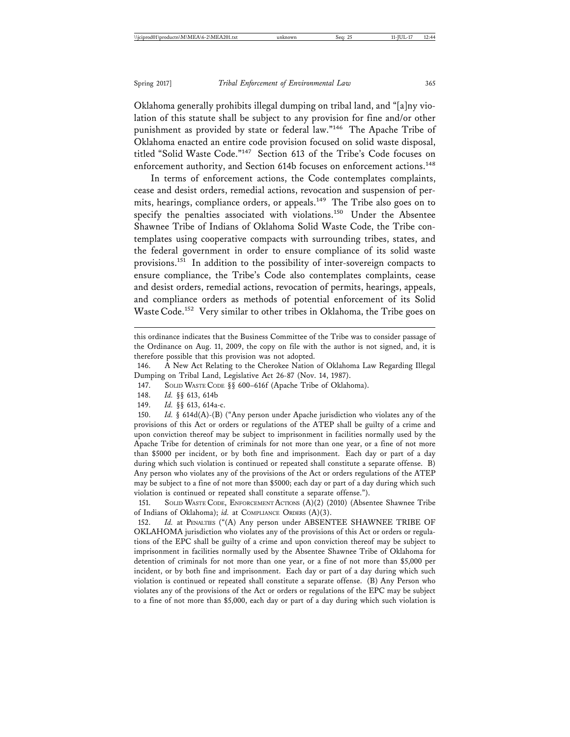Oklahoma generally prohibits illegal dumping on tribal land, and "[a]ny violation of this statute shall be subject to any provision for fine and/or other punishment as provided by state or federal law."146 The Apache Tribe of Oklahoma enacted an entire code provision focused on solid waste disposal, titled "Solid Waste Code."147 Section 613 of the Tribe's Code focuses on enforcement authority, and Section 614b focuses on enforcement actions.<sup>148</sup>

In terms of enforcement actions, the Code contemplates complaints, cease and desist orders, remedial actions, revocation and suspension of permits, hearings, compliance orders, or appeals.149 The Tribe also goes on to specify the penalties associated with violations.<sup>150</sup> Under the Absentee Shawnee Tribe of Indians of Oklahoma Solid Waste Code, the Tribe contemplates using cooperative compacts with surrounding tribes, states, and the federal government in order to ensure compliance of its solid waste provisions.151 In addition to the possibility of inter-sovereign compacts to ensure compliance, the Tribe's Code also contemplates complaints, cease and desist orders, remedial actions, revocation of permits, hearings, appeals, and compliance orders as methods of potential enforcement of its Solid Waste Code.152 Very similar to other tribes in Oklahoma, the Tribe goes on

146. A New Act Relating to the Cherokee Nation of Oklahoma Law Regarding Illegal Dumping on Tribal Land, Legislative Act 26-87 (Nov. 14, 1987).

147. SOLID WASTE CODE §§ 600–616f (Apache Tribe of Oklahoma).

149. *Id.* §§ 613, 614a-c.

150. *Id.* § 614d(A)-(B) ("Any person under Apache jurisdiction who violates any of the provisions of this Act or orders or regulations of the ATEP shall be guilty of a crime and upon conviction thereof may be subject to imprisonment in facilities normally used by the Apache Tribe for detention of criminals for not more than one year, or a fine of not more than \$5000 per incident, or by both fine and imprisonment. Each day or part of a day during which such violation is continued or repeated shall constitute a separate offense. B) Any person who violates any of the provisions of the Act or orders regulations of the ATEP may be subject to a fine of not more than \$5000; each day or part of a day during which such violation is continued or repeated shall constitute a separate offense.").

151. SOLID WASTE CODE, ENFORCEMENT ACTIONS (A)(2) (2010) (Absentee Shawnee Tribe of Indians of Oklahoma); *id.* at COMPLIANCE ORDERS (A)(3).

152. *Id.* at PENALTIES ("(A) Any person under ABSENTEE SHAWNEE TRIBE OF OKLAHOMA jurisdiction who violates any of the provisions of this Act or orders or regulations of the EPC shall be guilty of a crime and upon conviction thereof may be subject to imprisonment in facilities normally used by the Absentee Shawnee Tribe of Oklahoma for detention of criminals for not more than one year, or a fine of not more than \$5,000 per incident, or by both fine and imprisonment. Each day or part of a day during which such violation is continued or repeated shall constitute a separate offense. (B) Any Person who violates any of the provisions of the Act or orders or regulations of the EPC may be subject to a fine of not more than \$5,000, each day or part of a day during which such violation is

this ordinance indicates that the Business Committee of the Tribe was to consider passage of the Ordinance on Aug. 11, 2009, the copy on file with the author is not signed, and, it is therefore possible that this provision was not adopted.

<sup>148.</sup> *Id.* §§ 613, 614b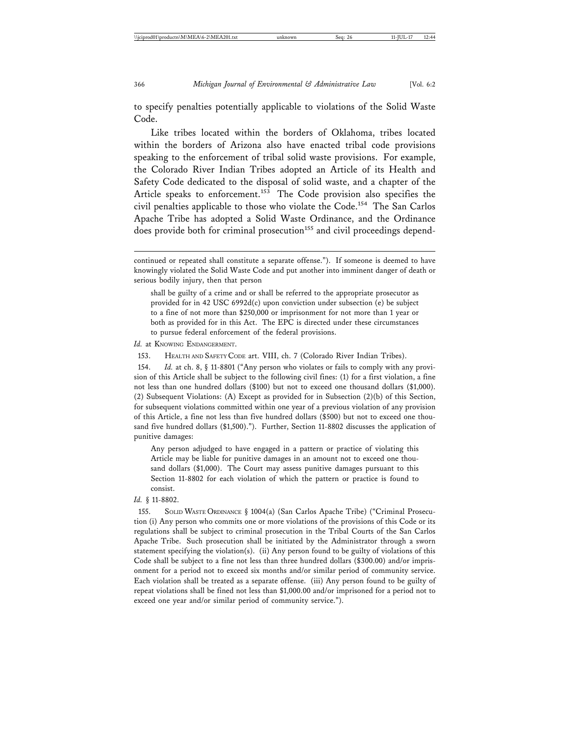to specify penalties potentially applicable to violations of the Solid Waste Code.

Like tribes located within the borders of Oklahoma, tribes located within the borders of Arizona also have enacted tribal code provisions speaking to the enforcement of tribal solid waste provisions. For example, the Colorado River Indian Tribes adopted an Article of its Health and Safety Code dedicated to the disposal of solid waste, and a chapter of the Article speaks to enforcement.<sup>153</sup> The Code provision also specifies the civil penalties applicable to those who violate the Code.<sup>154</sup> The San Carlos Apache Tribe has adopted a Solid Waste Ordinance, and the Ordinance does provide both for criminal prosecution<sup>155</sup> and civil proceedings depend-

Id. at KNOWING ENDANGERMENT.

153. HEALTH AND SAFETY CODE art. VIII, ch. 7 (Colorado River Indian Tribes).

154. *Id.* at ch. 8, § 11-8801 ("Any person who violates or fails to comply with any provision of this Article shall be subject to the following civil fines: (1) for a first violation, a fine not less than one hundred dollars (\$100) but not to exceed one thousand dollars (\$1,000). (2) Subsequent Violations: (A) Except as provided for in Subsection (2)(b) of this Section, for subsequent violations committed within one year of a previous violation of any provision of this Article, a fine not less than five hundred dollars (\$500) but not to exceed one thousand five hundred dollars (\$1,500)."). Further, Section 11-8802 discusses the application of punitive damages:

Any person adjudged to have engaged in a pattern or practice of violating this Article may be liable for punitive damages in an amount not to exceed one thousand dollars (\$1,000). The Court may assess punitive damages pursuant to this Section 11-8802 for each violation of which the pattern or practice is found to consist.

*Id.* § 11-8802.

155. SOLID WASTE ORDINANCE § 1004(a) (San Carlos Apache Tribe) ("Criminal Prosecution (i) Any person who commits one or more violations of the provisions of this Code or its regulations shall be subject to criminal prosecution in the Tribal Courts of the San Carlos Apache Tribe. Such prosecution shall be initiated by the Administrator through a sworn statement specifying the violation(s). (ii) Any person found to be guilty of violations of this Code shall be subject to a fine not less than three hundred dollars (\$300.00) and/or imprisonment for a period not to exceed six months and/or similar period of community service. Each violation shall be treated as a separate offense. (iii) Any person found to be guilty of repeat violations shall be fined not less than \$1,000.00 and/or imprisoned for a period not to exceed one year and/or similar period of community service.").

continued or repeated shall constitute a separate offense."). If someone is deemed to have knowingly violated the Solid Waste Code and put another into imminent danger of death or serious bodily injury, then that person

shall be guilty of a crime and or shall be referred to the appropriate prosecutor as provided for in 42 USC 6992d(c) upon conviction under subsection (e) be subject to a fine of not more than \$250,000 or imprisonment for not more than 1 year or both as provided for in this Act. The EPC is directed under these circumstances to pursue federal enforcement of the federal provisions.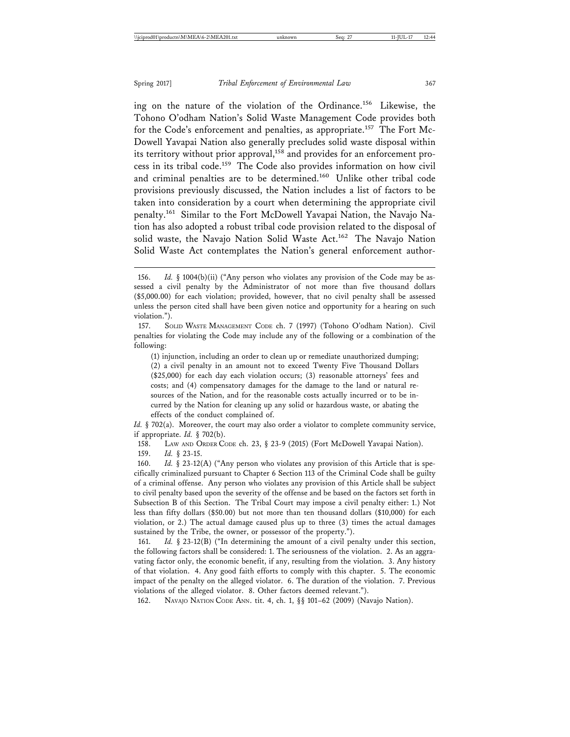ing on the nature of the violation of the Ordinance.156 Likewise, the Tohono O'odham Nation's Solid Waste Management Code provides both for the Code's enforcement and penalties, as appropriate.<sup>157</sup> The Fort Mc-Dowell Yavapai Nation also generally precludes solid waste disposal within its territory without prior approval,<sup>158</sup> and provides for an enforcement process in its tribal code.159 The Code also provides information on how civil and criminal penalties are to be determined.<sup>160</sup> Unlike other tribal code provisions previously discussed, the Nation includes a list of factors to be taken into consideration by a court when determining the appropriate civil penalty.161 Similar to the Fort McDowell Yavapai Nation, the Navajo Nation has also adopted a robust tribal code provision related to the disposal of solid waste, the Navajo Nation Solid Waste Act.<sup>162</sup> The Navajo Nation Solid Waste Act contemplates the Nation's general enforcement author-

(1) injunction, including an order to clean up or remediate unauthorized dumping; (2) a civil penalty in an amount not to exceed Twenty Five Thousand Dollars (\$25,000) for each day each violation occurs; (3) reasonable attorneys' fees and costs; and (4) compensatory damages for the damage to the land or natural resources of the Nation, and for the reasonable costs actually incurred or to be incurred by the Nation for cleaning up any solid or hazardous waste, or abating the effects of the conduct complained of.

*Id.* § 702(a). Moreover, the court may also order a violator to complete community service, if appropriate. *Id.* § 702(b).

158. LAW AND ORDER CODE ch. 23, § 23-9 (2015) (Fort McDowell Yavapai Nation). 159. *Id.* § 23-15.

160. *Id.* § 23-12(A) ("Any person who violates any provision of this Article that is specifically criminalized pursuant to Chapter 6 Section 113 of the Criminal Code shall be guilty of a criminal offense. Any person who violates any provision of this Article shall be subject to civil penalty based upon the severity of the offense and be based on the factors set forth in Subsection B of this Section. The Tribal Court may impose a civil penalty either: 1.) Not less than fifty dollars (\$50.00) but not more than ten thousand dollars (\$10,000) for each violation, or 2.) The actual damage caused plus up to three (3) times the actual damages sustained by the Tribe, the owner, or possessor of the property.").

161. *Id.* § 23-12(B) ("In determining the amount of a civil penalty under this section, the following factors shall be considered: 1. The seriousness of the violation. 2. As an aggravating factor only, the economic benefit, if any, resulting from the violation. 3. Any history of that violation. 4. Any good faith efforts to comply with this chapter. 5. The economic impact of the penalty on the alleged violator. 6. The duration of the violation. 7. Previous violations of the alleged violator. 8. Other factors deemed relevant.").

162. NAVAJO NATION CODE ANN. tit. 4, ch. 1, §§ 101–62 (2009) (Navajo Nation).

<sup>156.</sup> *Id.* § 1004(b)(ii) ("Any person who violates any provision of the Code may be assessed a civil penalty by the Administrator of not more than five thousand dollars (\$5,000.00) for each violation; provided, however, that no civil penalty shall be assessed unless the person cited shall have been given notice and opportunity for a hearing on such violation.").

<sup>157.</sup> SOLID WASTE MANAGEMENT CODE ch. 7 (1997) (Tohono O'odham Nation). Civil penalties for violating the Code may include any of the following or a combination of the following: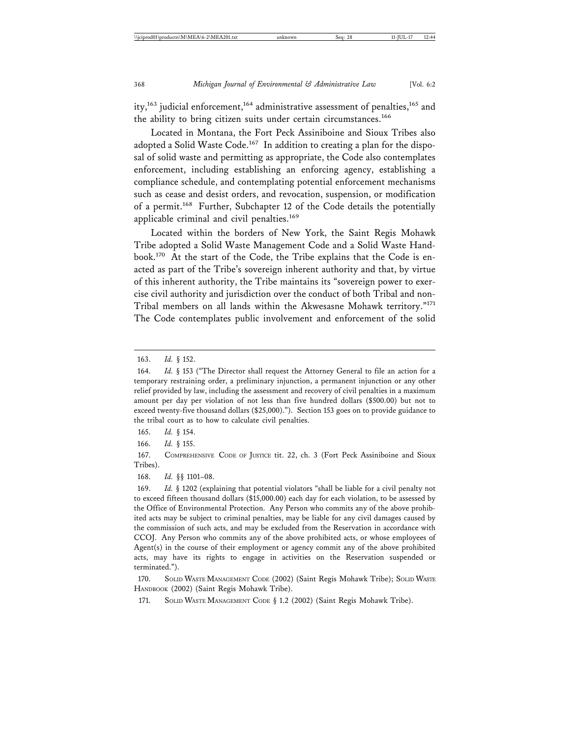ity,<sup>163</sup> judicial enforcement,<sup>164</sup> administrative assessment of penalties,<sup>165</sup> and the ability to bring citizen suits under certain circumstances.<sup>166</sup>

Located in Montana, the Fort Peck Assiniboine and Sioux Tribes also adopted a Solid Waste Code.<sup>167</sup> In addition to creating a plan for the disposal of solid waste and permitting as appropriate, the Code also contemplates enforcement, including establishing an enforcing agency, establishing a compliance schedule, and contemplating potential enforcement mechanisms such as cease and desist orders, and revocation, suspension, or modification of a permit.168 Further, Subchapter 12 of the Code details the potentially applicable criminal and civil penalties.<sup>169</sup>

Located within the borders of New York, the Saint Regis Mohawk Tribe adopted a Solid Waste Management Code and a Solid Waste Handbook.170 At the start of the Code, the Tribe explains that the Code is enacted as part of the Tribe's sovereign inherent authority and that, by virtue of this inherent authority, the Tribe maintains its "sovereign power to exercise civil authority and jurisdiction over the conduct of both Tribal and non-Tribal members on all lands within the Akwesasne Mohawk territory."<sup>171</sup> The Code contemplates public involvement and enforcement of the solid

165. *Id.* § 154.

166. *Id.* § 155.

167. COMPREHENSIVE CODE OF JUSTICE tit. 22, ch. 3 (Fort Peck Assiniboine and Sioux Tribes).

168. *Id.* §§ 1101–08.

169. *Id.* § 1202 (explaining that potential violators "shall be liable for a civil penalty not to exceed fifteen thousand dollars (\$15,000.00) each day for each violation, to be assessed by the Office of Environmental Protection. Any Person who commits any of the above prohibited acts may be subject to criminal penalties, may be liable for any civil damages caused by the commission of such acts, and may be excluded from the Reservation in accordance with CCOJ. Any Person who commits any of the above prohibited acts, or whose employees of Agent(s) in the course of their employment or agency commit any of the above prohibited acts, may have its rights to engage in activities on the Reservation suspended or terminated.").

170. SOLID WASTE MANAGEMENT CODE (2002) (Saint Regis Mohawk Tribe); SOLID WASTE HANDBOOK (2002) (Saint Regis Mohawk Tribe).

171. SOLID WASTE MANAGEMENT CODE § 1.2 (2002) (Saint Regis Mohawk Tribe).

<sup>163.</sup> *Id.* § 152.

<sup>164.</sup> *Id.* § 153 ("The Director shall request the Attorney General to file an action for a temporary restraining order, a preliminary injunction, a permanent injunction or any other relief provided by law, including the assessment and recovery of civil penalties in a maximum amount per day per violation of not less than five hundred dollars (\$500.00) but not to exceed twenty-five thousand dollars (\$25,000)."). Section 153 goes on to provide guidance to the tribal court as to how to calculate civil penalties.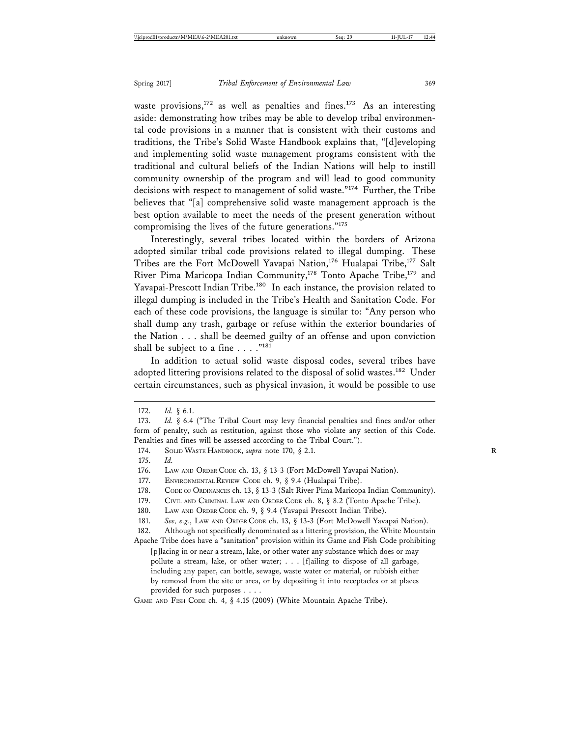waste provisions,<sup>172</sup> as well as penalties and fines.<sup>173</sup> As an interesting aside: demonstrating how tribes may be able to develop tribal environmental code provisions in a manner that is consistent with their customs and traditions, the Tribe's Solid Waste Handbook explains that, "[d]eveloping and implementing solid waste management programs consistent with the traditional and cultural beliefs of the Indian Nations will help to instill community ownership of the program and will lead to good community decisions with respect to management of solid waste."<sup>174</sup> Further, the Tribe believes that "[a] comprehensive solid waste management approach is the best option available to meet the needs of the present generation without compromising the lives of the future generations."<sup>175</sup>

Interestingly, several tribes located within the borders of Arizona adopted similar tribal code provisions related to illegal dumping. These Tribes are the Fort McDowell Yavapai Nation,<sup>176</sup> Hualapai Tribe,<sup>177</sup> Salt River Pima Maricopa Indian Community,<sup>178</sup> Tonto Apache Tribe,<sup>179</sup> and Yavapai-Prescott Indian Tribe.<sup>180</sup> In each instance, the provision related to illegal dumping is included in the Tribe's Health and Sanitation Code. For each of these code provisions, the language is similar to: "Any person who shall dump any trash, garbage or refuse within the exterior boundaries of the Nation . . . shall be deemed guilty of an offense and upon conviction shall be subject to a fine  $\ldots$ ."<sup>181</sup>

In addition to actual solid waste disposal codes, several tribes have adopted littering provisions related to the disposal of solid wastes.<sup>182</sup> Under certain circumstances, such as physical invasion, it would be possible to use

175. *Id.*

177. ENVIRONMENTAL REVIEW CODE ch. 9, § 9.4 (Hualapai Tribe).

- 179. CIVIL AND CRIMINAL LAW AND ORDER CODE ch. 8, § 8.2 (Tonto Apache Tribe).
- 180. LAW AND ORDER CODE ch. 9, § 9.4 (Yavapai Prescott Indian Tribe).

182. Although not specifically denominated as a littering provision, the White Mountain Apache Tribe does have a "sanitation" provision within its Game and Fish Code prohibiting [p]lacing in or near a stream, lake, or other water any substance which does or may pollute a stream, lake, or other water; . . . [f]ailing to dispose of all garbage, including any paper, can bottle, sewage, waste water or material, or rubbish either by removal from the site or area, or by depositing it into receptacles or at places provided for such purposes . . . .

GAME AND FISH CODE ch. 4, § 4.15 (2009) (White Mountain Apache Tribe).

<sup>172.</sup> *Id.* § 6.1.

<sup>173.</sup> *Id.* § 6.4 ("The Tribal Court may levy financial penalties and fines and/or other form of penalty, such as restitution, against those who violate any section of this Code. Penalties and fines will be assessed according to the Tribal Court.").

<sup>174.</sup> SOLID WASTE НАNDBOOK, *supra* note 170, § 2.1.

<sup>176.</sup> LAW AND ORDER CODE ch. 13, § 13-3 (Fort McDowell Yavapai Nation).

<sup>178.</sup> CODE OF ORDINANCES ch. 13, § 13-3 (Salt River Pima Maricopa Indian Community).

<sup>181.</sup> *See, e.g.*, LAW AND ORDER CODE ch. 13, § 13-3 (Fort McDowell Yavapai Nation).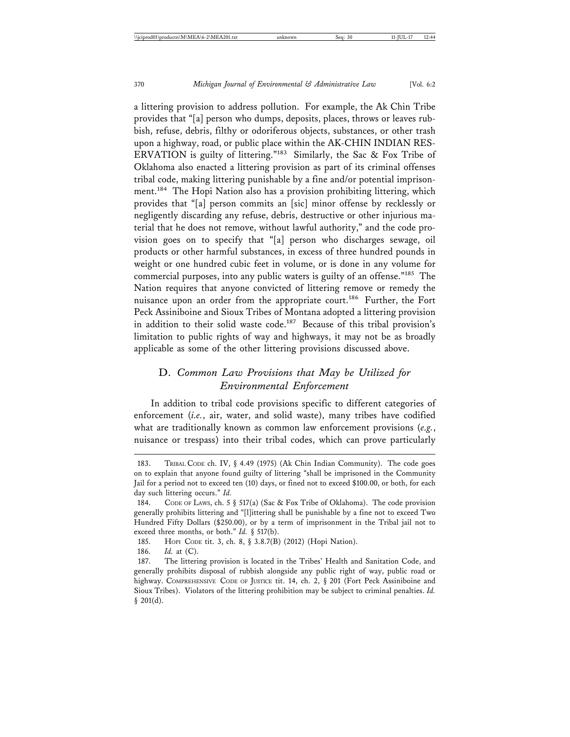a littering provision to address pollution. For example, the Ak Chin Tribe provides that "[a] person who dumps, deposits, places, throws or leaves rubbish, refuse, debris, filthy or odoriferous objects, substances, or other trash upon a highway, road, or public place within the AK-CHIN INDIAN RES-ERVATION is guilty of littering."183 Similarly, the Sac & Fox Tribe of Oklahoma also enacted a littering provision as part of its criminal offenses tribal code, making littering punishable by a fine and/or potential imprisonment.184 The Hopi Nation also has a provision prohibiting littering, which provides that "[a] person commits an [sic] minor offense by recklessly or negligently discarding any refuse, debris, destructive or other injurious material that he does not remove, without lawful authority," and the code provision goes on to specify that "[a] person who discharges sewage, oil products or other harmful substances, in excess of three hundred pounds in weight or one hundred cubic feet in volume, or is done in any volume for commercial purposes, into any public waters is guilty of an offense."<sup>185</sup> The Nation requires that anyone convicted of littering remove or remedy the nuisance upon an order from the appropriate court.186 Further, the Fort Peck Assiniboine and Sioux Tribes of Montana adopted a littering provision in addition to their solid waste code.<sup>187</sup> Because of this tribal provision's limitation to public rights of way and highways, it may not be as broadly applicable as some of the other littering provisions discussed above.

## D. *Common Law Provisions that May be Utilized for Environmental Enforcement*

In addition to tribal code provisions specific to different categories of enforcement (*i.e.*, air, water, and solid waste), many tribes have codified what are traditionally known as common law enforcement provisions (*e.g.*, nuisance or trespass) into their tribal codes, which can prove particularly

<sup>183.</sup> TRIBAL CODE ch. IV, § 4.49 (1975) (Ak Chin Indian Community). The code goes on to explain that anyone found guilty of littering "shall be imprisoned in the Community Jail for a period not to exceed ten (10) days, or fined not to exceed \$100.00, or both, for each day such littering occurs." *Id.*

<sup>184.</sup> CODE OF LAWS, ch. 5 § 517(a) (Sac & Fox Tribe of Oklahoma). The code provision generally prohibits littering and "[l]ittering shall be punishable by a fine not to exceed Two Hundred Fifty Dollars (\$250.00), or by a term of imprisonment in the Tribal jail not to exceed three months, or both." *Id.* § 517(b).

<sup>185.</sup> HOPI CODE tit. 3, ch. 8, § 3.8.7(B) (2012) (Hopi Nation).

<sup>186.</sup> *Id.* at (C).

<sup>187.</sup> The littering provision is located in the Tribes' Health and Sanitation Code, and generally prohibits disposal of rubbish alongside any public right of way, public road or highway. COMPREHENSIVE CODE OF JUSTICE tit. 14, ch. 2, § 201 (Fort Peck Assiniboine and Sioux Tribes). Violators of the littering prohibition may be subject to criminal penalties. *Id.*  $§$  201(d).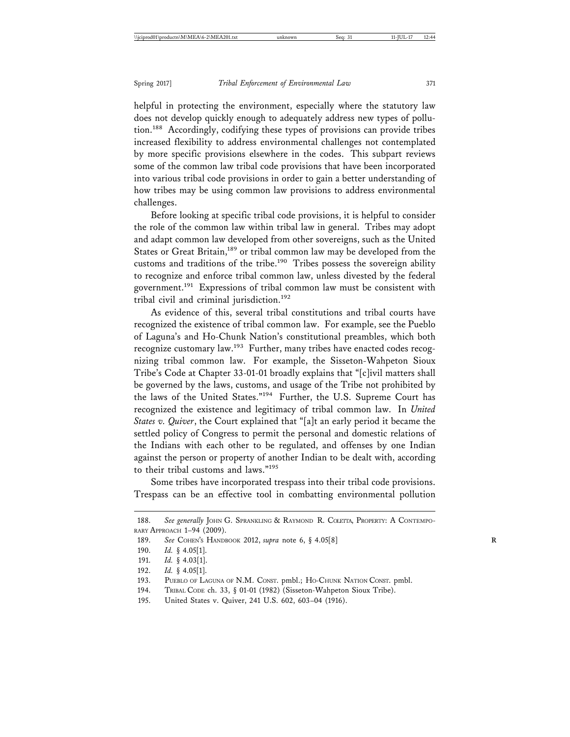helpful in protecting the environment, especially where the statutory law does not develop quickly enough to adequately address new types of pollution.188 Accordingly, codifying these types of provisions can provide tribes increased flexibility to address environmental challenges not contemplated by more specific provisions elsewhere in the codes. This subpart reviews some of the common law tribal code provisions that have been incorporated into various tribal code provisions in order to gain a better understanding of how tribes may be using common law provisions to address environmental challenges.

Before looking at specific tribal code provisions, it is helpful to consider the role of the common law within tribal law in general. Tribes may adopt and adapt common law developed from other sovereigns, such as the United States or Great Britain,<sup>189</sup> or tribal common law may be developed from the customs and traditions of the tribe.<sup>190</sup> Tribes possess the sovereign ability to recognize and enforce tribal common law, unless divested by the federal government.191 Expressions of tribal common law must be consistent with tribal civil and criminal jurisdiction.<sup>192</sup>

As evidence of this, several tribal constitutions and tribal courts have recognized the existence of tribal common law. For example, see the Pueblo of Laguna's and Ho-Chunk Nation's constitutional preambles, which both recognize customary law.<sup>193</sup> Further, many tribes have enacted codes recognizing tribal common law. For example, the Sisseton-Wahpeton Sioux Tribe's Code at Chapter 33-01-01 broadly explains that "[c]ivil matters shall be governed by the laws, customs, and usage of the Tribe not prohibited by the laws of the United States."194 Further, the U.S. Supreme Court has recognized the existence and legitimacy of tribal common law. In *United States v. Quiver*, the Court explained that "[a]t an early period it became the settled policy of Congress to permit the personal and domestic relations of the Indians with each other to be regulated, and offenses by one Indian against the person or property of another Indian to be dealt with, according to their tribal customs and laws."195

Some tribes have incorporated trespass into their tribal code provisions. Trespass can be an effective tool in combatting environmental pollution

194. TRIBAL CODE ch. 33, § 01-01 (1982) (Sisseton-Wahpeton Sioux Tribe).

<sup>188.</sup> See generally JOHN G. SPRANKLING & RAYMOND R. COLETTA, PROPERTY: A CONTEMPO-RARY APPROACH 1–94 (2009).

<sup>189.</sup> *See* COHEN'S HANDBOOK 2012, *supra* note 6, § 4.05[8] **R**

<sup>190.</sup> *Id.* § 4.05[1].

<sup>191.</sup> *Id.* § 4.03[1].

<sup>192.</sup> *Id.* § 4.05[1].

<sup>193.</sup> PUEBLO OF LAGUNA OF N.M. CONST. pmbl.; HO-CHUNK NATION CONST. pmbl.

<sup>195.</sup> United States v. Quiver, 241 U.S. 602, 603–04 (1916).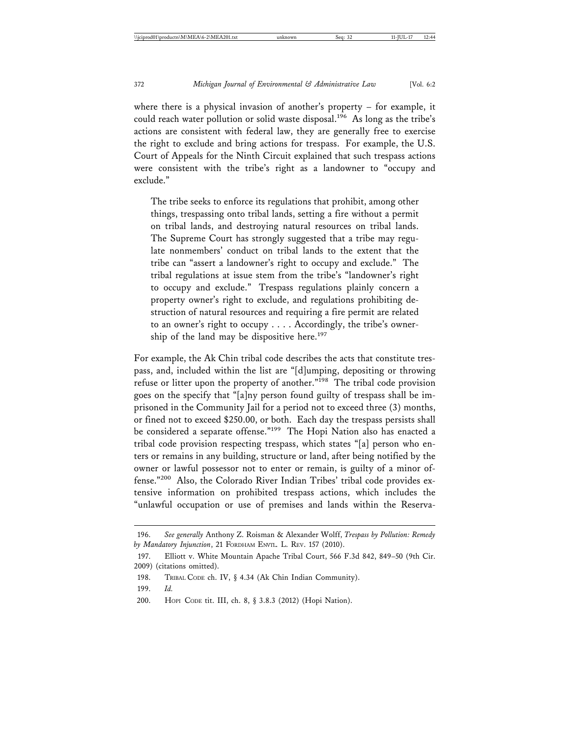where there is a physical invasion of another's property – for example, it could reach water pollution or solid waste disposal.<sup>196</sup> As long as the tribe's actions are consistent with federal law, they are generally free to exercise the right to exclude and bring actions for trespass. For example, the U.S. Court of Appeals for the Ninth Circuit explained that such trespass actions were consistent with the tribe's right as a landowner to "occupy and exclude."

The tribe seeks to enforce its regulations that prohibit, among other things, trespassing onto tribal lands, setting a fire without a permit on tribal lands, and destroying natural resources on tribal lands. The Supreme Court has strongly suggested that a tribe may regulate nonmembers' conduct on tribal lands to the extent that the tribe can "assert a landowner's right to occupy and exclude." The tribal regulations at issue stem from the tribe's "landowner's right to occupy and exclude." Trespass regulations plainly concern a property owner's right to exclude, and regulations prohibiting destruction of natural resources and requiring a fire permit are related to an owner's right to occupy . . . . Accordingly, the tribe's ownership of the land may be dispositive here.<sup>197</sup>

For example, the Ak Chin tribal code describes the acts that constitute trespass, and, included within the list are "[d]umping, depositing or throwing refuse or litter upon the property of another."<sup>198</sup> The tribal code provision goes on the specify that "[a]ny person found guilty of trespass shall be imprisoned in the Community Jail for a period not to exceed three (3) months, or fined not to exceed \$250.00, or both. Each day the trespass persists shall be considered a separate offense."199 The Hopi Nation also has enacted a tribal code provision respecting trespass, which states "[a] person who enters or remains in any building, structure or land, after being notified by the owner or lawful possessor not to enter or remain, is guilty of a minor offense."200 Also, the Colorado River Indian Tribes' tribal code provides extensive information on prohibited trespass actions, which includes the "unlawful occupation or use of premises and lands within the Reserva-

<sup>196.</sup> *See generally* Anthony Z. Roisman & Alexander Wolff, *Trespass by Pollution: Remedy by Mandatory Injunction*, 21 FORDHAM ENVTL. L. REV. 157 (2010).

<sup>197.</sup> Elliott v. White Mountain Apache Tribal Court, 566 F.3d 842, 849–50 (9th Cir. 2009) (citations omitted).

<sup>198.</sup> TRIBAL CODE ch. IV, § 4.34 (Ak Chin Indian Community).

<sup>199.</sup> *Id.*

<sup>200.</sup> HOPI CODE tit. III, ch. 8, § 3.8.3 (2012) (Hopi Nation).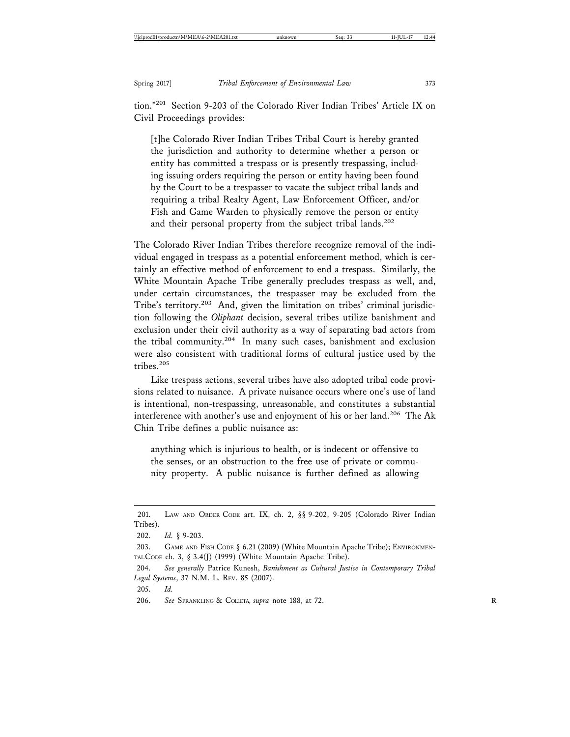tion."201 Section 9-203 of the Colorado River Indian Tribes' Article IX on Civil Proceedings provides:

[t]he Colorado River Indian Tribes Tribal Court is hereby granted the jurisdiction and authority to determine whether a person or entity has committed a trespass or is presently trespassing, including issuing orders requiring the person or entity having been found by the Court to be a trespasser to vacate the subject tribal lands and requiring a tribal Realty Agent, Law Enforcement Officer, and/or Fish and Game Warden to physically remove the person or entity and their personal property from the subject tribal lands.<sup>202</sup>

The Colorado River Indian Tribes therefore recognize removal of the individual engaged in trespass as a potential enforcement method, which is certainly an effective method of enforcement to end a trespass. Similarly, the White Mountain Apache Tribe generally precludes trespass as well, and, under certain circumstances, the trespasser may be excluded from the Tribe's territory.<sup>203</sup> And, given the limitation on tribes' criminal jurisdiction following the *Oliphant* decision, several tribes utilize banishment and exclusion under their civil authority as a way of separating bad actors from the tribal community.204 In many such cases, banishment and exclusion were also consistent with traditional forms of cultural justice used by the tribes.<sup>205</sup>

Like trespass actions, several tribes have also adopted tribal code provisions related to nuisance. A private nuisance occurs where one's use of land is intentional, non-trespassing, unreasonable, and constitutes a substantial interference with another's use and enjoyment of his or her land.<sup>206</sup> The Ak Chin Tribe defines a public nuisance as:

anything which is injurious to health, or is indecent or offensive to the senses, or an obstruction to the free use of private or community property. A public nuisance is further defined as allowing

205. *Id.*

<sup>201.</sup> LAW AND ORDER CODE art. IX, ch. 2, §§ 9-202, 9-205 (Colorado River Indian Tribes).

<sup>202.</sup> *Id.* § 9-203.

<sup>203.</sup> GAME AND FISH CODE § 6.21 (2009) (White Mountain Apache Tribe); ENVIRONMEN-TAL CODE ch. 3, § 3.4(J) (1999) (White Mountain Apache Tribe).

<sup>204.</sup> *See generally* Patrice Kunesh, *Banishment as Cultural Justice in Contemporary Tribal Legal Systems*, 37 N.M. L. REV. 85 (2007).

<sup>206.</sup> *See* SPRANKLING & COLLETA, *supra* note 188, at 72. **R**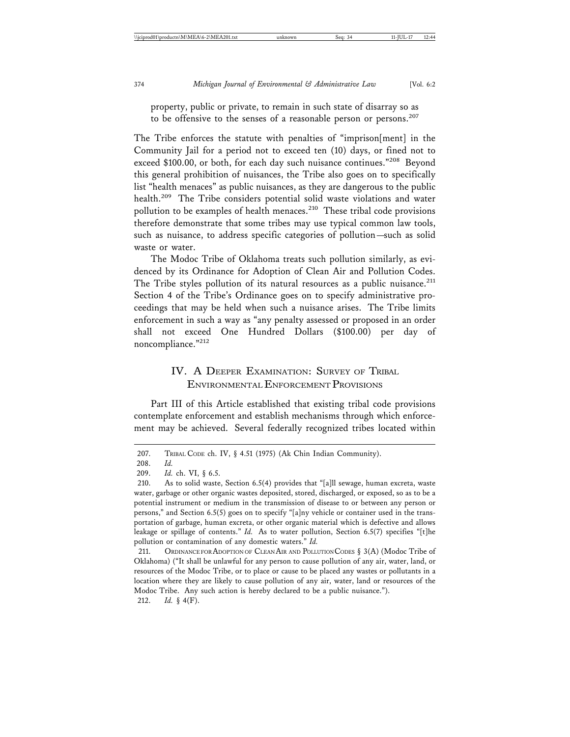property, public or private, to remain in such state of disarray so as to be offensive to the senses of a reasonable person or persons.<sup>207</sup>

The Tribe enforces the statute with penalties of "imprison[ment] in the Community Jail for a period not to exceed ten (10) days, or fined not to exceed \$100.00, or both, for each day such nuisance continues."<sup>208</sup> Beyond this general prohibition of nuisances, the Tribe also goes on to specifically list "health menaces" as public nuisances, as they are dangerous to the public health.<sup>209</sup> The Tribe considers potential solid waste violations and water pollution to be examples of health menaces.<sup>210</sup> These tribal code provisions therefore demonstrate that some tribes may use typical common law tools, such as nuisance, to address specific categories of pollution—such as solid waste or water.

The Modoc Tribe of Oklahoma treats such pollution similarly, as evidenced by its Ordinance for Adoption of Clean Air and Pollution Codes. The Tribe styles pollution of its natural resources as a public nuisance.<sup>211</sup> Section 4 of the Tribe's Ordinance goes on to specify administrative proceedings that may be held when such a nuisance arises. The Tribe limits enforcement in such a way as "any penalty assessed or proposed in an order shall not exceed One Hundred Dollars (\$100.00) per day of noncompliance."212

## IV. A DEEPER EXAMINATION: SURVEY OF TRIBAL ENVIRONMENTAL ENFORCEMENT PROVISIONS

Part III of this Article established that existing tribal code provisions contemplate enforcement and establish mechanisms through which enforcement may be achieved. Several federally recognized tribes located within

<sup>207.</sup> TRIBAL CODE ch. IV, § 4.51 (1975) (Ak Chin Indian Community).

<sup>208.</sup> *Id.*

<sup>209.</sup> *Id.* ch. VI, § 6.5.

<sup>210.</sup> As to solid waste, Section 6.5(4) provides that "[a]ll sewage, human excreta, waste water, garbage or other organic wastes deposited, stored, discharged, or exposed, so as to be a potential instrument or medium in the transmission of disease to or between any person or persons," and Section 6.5(5) goes on to specify "[a]ny vehicle or container used in the transportation of garbage, human excreta, or other organic material which is defective and allows leakage or spillage of contents." *Id.* As to water pollution, Section 6.5(7) specifies "[t]he pollution or contamination of any domestic waters." *Id.*

<sup>211.</sup> ORDINANCE FOR ADOPTION OF CLEAN AIR AND POLLUTION CODES § 3(A) (Modoc Tribe of Oklahoma) ("It shall be unlawful for any person to cause pollution of any air, water, land, or resources of the Modoc Tribe, or to place or cause to be placed any wastes or pollutants in a location where they are likely to cause pollution of any air, water, land or resources of the Modoc Tribe. Any such action is hereby declared to be a public nuisance."). 212. *Id.* § 4(F).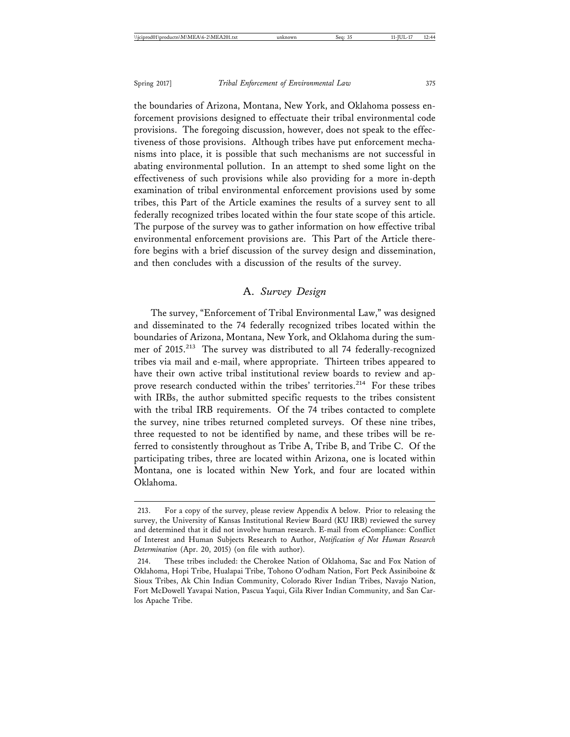the boundaries of Arizona, Montana, New York, and Oklahoma possess enforcement provisions designed to effectuate their tribal environmental code provisions. The foregoing discussion, however, does not speak to the effectiveness of those provisions. Although tribes have put enforcement mechanisms into place, it is possible that such mechanisms are not successful in abating environmental pollution. In an attempt to shed some light on the effectiveness of such provisions while also providing for a more in-depth examination of tribal environmental enforcement provisions used by some tribes, this Part of the Article examines the results of a survey sent to all federally recognized tribes located within the four state scope of this article. The purpose of the survey was to gather information on how effective tribal environmental enforcement provisions are. This Part of the Article therefore begins with a brief discussion of the survey design and dissemination, and then concludes with a discussion of the results of the survey.

#### A. *Survey Design*

The survey, "Enforcement of Tribal Environmental Law," was designed and disseminated to the 74 federally recognized tribes located within the boundaries of Arizona, Montana, New York, and Oklahoma during the summer of 2015.213 The survey was distributed to all 74 federally-recognized tribes via mail and e-mail, where appropriate. Thirteen tribes appeared to have their own active tribal institutional review boards to review and approve research conducted within the tribes' territories.<sup>214</sup> For these tribes with IRBs, the author submitted specific requests to the tribes consistent with the tribal IRB requirements. Of the 74 tribes contacted to complete the survey, nine tribes returned completed surveys. Of these nine tribes, three requested to not be identified by name, and these tribes will be referred to consistently throughout as Tribe A, Tribe B, and Tribe C. Of the participating tribes, three are located within Arizona, one is located within Montana, one is located within New York, and four are located within Oklahoma.

<sup>213.</sup> For a copy of the survey, please review Appendix A below. Prior to releasing the survey, the University of Kansas Institutional Review Board (KU IRB) reviewed the survey and determined that it did not involve human research. E-mail from eCompliance: Conflict of Interest and Human Subjects Research to Author, *Notification of Not Human Research Determination* (Apr. 20, 2015) (on file with author).

<sup>214.</sup> These tribes included: the Cherokee Nation of Oklahoma, Sac and Fox Nation of Oklahoma, Hopi Tribe, Hualapai Tribe, Tohono O'odham Nation, Fort Peck Assiniboine & Sioux Tribes, Ak Chin Indian Community, Colorado River Indian Tribes, Navajo Nation, Fort McDowell Yavapai Nation, Pascua Yaqui, Gila River Indian Community, and San Carlos Apache Tribe.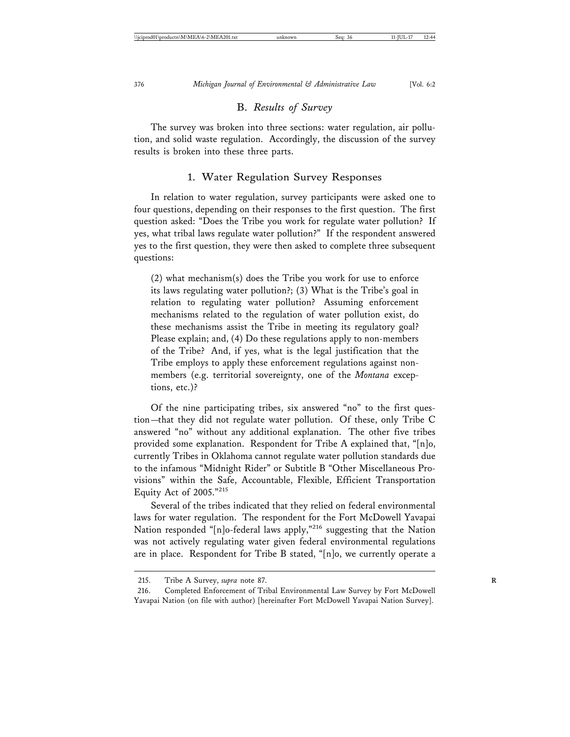#### B. *Results of Survey*

The survey was broken into three sections: water regulation, air pollution, and solid waste regulation. Accordingly, the discussion of the survey results is broken into these three parts.

#### 1. Water Regulation Survey Responses

In relation to water regulation, survey participants were asked one to four questions, depending on their responses to the first question. The first question asked: "Does the Tribe you work for regulate water pollution? If yes, what tribal laws regulate water pollution?" If the respondent answered yes to the first question, they were then asked to complete three subsequent questions:

(2) what mechanism(s) does the Tribe you work for use to enforce its laws regulating water pollution?; (3) What is the Tribe's goal in relation to regulating water pollution? Assuming enforcement mechanisms related to the regulation of water pollution exist, do these mechanisms assist the Tribe in meeting its regulatory goal? Please explain; and, (4) Do these regulations apply to non-members of the Tribe? And, if yes, what is the legal justification that the Tribe employs to apply these enforcement regulations against nonmembers (e.g. territorial sovereignty, one of the *Montana* exceptions, etc.)?

Of the nine participating tribes, six answered "no" to the first question—that they did not regulate water pollution. Of these, only Tribe C answered "no" without any additional explanation. The other five tribes provided some explanation. Respondent for Tribe A explained that, "[n]o, currently Tribes in Oklahoma cannot regulate water pollution standards due to the infamous "Midnight Rider" or Subtitle B "Other Miscellaneous Provisions" within the Safe, Accountable, Flexible, Efficient Transportation Equity Act of 2005."<sup>215</sup>

Several of the tribes indicated that they relied on federal environmental laws for water regulation. The respondent for the Fort McDowell Yavapai Nation responded "[n]o-federal laws apply,"<sup>216</sup> suggesting that the Nation was not actively regulating water given federal environmental regulations are in place. Respondent for Tribe B stated, "[n]o, we currently operate a

<sup>215.</sup> Tribe A Survey, *supra* note 87. **R**

<sup>216.</sup> Completed Enforcement of Tribal Environmental Law Survey by Fort McDowell Yavapai Nation (on file with author) [hereinafter Fort McDowell Yavapai Nation Survey].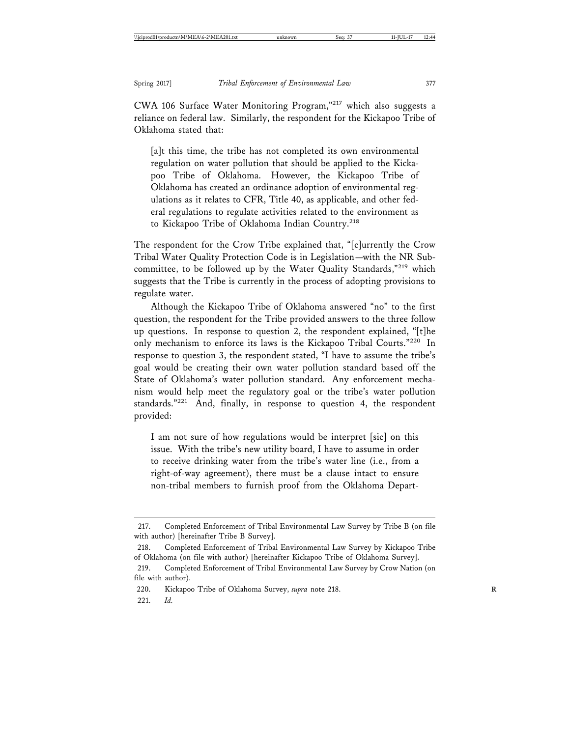CWA 106 Surface Water Monitoring Program,"217 which also suggests a reliance on federal law. Similarly, the respondent for the Kickapoo Tribe of Oklahoma stated that:

[a]t this time, the tribe has not completed its own environmental regulation on water pollution that should be applied to the Kickapoo Tribe of Oklahoma. However, the Kickapoo Tribe of Oklahoma has created an ordinance adoption of environmental regulations as it relates to CFR, Title 40, as applicable, and other federal regulations to regulate activities related to the environment as to Kickapoo Tribe of Oklahoma Indian Country.<sup>218</sup>

The respondent for the Crow Tribe explained that, "[c]urrently the Crow Tribal Water Quality Protection Code is in Legislation—with the NR Subcommittee, to be followed up by the Water Quality Standards,"<sup>219</sup> which suggests that the Tribe is currently in the process of adopting provisions to regulate water.

Although the Kickapoo Tribe of Oklahoma answered "no" to the first question, the respondent for the Tribe provided answers to the three follow up questions. In response to question 2, the respondent explained, "[t]he only mechanism to enforce its laws is the Kickapoo Tribal Courts."220 In response to question 3, the respondent stated, "I have to assume the tribe's goal would be creating their own water pollution standard based off the State of Oklahoma's water pollution standard. Any enforcement mechanism would help meet the regulatory goal or the tribe's water pollution standards."<sup>221</sup> And, finally, in response to question 4, the respondent provided:

I am not sure of how regulations would be interpret [sic] on this issue. With the tribe's new utility board, I have to assume in order to receive drinking water from the tribe's water line (i.e., from a right-of-way agreement), there must be a clause intact to ensure non-tribal members to furnish proof from the Oklahoma Depart-

<sup>217.</sup> Completed Enforcement of Tribal Environmental Law Survey by Tribe B (on file with author) [hereinafter Tribe B Survey].

<sup>218.</sup> Completed Enforcement of Tribal Environmental Law Survey by Kickapoo Tribe of Oklahoma (on file with author) [hereinafter Kickapoo Tribe of Oklahoma Survey].

<sup>219.</sup> Completed Enforcement of Tribal Environmental Law Survey by Crow Nation (on file with author).

<sup>220.</sup> Kickapoo Tribe of Oklahoma Survey, *supra* note 218. **R**

<sup>221.</sup> *Id.*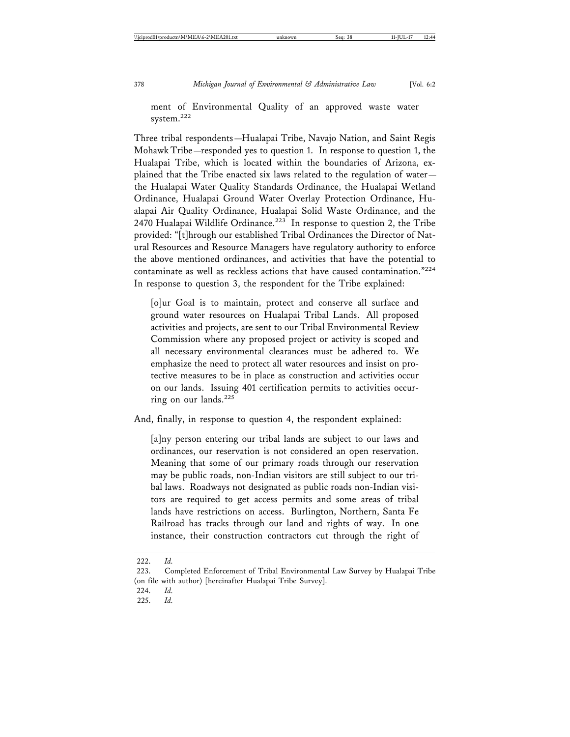Three tribal respondents—Hualapai Tribe, Navajo Nation, and Saint Regis Mohawk Tribe—responded yes to question 1. In response to question 1, the Hualapai Tribe, which is located within the boundaries of Arizona, explained that the Tribe enacted six laws related to the regulation of water the Hualapai Water Quality Standards Ordinance, the Hualapai Wetland Ordinance, Hualapai Ground Water Overlay Protection Ordinance, Hualapai Air Quality Ordinance, Hualapai Solid Waste Ordinance, and the 2470 Hualapai Wildlife Ordinance.<sup>223</sup> In response to question 2, the Tribe provided: "[t]hrough our established Tribal Ordinances the Director of Natural Resources and Resource Managers have regulatory authority to enforce the above mentioned ordinances, and activities that have the potential to contaminate as well as reckless actions that have caused contamination."<sup>224</sup> In response to question 3, the respondent for the Tribe explained:

[o]ur Goal is to maintain, protect and conserve all surface and ground water resources on Hualapai Tribal Lands. All proposed activities and projects, are sent to our Tribal Environmental Review Commission where any proposed project or activity is scoped and all necessary environmental clearances must be adhered to. We emphasize the need to protect all water resources and insist on protective measures to be in place as construction and activities occur on our lands. Issuing 401 certification permits to activities occurring on our lands.<sup>225</sup>

And, finally, in response to question 4, the respondent explained:

[a]ny person entering our tribal lands are subject to our laws and ordinances, our reservation is not considered an open reservation. Meaning that some of our primary roads through our reservation may be public roads, non-Indian visitors are still subject to our tribal laws. Roadways not designated as public roads non-Indian visitors are required to get access permits and some areas of tribal lands have restrictions on access. Burlington, Northern, Santa Fe Railroad has tracks through our land and rights of way. In one instance, their construction contractors cut through the right of

<sup>222.</sup> *Id.*

<sup>223.</sup> Completed Enforcement of Tribal Environmental Law Survey by Hualapai Tribe (on file with author) [hereinafter Hualapai Tribe Survey].

<sup>224.</sup> *Id.*

<sup>225.</sup> *Id.*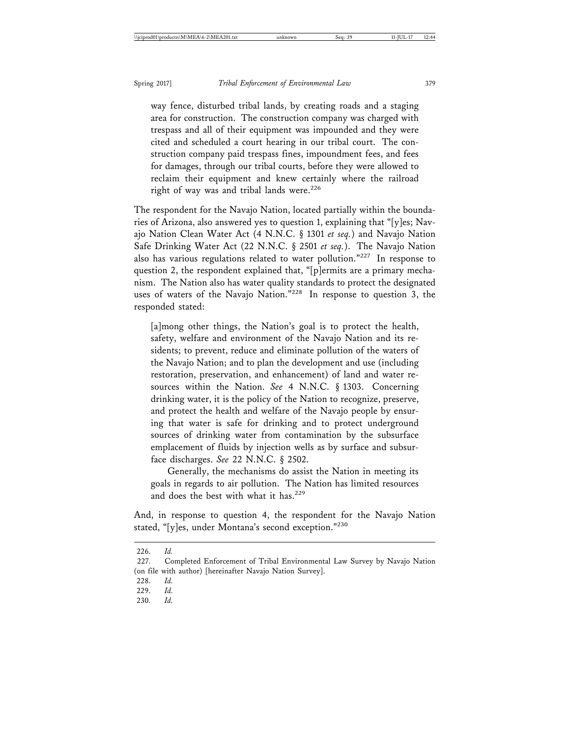way fence, disturbed tribal lands, by creating roads and a staging area for construction. The construction company was charged with trespass and all of their equipment was impounded and they were cited and scheduled a court hearing in our tribal court. The construction company paid trespass fines, impoundment fees, and fees for damages, through our tribal courts, before they were allowed to reclaim their equipment and knew certainly where the railroad right of way was and tribal lands were.<sup>226</sup>

The respondent for the Navajo Nation, located partially within the boundaries of Arizona, also answered yes to question 1, explaining that "[y]es; Navajo Nation Clean Water Act (4 N.N.C. § 1301 *et seq.*) and Navajo Nation Safe Drinking Water Act (22 N.N.C. § 2501 *et seq.*). The Navajo Nation also has various regulations related to water pollution."227 In response to question 2, the respondent explained that, "[p]ermits are a primary mechanism. The Nation also has water quality standards to protect the designated uses of waters of the Navajo Nation."228 In response to question 3, the responded stated:

[a]mong other things, the Nation's goal is to protect the health, safety, welfare and environment of the Navajo Nation and its residents; to prevent, reduce and eliminate pollution of the waters of the Navajo Nation; and to plan the development and use (including restoration, preservation, and enhancement) of land and water resources within the Nation. *See* 4 N.N.C. § 1303. Concerning drinking water, it is the policy of the Nation to recognize, preserve, and protect the health and welfare of the Navajo people by ensuring that water is safe for drinking and to protect underground sources of drinking water from contamination by the subsurface emplacement of fluids by injection wells as by surface and subsurface discharges. *See* 22 N.N.C. § 2502.

Generally, the mechanisms do assist the Nation in meeting its goals in regards to air pollution. The Nation has limited resources and does the best with what it has.<sup>229</sup>

And, in response to question 4, the respondent for the Navajo Nation stated, "[y]es, under Montana's second exception."<sup>230</sup>

<sup>226.</sup> *Id.*

<sup>227.</sup> Completed Enforcement of Tribal Environmental Law Survey by Navajo Nation (on file with author) [hereinafter Navajo Nation Survey].

<sup>228.</sup> *Id.*

<sup>229.</sup> *Id.*

<sup>230.</sup> *Id.*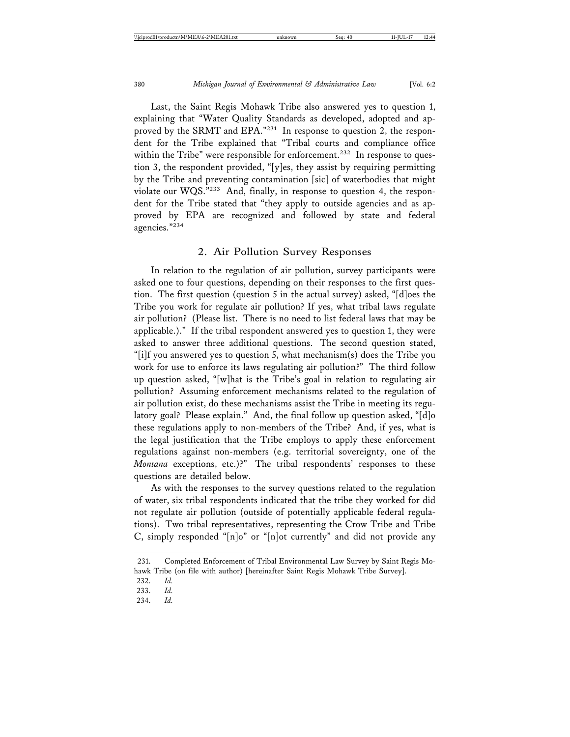Last, the Saint Regis Mohawk Tribe also answered yes to question 1, explaining that "Water Quality Standards as developed, adopted and approved by the SRMT and EPA."<sup>231</sup> In response to question 2, the respondent for the Tribe explained that "Tribal courts and compliance office within the Tribe" were responsible for enforcement.<sup>232</sup> In response to question 3, the respondent provided, "[y]es, they assist by requiring permitting by the Tribe and preventing contamination [sic] of waterbodies that might violate our WQS."233 And, finally, in response to question 4, the respondent for the Tribe stated that "they apply to outside agencies and as approved by EPA are recognized and followed by state and federal agencies."234

#### 2. Air Pollution Survey Responses

In relation to the regulation of air pollution, survey participants were asked one to four questions, depending on their responses to the first question. The first question (question 5 in the actual survey) asked, "[d]oes the Tribe you work for regulate air pollution? If yes, what tribal laws regulate air pollution? (Please list. There is no need to list federal laws that may be applicable.)." If the tribal respondent answered yes to question 1, they were asked to answer three additional questions. The second question stated, "[i]f you answered yes to question 5, what mechanism(s) does the Tribe you work for use to enforce its laws regulating air pollution?" The third follow up question asked, "[w]hat is the Tribe's goal in relation to regulating air pollution? Assuming enforcement mechanisms related to the regulation of air pollution exist, do these mechanisms assist the Tribe in meeting its regulatory goal? Please explain." And, the final follow up question asked, "[d]o these regulations apply to non-members of the Tribe? And, if yes, what is the legal justification that the Tribe employs to apply these enforcement regulations against non-members (e.g. territorial sovereignty, one of the *Montana* exceptions, etc.)?" The tribal respondents' responses to these questions are detailed below.

As with the responses to the survey questions related to the regulation of water, six tribal respondents indicated that the tribe they worked for did not regulate air pollution (outside of potentially applicable federal regulations). Two tribal representatives, representing the Crow Tribe and Tribe C, simply responded "[n]o" or "[n]ot currently" and did not provide any

<sup>231.</sup> Completed Enforcement of Tribal Environmental Law Survey by Saint Regis Mohawk Tribe (on file with author) [hereinafter Saint Regis Mohawk Tribe Survey].

<sup>232.</sup> *Id.*

<sup>233.</sup> *Id.*

<sup>234.</sup> *Id.*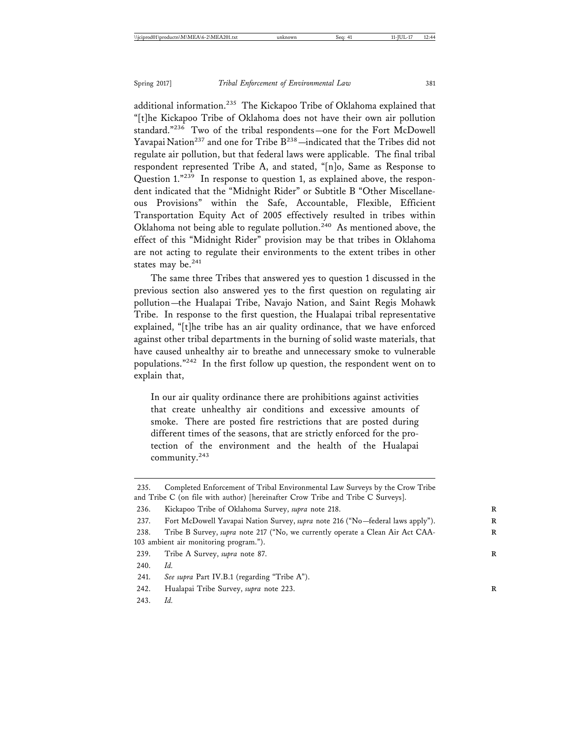additional information.<sup>235</sup> The Kickapoo Tribe of Oklahoma explained that "[t]he Kickapoo Tribe of Oklahoma does not have their own air pollution standard."236 Two of the tribal respondents—one for the Fort McDowell Yavapai Nation<sup>237</sup> and one for Tribe  $B^{238}$  -indicated that the Tribes did not regulate air pollution, but that federal laws were applicable. The final tribal respondent represented Tribe A, and stated, "[n]o, Same as Response to Question 1."239 In response to question 1, as explained above, the respondent indicated that the "Midnight Rider" or Subtitle B "Other Miscellaneous Provisions" within the Safe, Accountable, Flexible, Efficient Transportation Equity Act of 2005 effectively resulted in tribes within Oklahoma not being able to regulate pollution.240 As mentioned above, the effect of this "Midnight Rider" provision may be that tribes in Oklahoma are not acting to regulate their environments to the extent tribes in other states may be.<sup>241</sup>

The same three Tribes that answered yes to question 1 discussed in the previous section also answered yes to the first question on regulating air pollution—the Hualapai Tribe, Navajo Nation, and Saint Regis Mohawk Tribe. In response to the first question, the Hualapai tribal representative explained, "[t]he tribe has an air quality ordinance, that we have enforced against other tribal departments in the burning of solid waste materials, that have caused unhealthy air to breathe and unnecessary smoke to vulnerable populations."242 In the first follow up question, the respondent went on to explain that,

In our air quality ordinance there are prohibitions against activities that create unhealthy air conditions and excessive amounts of smoke. There are posted fire restrictions that are posted during different times of the seasons, that are strictly enforced for the protection of the environment and the health of the Hualapai community.243

<sup>235.</sup> Completed Enforcement of Tribal Environmental Law Surveys by the Crow Tribe and Tribe C (on file with author) [hereinafter Crow Tribe and Tribe C Surveys].

<sup>236.</sup> Kickapoo Tribe of Oklahoma Survey, *supra* note 218. **R**

<sup>237.</sup> Fort McDowell Yavapai Nation Survey, *supra* note 216 ("No—federal laws apply"). **R**

<sup>238.</sup> Tribe B Survey, *supra* note 217 ("No, we currently operate a Clean Air Act CAA-103 ambient air monitoring program.").

<sup>239.</sup> Tribe A Survey, *supra* note 87. **R**

<sup>240.</sup> *Id.*

<sup>241.</sup> *See supra* Part IV.B.1 (regarding "Tribe A").

<sup>242.</sup> Hualapai Tribe Survey, *supra* note 223. **R**

<sup>243.</sup> *Id.*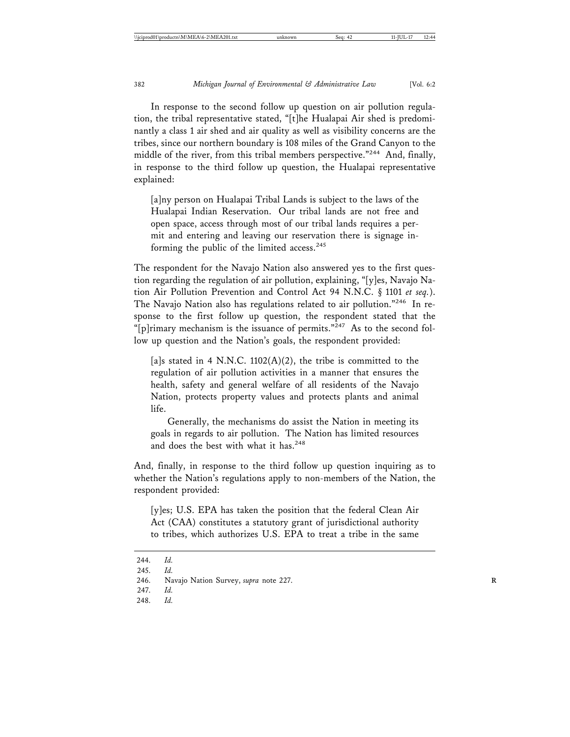In response to the second follow up question on air pollution regulation, the tribal representative stated, "[t]he Hualapai Air shed is predominantly a class 1 air shed and air quality as well as visibility concerns are the tribes, since our northern boundary is 108 miles of the Grand Canyon to the middle of the river, from this tribal members perspective."<sup>244</sup> And, finally, in response to the third follow up question, the Hualapai representative explained:

[a]ny person on Hualapai Tribal Lands is subject to the laws of the Hualapai Indian Reservation. Our tribal lands are not free and open space, access through most of our tribal lands requires a permit and entering and leaving our reservation there is signage informing the public of the limited access.<sup>245</sup>

The respondent for the Navajo Nation also answered yes to the first question regarding the regulation of air pollution, explaining, "[y]es, Navajo Nation Air Pollution Prevention and Control Act 94 N.N.C. § 1101 *et seq.*). The Navajo Nation also has regulations related to air pollution."246 In response to the first follow up question, the respondent stated that the "[p]rimary mechanism is the issuance of permits."<sup>247</sup> As to the second follow up question and the Nation's goals, the respondent provided:

[a]s stated in 4 N.N.C.  $1102(A)(2)$ , the tribe is committed to the regulation of air pollution activities in a manner that ensures the health, safety and general welfare of all residents of the Navajo Nation, protects property values and protects plants and animal life.

Generally, the mechanisms do assist the Nation in meeting its goals in regards to air pollution. The Nation has limited resources and does the best with what it has.<sup>248</sup>

And, finally, in response to the third follow up question inquiring as to whether the Nation's regulations apply to non-members of the Nation, the respondent provided:

[y]es; U.S. EPA has taken the position that the federal Clean Air Act (CAA) constitutes a statutory grant of jurisdictional authority to tribes, which authorizes U.S. EPA to treat a tribe in the same

<sup>244.</sup> *Id.*

<sup>245.</sup> *Id.*

<sup>246.</sup> Navajo Nation Survey, *supra* note 227. **R**

<sup>247.</sup> *Id.*

<sup>248.</sup> *Id.*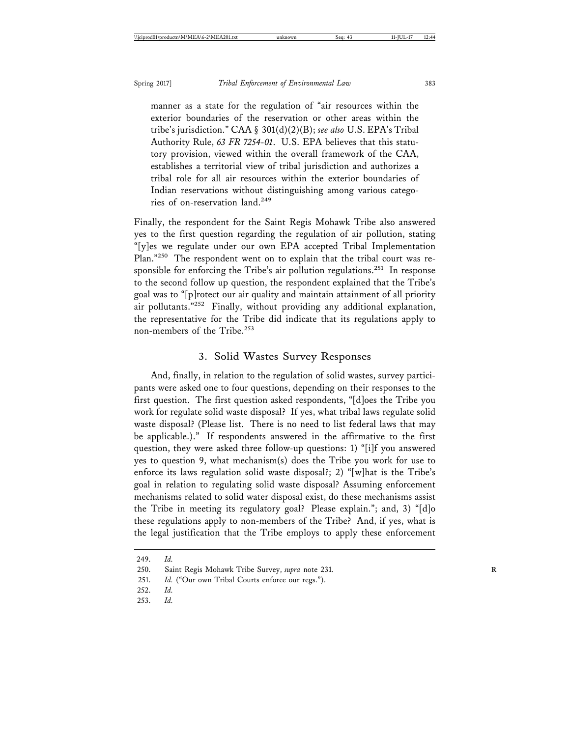manner as a state for the regulation of "air resources within the exterior boundaries of the reservation or other areas within the tribe's jurisdiction." CAA § 301(d)(2)(B); *see also* U.S. EPA's Tribal Authority Rule, *63 FR 7254-01*. U.S. EPA believes that this statutory provision, viewed within the overall framework of the CAA, establishes a territorial view of tribal jurisdiction and authorizes a tribal role for all air resources within the exterior boundaries of Indian reservations without distinguishing among various categories of on-reservation land.<sup>249</sup>

Finally, the respondent for the Saint Regis Mohawk Tribe also answered yes to the first question regarding the regulation of air pollution, stating "[y]es we regulate under our own EPA accepted Tribal Implementation Plan."250 The respondent went on to explain that the tribal court was responsible for enforcing the Tribe's air pollution regulations.<sup>251</sup> In response to the second follow up question, the respondent explained that the Tribe's goal was to "[p]rotect our air quality and maintain attainment of all priority air pollutants."252 Finally, without providing any additional explanation, the representative for the Tribe did indicate that its regulations apply to non-members of the Tribe.<sup>253</sup>

#### 3. Solid Wastes Survey Responses

And, finally, in relation to the regulation of solid wastes, survey participants were asked one to four questions, depending on their responses to the first question. The first question asked respondents, "[d]oes the Tribe you work for regulate solid waste disposal? If yes, what tribal laws regulate solid waste disposal? (Please list. There is no need to list federal laws that may be applicable.)." If respondents answered in the affirmative to the first question, they were asked three follow-up questions: 1) "[i]f you answered yes to question 9, what mechanism(s) does the Tribe you work for use to enforce its laws regulation solid waste disposal?; 2) "[w]hat is the Tribe's goal in relation to regulating solid waste disposal? Assuming enforcement mechanisms related to solid water disposal exist, do these mechanisms assist the Tribe in meeting its regulatory goal? Please explain."; and, 3) "[d]o these regulations apply to non-members of the Tribe? And, if yes, what is the legal justification that the Tribe employs to apply these enforcement

<sup>249.</sup> *Id.*

<sup>250.</sup> Saint Regis Mohawk Tribe Survey, *supra* note 231. **R**

<sup>251.</sup> *Id.* ("Our own Tribal Courts enforce our regs.").

<sup>252.</sup> *Id.*

<sup>253.</sup> *Id.*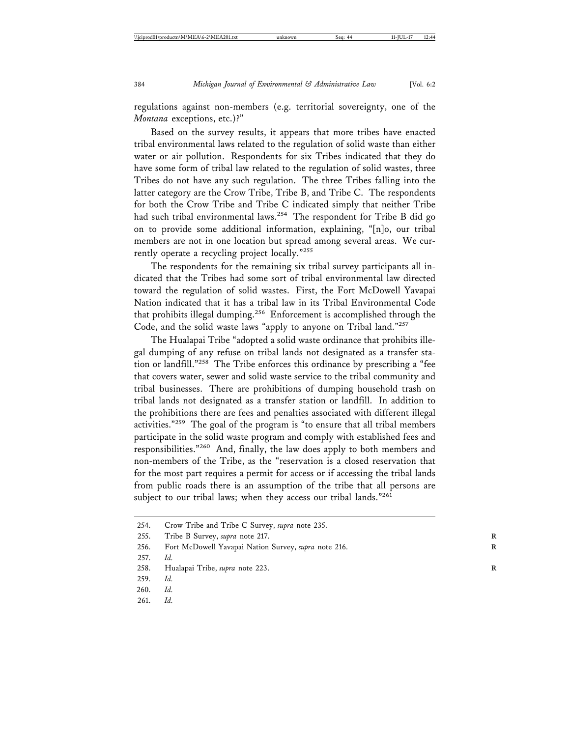regulations against non-members (e.g. territorial sovereignty, one of the *Montana* exceptions, etc.)?"

Based on the survey results, it appears that more tribes have enacted tribal environmental laws related to the regulation of solid waste than either water or air pollution. Respondents for six Tribes indicated that they do have some form of tribal law related to the regulation of solid wastes, three Tribes do not have any such regulation. The three Tribes falling into the latter category are the Crow Tribe, Tribe B, and Tribe C. The respondents for both the Crow Tribe and Tribe C indicated simply that neither Tribe had such tribal environmental laws.<sup>254</sup> The respondent for Tribe B did go on to provide some additional information, explaining, "[n]o, our tribal members are not in one location but spread among several areas. We currently operate a recycling project locally."<sup>255</sup>

The respondents for the remaining six tribal survey participants all indicated that the Tribes had some sort of tribal environmental law directed toward the regulation of solid wastes. First, the Fort McDowell Yavapai Nation indicated that it has a tribal law in its Tribal Environmental Code that prohibits illegal dumping.<sup>256</sup> Enforcement is accomplished through the Code, and the solid waste laws "apply to anyone on Tribal land."257

The Hualapai Tribe "adopted a solid waste ordinance that prohibits illegal dumping of any refuse on tribal lands not designated as a transfer station or landfill."258 The Tribe enforces this ordinance by prescribing a "fee that covers water, sewer and solid waste service to the tribal community and tribal businesses. There are prohibitions of dumping household trash on tribal lands not designated as a transfer station or landfill. In addition to the prohibitions there are fees and penalties associated with different illegal activities."259 The goal of the program is "to ensure that all tribal members participate in the solid waste program and comply with established fees and responsibilities."260 And, finally, the law does apply to both members and non-members of the Tribe, as the "reservation is a closed reservation that for the most part requires a permit for access or if accessing the tribal lands from public roads there is an assumption of the tribe that all persons are subject to our tribal laws; when they access our tribal lands."261

255. Tribe B Survey, *supra* note 217. **R**

<sup>254.</sup> Crow Tribe and Tribe C Survey, *supra* note 235.

<sup>256.</sup> Fort McDowell Yavapai Nation Survey, *supra* note 216. **R**

<sup>257.</sup> *Id.*

<sup>258.</sup> Hualapai Tribe, *supra* note 223. **R**

<sup>259.</sup> *Id.*

<sup>260.</sup> *Id.*

<sup>261.</sup> *Id.*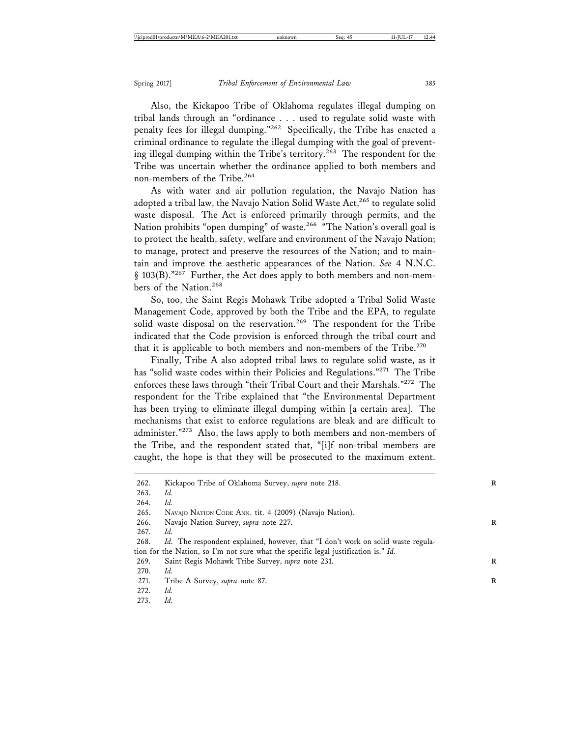Also, the Kickapoo Tribe of Oklahoma regulates illegal dumping on tribal lands through an "ordinance . . . used to regulate solid waste with penalty fees for illegal dumping."262 Specifically, the Tribe has enacted a criminal ordinance to regulate the illegal dumping with the goal of preventing illegal dumping within the Tribe's territory.<sup>263</sup> The respondent for the Tribe was uncertain whether the ordinance applied to both members and non-members of the Tribe.<sup>264</sup>

As with water and air pollution regulation, the Navajo Nation has adopted a tribal law, the Navajo Nation Solid Waste Act, $265$  to regulate solid waste disposal. The Act is enforced primarily through permits, and the Nation prohibits "open dumping" of waste.<sup>266</sup> "The Nation's overall goal is to protect the health, safety, welfare and environment of the Navajo Nation; to manage, protect and preserve the resources of the Nation; and to maintain and improve the aesthetic appearances of the Nation. *See* 4 N.N.C. § 103(B)."<sup>267</sup> Further, the Act does apply to both members and non-members of the Nation.<sup>268</sup>

So, too, the Saint Regis Mohawk Tribe adopted a Tribal Solid Waste Management Code, approved by both the Tribe and the EPA, to regulate solid waste disposal on the reservation.<sup>269</sup> The respondent for the Tribe indicated that the Code provision is enforced through the tribal court and that it is applicable to both members and non-members of the Tribe.<sup>270</sup>

Finally, Tribe A also adopted tribal laws to regulate solid waste, as it has "solid waste codes within their Policies and Regulations."<sup>271</sup> The Tribe enforces these laws through "their Tribal Court and their Marshals."<sup>272</sup> The respondent for the Tribe explained that "the Environmental Department has been trying to eliminate illegal dumping within [a certain area]. The mechanisms that exist to enforce regulations are bleak and are difficult to administer."<sup>273</sup> Also, the laws apply to both members and non-members of the Tribe, and the respondent stated that, "[i]f non-tribal members are caught, the hope is that they will be prosecuted to the maximum extent.

266. Navajo Nation Survey, *supra* note 227. **R**

272. *Id.*

<sup>262.</sup> Kickapoo Tribe of Oklahoma Survey, *supra* note 218. **R**

<sup>263.</sup> *Id.*

<sup>264.</sup> *Id.*

<sup>265.</sup> NAVAJO NATION CODE ANN. tit. 4 (2009) (Navajo Nation).

<sup>267.</sup> *Id.*

<sup>268.</sup> *Id.* The respondent explained, however, that "I don't work on solid waste regulation for the Nation, so I'm not sure what the specific legal justification is." *Id.*

<sup>269.</sup> Saint Regis Mohawk Tribe Survey, *supra* note 231. **R**

<sup>270.</sup> *Id.*

<sup>271.</sup> Tribe A Survey, *supra* note 87. **R**

<sup>273.</sup> *Id.*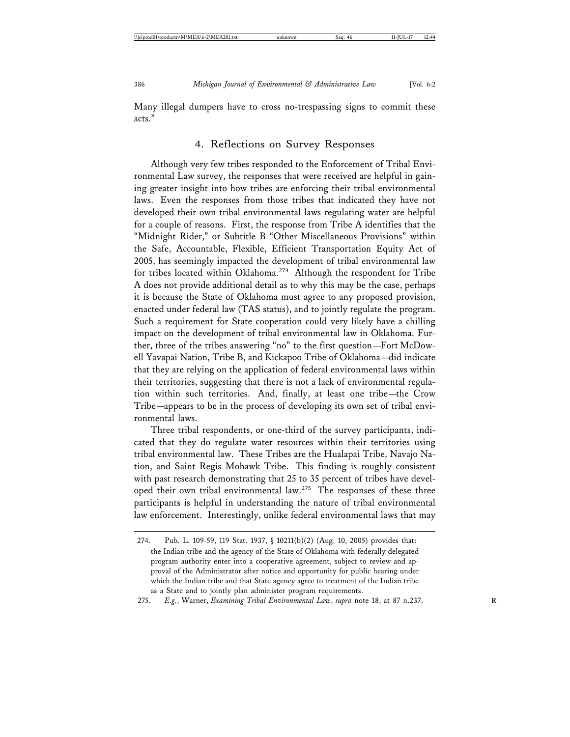Many illegal dumpers have to cross no-trespassing signs to commit these acts."

#### 4. Reflections on Survey Responses

Although very few tribes responded to the Enforcement of Tribal Environmental Law survey, the responses that were received are helpful in gaining greater insight into how tribes are enforcing their tribal environmental laws. Even the responses from those tribes that indicated they have not developed their own tribal environmental laws regulating water are helpful for a couple of reasons. First, the response from Tribe A identifies that the "Midnight Rider," or Subtitle B "Other Miscellaneous Provisions" within the Safe, Accountable, Flexible, Efficient Transportation Equity Act of 2005, has seemingly impacted the development of tribal environmental law for tribes located within Oklahoma.<sup>274</sup> Although the respondent for Tribe A does not provide additional detail as to why this may be the case, perhaps it is because the State of Oklahoma must agree to any proposed provision, enacted under federal law (TAS status), and to jointly regulate the program. Such a requirement for State cooperation could very likely have a chilling impact on the development of tribal environmental law in Oklahoma. Further, three of the tribes answering "no" to the first question—Fort McDowell Yavapai Nation, Tribe B, and Kickapoo Tribe of Oklahoma—did indicate that they are relying on the application of federal environmental laws within their territories, suggesting that there is not a lack of environmental regulation within such territories. And, finally, at least one tribe—the Crow Tribe—appears to be in the process of developing its own set of tribal environmental laws.

Three tribal respondents, or one-third of the survey participants, indicated that they do regulate water resources within their territories using tribal environmental law. These Tribes are the Hualapai Tribe, Navajo Nation, and Saint Regis Mohawk Tribe. This finding is roughly consistent with past research demonstrating that 25 to 35 percent of tribes have developed their own tribal environmental law.<sup>275</sup> The responses of these three participants is helpful in understanding the nature of tribal environmental law enforcement. Interestingly, unlike federal environmental laws that may

<sup>274.</sup> Pub. L. 109-59, 119 Stat. 1937, § 10211(b)(2) (Aug. 10, 2005) provides that: the Indian tribe and the agency of the State of Oklahoma with federally delegated program authority enter into a cooperative agreement, subject to review and approval of the Administrator after notice and opportunity for public hearing under which the Indian tribe and that State agency agree to treatment of the Indian tribe as a State and to jointly plan administer program requirements.

<sup>275.</sup> *E.g.*, Warner, *Examining Tribal Environmental Law*, *supra* note 18, at 87 n.237. **R**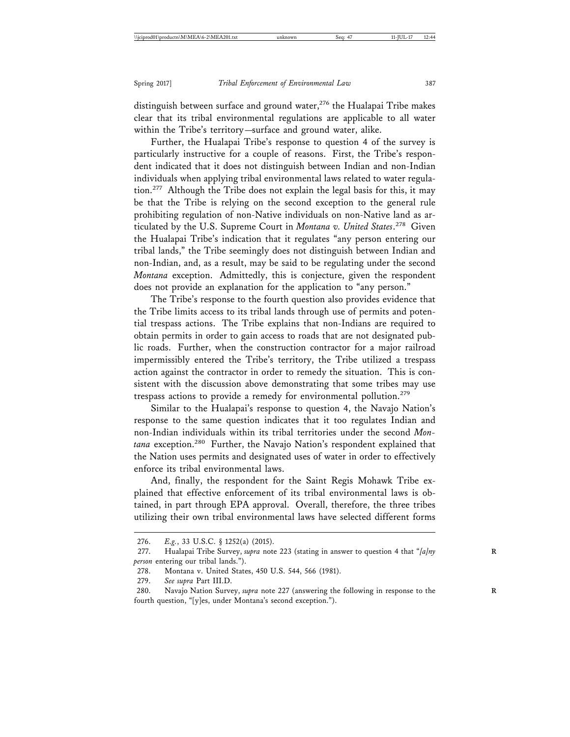distinguish between surface and ground water, $276$  the Hualapai Tribe makes clear that its tribal environmental regulations are applicable to all water within the Tribe's territory—surface and ground water, alike.

Further, the Hualapai Tribe's response to question 4 of the survey is particularly instructive for a couple of reasons. First, the Tribe's respondent indicated that it does not distinguish between Indian and non-Indian individuals when applying tribal environmental laws related to water regulation.<sup>277</sup> Although the Tribe does not explain the legal basis for this, it may be that the Tribe is relying on the second exception to the general rule prohibiting regulation of non-Native individuals on non-Native land as articulated by the U.S. Supreme Court in *Montana v. United States*. 278 Given the Hualapai Tribe's indication that it regulates "any person entering our tribal lands," the Tribe seemingly does not distinguish between Indian and non-Indian, and, as a result, may be said to be regulating under the second *Montana* exception. Admittedly, this is conjecture, given the respondent does not provide an explanation for the application to "any person."

The Tribe's response to the fourth question also provides evidence that the Tribe limits access to its tribal lands through use of permits and potential trespass actions. The Tribe explains that non-Indians are required to obtain permits in order to gain access to roads that are not designated public roads. Further, when the construction contractor for a major railroad impermissibly entered the Tribe's territory, the Tribe utilized a trespass action against the contractor in order to remedy the situation. This is consistent with the discussion above demonstrating that some tribes may use trespass actions to provide a remedy for environmental pollution.<sup>279</sup>

Similar to the Hualapai's response to question 4, the Navajo Nation's response to the same question indicates that it too regulates Indian and non-Indian individuals within its tribal territories under the second *Montana* exception.280 Further, the Navajo Nation's respondent explained that the Nation uses permits and designated uses of water in order to effectively enforce its tribal environmental laws.

And, finally, the respondent for the Saint Regis Mohawk Tribe explained that effective enforcement of its tribal environmental laws is obtained, in part through EPA approval. Overall, therefore, the three tribes utilizing their own tribal environmental laws have selected different forms

<sup>276.</sup> *E.g.*, 33 U.S.C. § 1252(a) (2015).

<sup>277.</sup> Hualapai Tribe Survey, *supra* note 223 (stating in answer to question 4 that "[a]ny *person* entering our tribal lands.").

<sup>278.</sup> Montana v. United States, 450 U.S. 544, 566 (1981).

<sup>279.</sup> *See supra* Part III.D.

<sup>280.</sup> Navajo Nation Survey, *supra* note 227 (answering the following in response to the fourth question, "[y]es, under Montana's second exception.").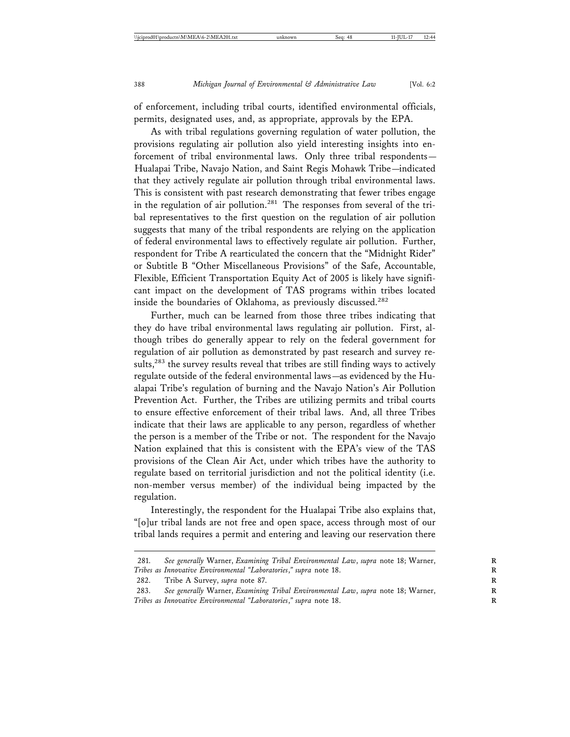of enforcement, including tribal courts, identified environmental officials, permits, designated uses, and, as appropriate, approvals by the EPA.

As with tribal regulations governing regulation of water pollution, the provisions regulating air pollution also yield interesting insights into enforcement of tribal environmental laws. Only three tribal respondents— Hualapai Tribe, Navajo Nation, and Saint Regis Mohawk Tribe—indicated that they actively regulate air pollution through tribal environmental laws. This is consistent with past research demonstrating that fewer tribes engage in the regulation of air pollution.<sup>281</sup> The responses from several of the tribal representatives to the first question on the regulation of air pollution suggests that many of the tribal respondents are relying on the application of federal environmental laws to effectively regulate air pollution. Further, respondent for Tribe A rearticulated the concern that the "Midnight Rider" or Subtitle B "Other Miscellaneous Provisions" of the Safe, Accountable, Flexible, Efficient Transportation Equity Act of 2005 is likely have significant impact on the development of TAS programs within tribes located inside the boundaries of Oklahoma, as previously discussed.<sup>282</sup>

Further, much can be learned from those three tribes indicating that they do have tribal environmental laws regulating air pollution. First, although tribes do generally appear to rely on the federal government for regulation of air pollution as demonstrated by past research and survey results,<sup>283</sup> the survey results reveal that tribes are still finding ways to actively regulate outside of the federal environmental laws—as evidenced by the Hualapai Tribe's regulation of burning and the Navajo Nation's Air Pollution Prevention Act. Further, the Tribes are utilizing permits and tribal courts to ensure effective enforcement of their tribal laws. And, all three Tribes indicate that their laws are applicable to any person, regardless of whether the person is a member of the Tribe or not. The respondent for the Navajo Nation explained that this is consistent with the EPA's view of the TAS provisions of the Clean Air Act, under which tribes have the authority to regulate based on territorial jurisdiction and not the political identity (i.e. non-member versus member) of the individual being impacted by the regulation.

Interestingly, the respondent for the Hualapai Tribe also explains that, "[o]ur tribal lands are not free and open space, access through most of our tribal lands requires a permit and entering and leaving our reservation there

282. Tribe A Survey, *supra* note 87. **R**

283. See generally Warner, *Examining Tribal Environmental Law*, *supra* note 18; Warner, *Tribes as Innovative Environmental "Laboratories," supra* note 18.

<sup>281.</sup> See generally Warner, *Examining Tribal Environmental Law*, *supra* note 18; Warner, *Tribes as Innovative Environmental "Laboratories," supra* note 18.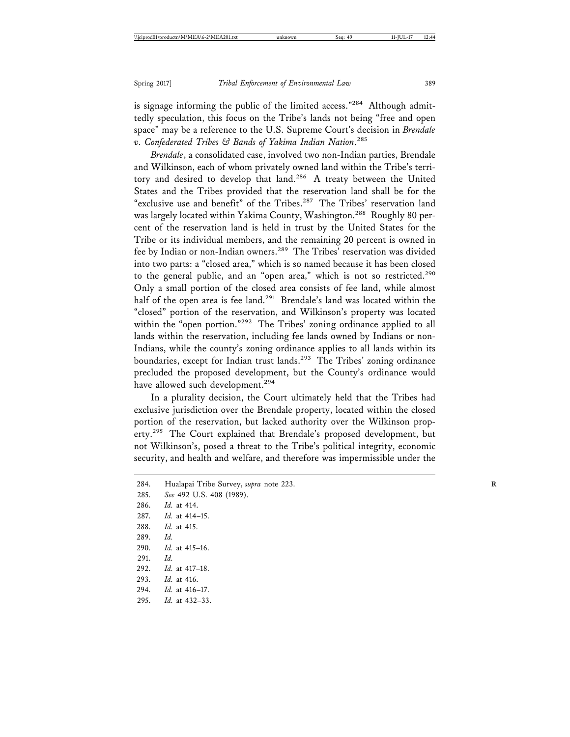is signage informing the public of the limited access."<sup>284</sup> Although admittedly speculation, this focus on the Tribe's lands not being "free and open space" may be a reference to the U.S. Supreme Court's decision in *Brendale v. Confederated Tribes & Bands of Yakima Indian Nation*. 285

*Brendale*, a consolidated case, involved two non-Indian parties, Brendale and Wilkinson, each of whom privately owned land within the Tribe's territory and desired to develop that land.<sup>286</sup> A treaty between the United States and the Tribes provided that the reservation land shall be for the "exclusive use and benefit" of the Tribes.<sup>287</sup> The Tribes' reservation land was largely located within Yakima County, Washington.<sup>288</sup> Roughly 80 percent of the reservation land is held in trust by the United States for the Tribe or its individual members, and the remaining 20 percent is owned in fee by Indian or non-Indian owners.289 The Tribes' reservation was divided into two parts: a "closed area," which is so named because it has been closed to the general public, and an "open area," which is not so restricted.<sup>290</sup> Only a small portion of the closed area consists of fee land, while almost half of the open area is fee land.<sup>291</sup> Brendale's land was located within the "closed" portion of the reservation, and Wilkinson's property was located within the "open portion."<sup>292</sup> The Tribes' zoning ordinance applied to all lands within the reservation, including fee lands owned by Indians or non-Indians, while the county's zoning ordinance applies to all lands within its boundaries, except for Indian trust lands.<sup>293</sup> The Tribes' zoning ordinance precluded the proposed development, but the County's ordinance would have allowed such development.<sup>294</sup>

In a plurality decision, the Court ultimately held that the Tribes had exclusive jurisdiction over the Brendale property, located within the closed portion of the reservation, but lacked authority over the Wilkinson property.<sup>295</sup> The Court explained that Brendale's proposed development, but not Wilkinson's, posed a threat to the Tribe's political integrity, economic security, and health and welfare, and therefore was impermissible under the

| 284. | Hualapai Tribe Survey, supra note 223. |
|------|----------------------------------------|
| 285. | See 492 U.S. 408 (1989).               |
| 286. | <i>Id.</i> at 414.                     |
|      | 287. <i>Id.</i> at 414–15.             |
| 288. | <i>Id.</i> at 415.                     |
| 289. | Id.                                    |
| 290. | <i>Id.</i> at 415–16.                  |
| 291. | Id.                                    |
| 292. | <i>Id.</i> at 417–18.                  |
| 293. | <i>Id.</i> at 416.                     |
|      | 294. <i>Id.</i> at 416-17.             |
| 295. | <i>Id.</i> at 432–33.                  |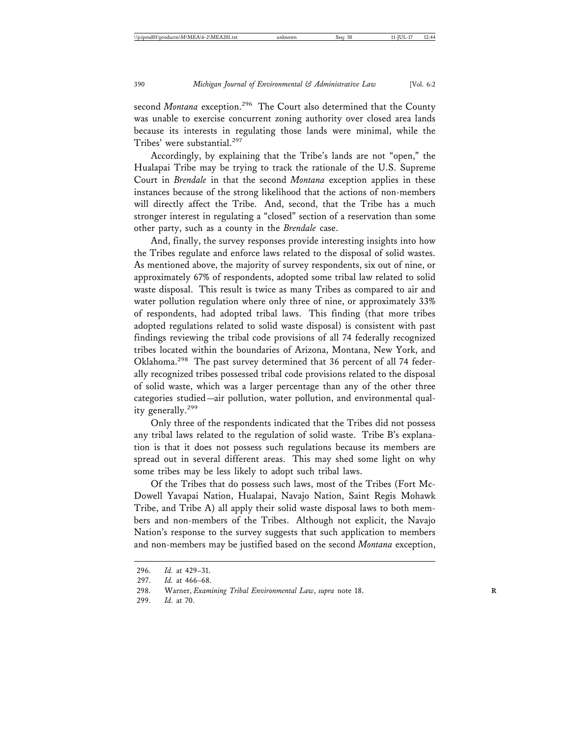second *Montana* exception.<sup>296</sup> The Court also determined that the County was unable to exercise concurrent zoning authority over closed area lands because its interests in regulating those lands were minimal, while the Tribes' were substantial.<sup>297</sup>

Accordingly, by explaining that the Tribe's lands are not "open," the Hualapai Tribe may be trying to track the rationale of the U.S. Supreme Court in *Brendale* in that the second *Montana* exception applies in these instances because of the strong likelihood that the actions of non-members will directly affect the Tribe. And, second, that the Tribe has a much stronger interest in regulating a "closed" section of a reservation than some other party, such as a county in the *Brendale* case.

And, finally, the survey responses provide interesting insights into how the Tribes regulate and enforce laws related to the disposal of solid wastes. As mentioned above, the majority of survey respondents, six out of nine, or approximately 67% of respondents, adopted some tribal law related to solid waste disposal. This result is twice as many Tribes as compared to air and water pollution regulation where only three of nine, or approximately 33% of respondents, had adopted tribal laws. This finding (that more tribes adopted regulations related to solid waste disposal) is consistent with past findings reviewing the tribal code provisions of all 74 federally recognized tribes located within the boundaries of Arizona, Montana, New York, and Oklahoma.298 The past survey determined that 36 percent of all 74 federally recognized tribes possessed tribal code provisions related to the disposal of solid waste, which was a larger percentage than any of the other three categories studied—air pollution, water pollution, and environmental quality generally.<sup>299</sup>

Only three of the respondents indicated that the Tribes did not possess any tribal laws related to the regulation of solid waste. Tribe B's explanation is that it does not possess such regulations because its members are spread out in several different areas. This may shed some light on why some tribes may be less likely to adopt such tribal laws.

Of the Tribes that do possess such laws, most of the Tribes (Fort Mc-Dowell Yavapai Nation, Hualapai, Navajo Nation, Saint Regis Mohawk Tribe, and Tribe A) all apply their solid waste disposal laws to both members and non-members of the Tribes. Although not explicit, the Navajo Nation's response to the survey suggests that such application to members and non-members may be justified based on the second *Montana* exception,

299. *Id.* at 70.

<sup>296.</sup> *Id.* at 429–31.

<sup>297.</sup> *Id.* at 466–68.

<sup>298.</sup> Warner, *Examining Tribal Environmental Law*, *supra* note 18.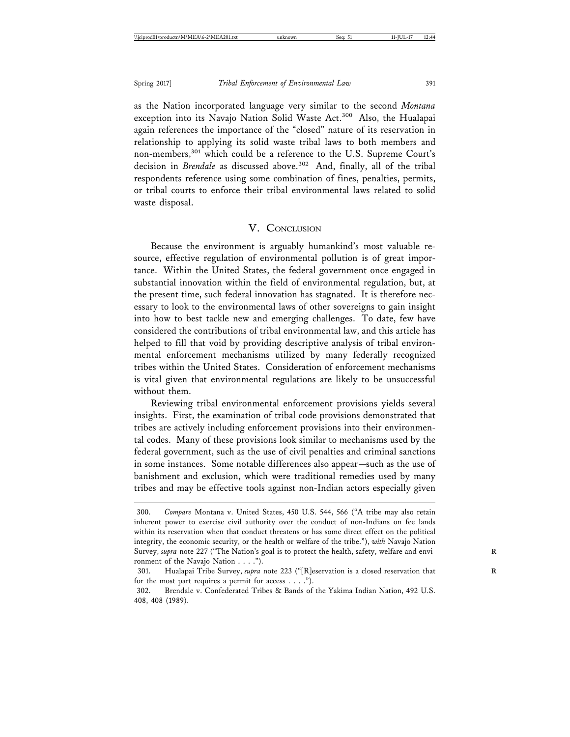as the Nation incorporated language very similar to the second *Montana* exception into its Navajo Nation Solid Waste Act.<sup>300</sup> Also, the Hualapai again references the importance of the "closed" nature of its reservation in relationship to applying its solid waste tribal laws to both members and non-members,<sup>301</sup> which could be a reference to the U.S. Supreme Court's decision in *Brendale* as discussed above.<sup>302</sup> And, finally, all of the tribal respondents reference using some combination of fines, penalties, permits, or tribal courts to enforce their tribal environmental laws related to solid waste disposal.

#### V. CONCLUSION

Because the environment is arguably humankind's most valuable resource, effective regulation of environmental pollution is of great importance. Within the United States, the federal government once engaged in substantial innovation within the field of environmental regulation, but, at the present time, such federal innovation has stagnated. It is therefore necessary to look to the environmental laws of other sovereigns to gain insight into how to best tackle new and emerging challenges. To date, few have considered the contributions of tribal environmental law, and this article has helped to fill that void by providing descriptive analysis of tribal environmental enforcement mechanisms utilized by many federally recognized tribes within the United States. Consideration of enforcement mechanisms is vital given that environmental regulations are likely to be unsuccessful without them.

Reviewing tribal environmental enforcement provisions yields several insights. First, the examination of tribal code provisions demonstrated that tribes are actively including enforcement provisions into their environmental codes. Many of these provisions look similar to mechanisms used by the federal government, such as the use of civil penalties and criminal sanctions in some instances. Some notable differences also appear—such as the use of banishment and exclusion, which were traditional remedies used by many tribes and may be effective tools against non-Indian actors especially given

<sup>300.</sup> *Compare* Montana v. United States, 450 U.S. 544, 566 ("A tribe may also retain inherent power to exercise civil authority over the conduct of non-Indians on fee lands within its reservation when that conduct threatens or has some direct effect on the political integrity, the economic security, or the health or welfare of the tribe."), *with* Navajo Nation Survey, *supra* note 227 ("The Nation's goal is to protect the health, safety, welfare and envi- **R** ronment of the Navajo Nation . . . .").

<sup>301.</sup> Hualapai Tribe Survey, *supra* note 223 ("[R]eservation is a closed reservation that **R** for the most part requires a permit for access . . . .").

<sup>302.</sup> Brendale v. Confederated Tribes & Bands of the Yakima Indian Nation, 492 U.S. 408, 408 (1989).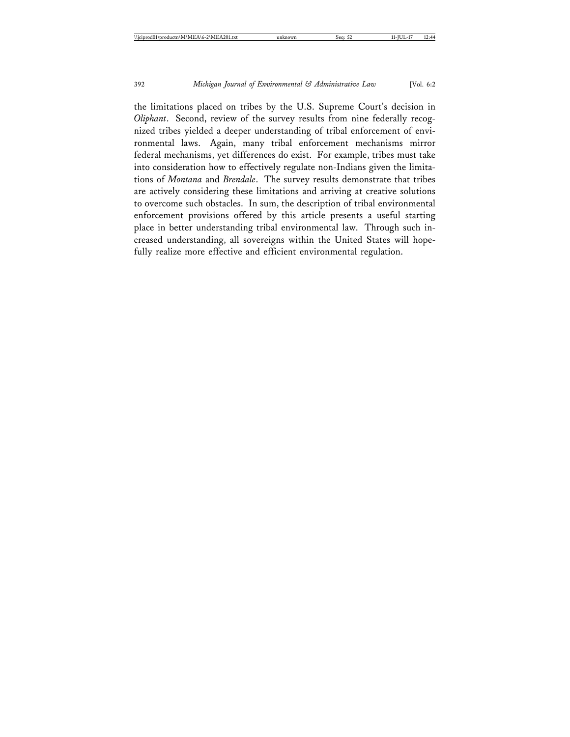the limitations placed on tribes by the U.S. Supreme Court's decision in *Oliphant*. Second, review of the survey results from nine federally recognized tribes yielded a deeper understanding of tribal enforcement of environmental laws. Again, many tribal enforcement mechanisms mirror federal mechanisms, yet differences do exist. For example, tribes must take into consideration how to effectively regulate non-Indians given the limitations of *Montana* and *Brendale*. The survey results demonstrate that tribes are actively considering these limitations and arriving at creative solutions to overcome such obstacles. In sum, the description of tribal environmental enforcement provisions offered by this article presents a useful starting place in better understanding tribal environmental law. Through such increased understanding, all sovereigns within the United States will hopefully realize more effective and efficient environmental regulation.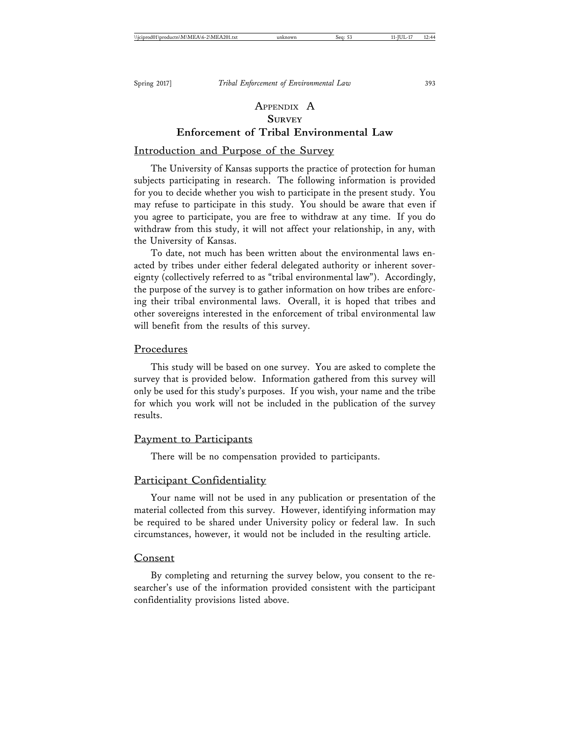## APPENDIX A **SURVEY Enforcement of Tribal Environmental Law**

#### Introduction and Purpose of the Survey

The University of Kansas supports the practice of protection for human subjects participating in research. The following information is provided for you to decide whether you wish to participate in the present study. You may refuse to participate in this study. You should be aware that even if you agree to participate, you are free to withdraw at any time. If you do withdraw from this study, it will not affect your relationship, in any, with the University of Kansas.

To date, not much has been written about the environmental laws enacted by tribes under either federal delegated authority or inherent sovereignty (collectively referred to as "tribal environmental law"). Accordingly, the purpose of the survey is to gather information on how tribes are enforcing their tribal environmental laws. Overall, it is hoped that tribes and other sovereigns interested in the enforcement of tribal environmental law will benefit from the results of this survey.

#### Procedures

This study will be based on one survey. You are asked to complete the survey that is provided below. Information gathered from this survey will only be used for this study's purposes. If you wish, your name and the tribe for which you work will not be included in the publication of the survey results.

#### Payment to Participants

There will be no compensation provided to participants.

#### Participant Confidentiality

Your name will not be used in any publication or presentation of the material collected from this survey. However, identifying information may be required to be shared under University policy or federal law. In such circumstances, however, it would not be included in the resulting article.

#### Consent

By completing and returning the survey below, you consent to the researcher's use of the information provided consistent with the participant confidentiality provisions listed above.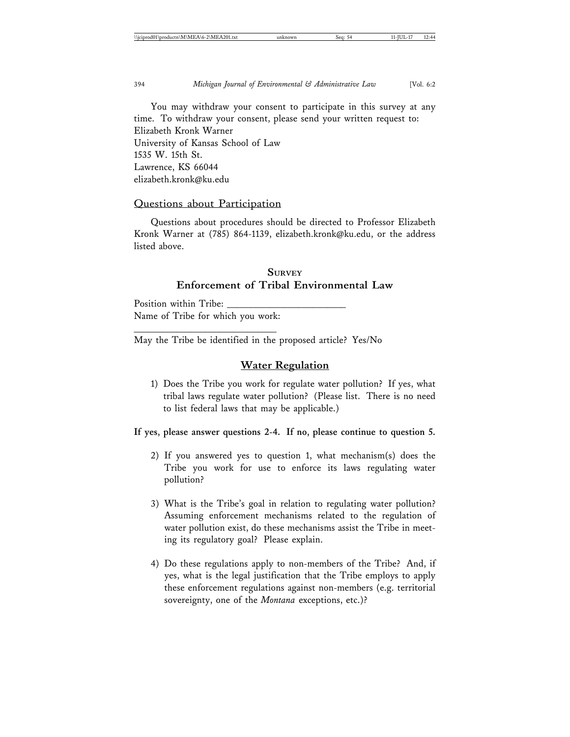You may withdraw your consent to participate in this survey at any time. To withdraw your consent, please send your written request to: Elizabeth Kronk Warner University of Kansas School of Law 1535 W. 15th St. Lawrence, KS 66044 elizabeth.kronk@ku.edu

#### Questions about Participation

Questions about procedures should be directed to Professor Elizabeth Kronk Warner at (785) 864-1139, elizabeth.kronk@ku.edu, or the address listed above.

## **SURVEY Enforcement of Tribal Environmental Law**

Position within Tribe: Name of Tribe for which you work:

\_\_\_\_\_\_\_\_\_\_\_\_\_\_\_\_\_\_\_\_\_\_\_\_\_\_\_\_\_\_

May the Tribe be identified in the proposed article? Yes/No

#### **Water Regulation**

1) Does the Tribe you work for regulate water pollution? If yes, what tribal laws regulate water pollution? (Please list. There is no need to list federal laws that may be applicable.)

**If yes, please answer questions 2-4. If no, please continue to question 5.**

- 2) If you answered yes to question 1, what mechanism(s) does the Tribe you work for use to enforce its laws regulating water pollution?
- 3) What is the Tribe's goal in relation to regulating water pollution? Assuming enforcement mechanisms related to the regulation of water pollution exist, do these mechanisms assist the Tribe in meeting its regulatory goal? Please explain.
- 4) Do these regulations apply to non-members of the Tribe? And, if yes, what is the legal justification that the Tribe employs to apply these enforcement regulations against non-members (e.g. territorial sovereignty, one of the *Montana* exceptions, etc.)?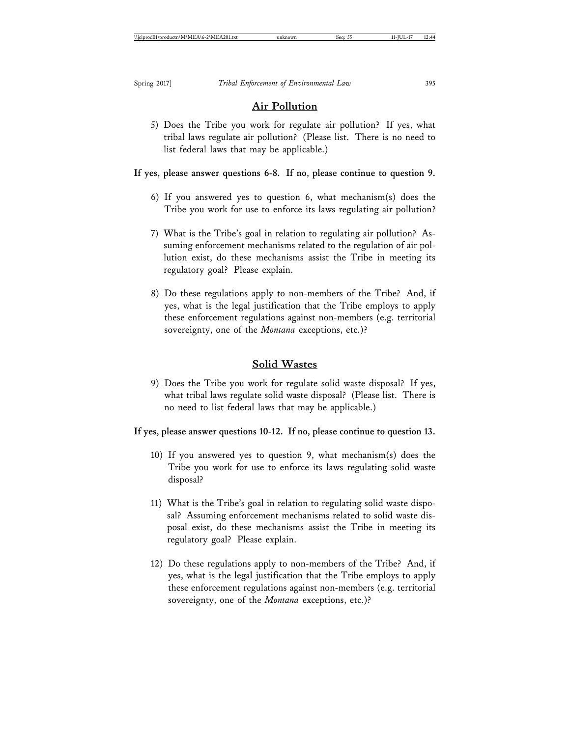## **Air Pollution**

5) Does the Tribe you work for regulate air pollution? If yes, what tribal laws regulate air pollution? (Please list. There is no need to list federal laws that may be applicable.)

## **If yes, please answer questions 6-8. If no, please continue to question 9.**

- 6) If you answered yes to question 6, what mechanism(s) does the Tribe you work for use to enforce its laws regulating air pollution?
- 7) What is the Tribe's goal in relation to regulating air pollution? Assuming enforcement mechanisms related to the regulation of air pollution exist, do these mechanisms assist the Tribe in meeting its regulatory goal? Please explain.
- 8) Do these regulations apply to non-members of the Tribe? And, if yes, what is the legal justification that the Tribe employs to apply these enforcement regulations against non-members (e.g. territorial sovereignty, one of the *Montana* exceptions, etc.)?

## **Solid Wastes**

9) Does the Tribe you work for regulate solid waste disposal? If yes, what tribal laws regulate solid waste disposal? (Please list. There is no need to list federal laws that may be applicable.)

**If yes, please answer questions 10-12. If no, please continue to question 13.**

- 10) If you answered yes to question 9, what mechanism(s) does the Tribe you work for use to enforce its laws regulating solid waste disposal?
- 11) What is the Tribe's goal in relation to regulating solid waste disposal? Assuming enforcement mechanisms related to solid waste disposal exist, do these mechanisms assist the Tribe in meeting its regulatory goal? Please explain.
- 12) Do these regulations apply to non-members of the Tribe? And, if yes, what is the legal justification that the Tribe employs to apply these enforcement regulations against non-members (e.g. territorial sovereignty, one of the *Montana* exceptions, etc.)?